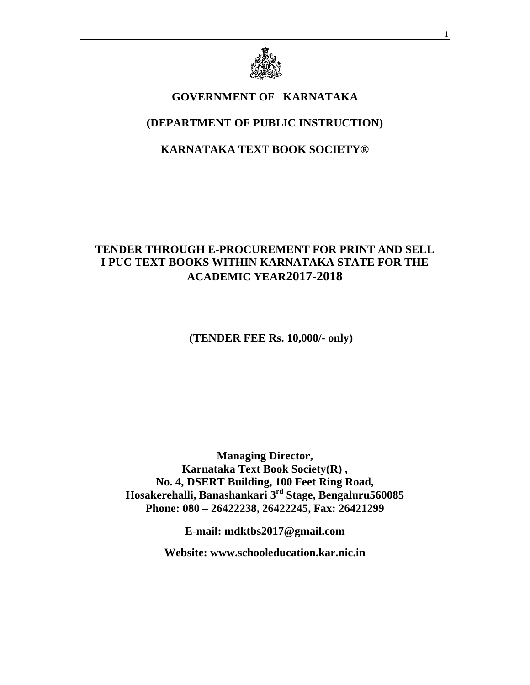

# **GOVERNMENT OF KARNATAKA**

# **(DEPARTMENT OF PUBLIC INSTRUCTION)**

## **KARNATAKA TEXT BOOK SOCIETY®**

## **TENDER THROUGH E-PROCUREMENT FOR PRINT AND SELL I PUC TEXT BOOKS WITHIN KARNATAKA STATE FOR THE ACADEMIC YEAR2017-2018**

 **(TENDER FEE Rs. 10,000/- only)** 

**Managing Director, Karnataka Text Book Society(R) , No. 4, DSERT Building, 100 Feet Ring Road, Hosakerehalli, Banashankari 3rd Stage, Bengaluru560085 Phone: 080 – 26422238, 26422245, Fax: 26421299** 

**E-mail: mdktbs2017@gmail.com** 

**Website: www.schooleducation.kar.nic.in**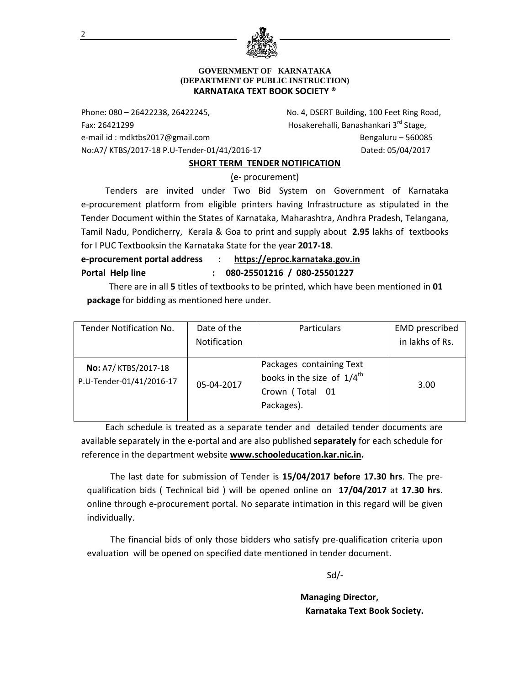

#### **GOVERNMENT OF KARNATAKA (DEPARTMENT OF PUBLIC INSTRUCTION) KARNATAKA TEXT BOOK SOCIETY ®**

Phone: 080 – 26422238, 26422245, No. 4, DSERT Building, 100 Feet Ring Road, Fax: 26421299 Hosakerehalli, Banashankari 3rd Stage, e‐mail id : mdktbs2017@gmail.com Bengaluru – 560085 No:A7/ KTBS/2017‐18 P.U‐Tender‐01/41/2016‐17 Dated: 05/04/2017

#### **SHORT TERM TENDER NOTIFICATION**

(e‐ procurement)

 Tenders are invited under Two Bid System on Government of Karnataka e-procurement platform from eligible printers having Infrastructure as stipulated in the Tender Document within the States of Karnataka, Maharashtra, Andhra Pradesh, Telangana, Tamil Nadu, Pondicherry, Kerala & Goa to print and supply about **2.95** lakhs of textbooks for I PUC Textbooksin the Karnataka State for the year **2017‐18**.

**e‐procurement portal address : https://eproc.karnataka.gov.in Portal Help line : 080‐25501216 / 080‐25501227**

 There are in all **5** titles of textbooks to be printed, which have been mentioned in **01 package** for bidding as mentioned here under.

| Tender Notification No.                          | Date of the<br>Particulars |                                                                                                     | <b>EMD</b> prescribed |
|--------------------------------------------------|----------------------------|-----------------------------------------------------------------------------------------------------|-----------------------|
|                                                  | Notification               |                                                                                                     | in lakhs of Rs.       |
|                                                  |                            |                                                                                                     |                       |
| No: A7/ KTBS/2017-18<br>P.U-Tender-01/41/2016-17 | 05-04-2017                 | Packages containing Text<br>books in the size of $1/4^{\text{th}}$<br>Crown (Total 01<br>Packages). | 3.00                  |

 Each schedule is treated as a separate tender and detailed tender documents are available separately in the e‐portal and are also published **separately** for each schedule for reference in the department website **www.schooleducation.kar.nic.in.**

The last date for submission of Tender is **15/04/2017 before 17.30 hrs**. The pre‐ qualification bids ( Technical bid ) will be opened online on **17/04/2017** at **17.30 hrs**. online through e‐procurement portal. No separate intimation in this regard will be given individually.

The financial bids of only those bidders who satisfy pre-qualification criteria upon evaluation will be opened on specified date mentioned in tender document.

Sd/‐

 **Managing Director, Karnataka Text Book Society.**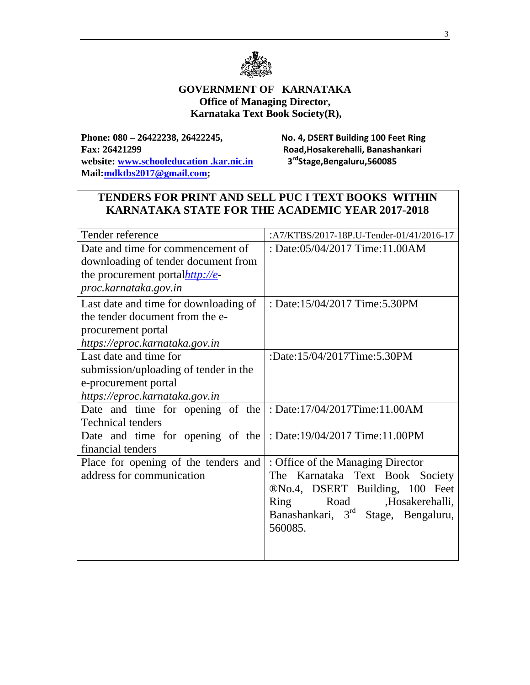

#### **GOVERNMENT OF KARNATAKA Office of Managing Director, Karnataka Text Book Society(R),**

**Phone: 080 – 26422238, 26422245, No. 4, DSERT Building 100 Feet Ring Fax: 26421299 Road,Hosakerehalli, Banashankari**  website: www.schooleducation .kar.nic.in 3<sup>rd</sup>Stage,Bengaluru,560085 **Mail:mdktbs2017@gmail.com;** 

## **TENDERS FOR PRINT AND SELL PUC I TEXT BOOKS WITHIN KARNATAKA STATE FOR THE ACADEMIC YEAR 2017-2018**

| Tender reference                                                | :A7/KTBS/2017-18P.U-Tender-01/41/2016-17        |
|-----------------------------------------------------------------|-------------------------------------------------|
| Date and time for commencement of                               | : Date:05/04/2017 Time:11.00AM                  |
| downloading of tender document from                             |                                                 |
| the procurement portalhttp://e-                                 |                                                 |
| proc.karnataka.gov.in                                           |                                                 |
| Last date and time for downloading of                           | : Date:15/04/2017 Time:5.30PM                   |
| the tender document from the e-                                 |                                                 |
| procurement portal                                              |                                                 |
| https://eproc.karnataka.gov.in                                  |                                                 |
| Last date and time for                                          | :Date:15/04/2017Time:5.30PM                     |
| submission/uploading of tender in the                           |                                                 |
| e-procurement portal                                            |                                                 |
| https://eproc.karnataka.gov.in                                  |                                                 |
| Date and time for opening of the                                | : Date:17/04/2017Time:11.00AM                   |
| <b>Technical tenders</b>                                        |                                                 |
| Date and time for opening of the : Date:19/04/2017 Time:11.00PM |                                                 |
| financial tenders                                               |                                                 |
| Place for opening of the tenders and                            | : Office of the Managing Director               |
| address for communication                                       | The Karnataka Text Book Society                 |
|                                                                 | ®No.4, DSERT Building, 100 Feet                 |
|                                                                 | Road<br>,Hosakerehalli,<br><b>Ring</b>          |
|                                                                 | Banashankari, 3 <sup>rd</sup> Stage, Bengaluru, |
|                                                                 | 560085.                                         |
|                                                                 |                                                 |
|                                                                 |                                                 |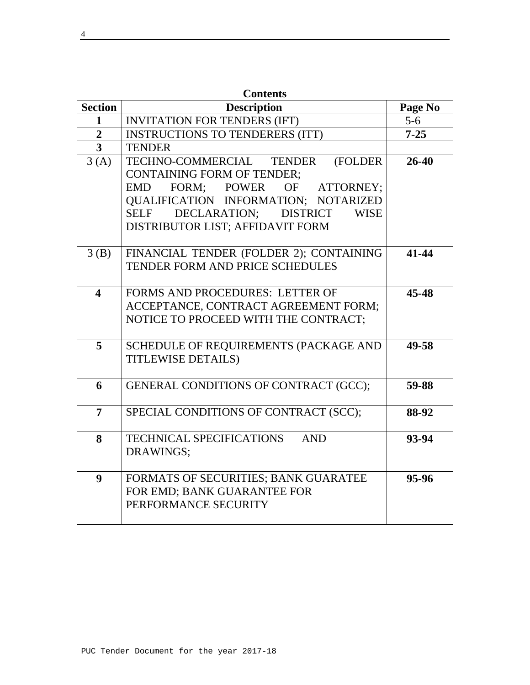| <b>Contents</b>         |                                                               |          |  |  |
|-------------------------|---------------------------------------------------------------|----------|--|--|
| <b>Section</b>          | <b>Description</b>                                            | Page No  |  |  |
| $\mathbf{1}$            | <b>INVITATION FOR TENDERS (IFT)</b>                           | $5-6$    |  |  |
| $\overline{2}$          | <b>INSTRUCTIONS TO TENDERERS (ITT)</b>                        | $7 - 25$ |  |  |
| $\overline{3}$          | <b>TENDER</b>                                                 |          |  |  |
| 3(A)                    | TECHNO-COMMERCIAL TENDER<br>(FOLDER                           | 26-40    |  |  |
|                         | <b>CONTAINING FORM OF TENDER:</b>                             |          |  |  |
|                         | EMD FORM; POWER OF ATTORNEY;                                  |          |  |  |
|                         | <b>QUALIFICATION INFORMATION; NOTARIZED</b>                   |          |  |  |
|                         | DECLARATION;<br><b>DISTRICT</b><br><b>SELF</b><br><b>WISE</b> |          |  |  |
|                         | DISTRIBUTOR LIST; AFFIDAVIT FORM                              |          |  |  |
|                         |                                                               |          |  |  |
| 3(B)                    | FINANCIAL TENDER (FOLDER 2); CONTAINING                       | 41-44    |  |  |
|                         | <b>TENDER FORM AND PRICE SCHEDULES</b>                        |          |  |  |
|                         |                                                               |          |  |  |
| $\overline{\mathbf{4}}$ | FORMS AND PROCEDURES: LETTER OF                               | 45-48    |  |  |
|                         | ACCEPTANCE, CONTRACT AGREEMENT FORM;                          |          |  |  |
|                         | NOTICE TO PROCEED WITH THE CONTRACT;                          |          |  |  |
| 5                       | SCHEDULE OF REQUIREMENTS (PACKAGE AND                         | 49-58    |  |  |
|                         | <b>TITLEWISE DETAILS)</b>                                     |          |  |  |
|                         |                                                               |          |  |  |
| 6                       | GENERAL CONDITIONS OF CONTRACT (GCC);                         | 59-88    |  |  |
|                         |                                                               |          |  |  |
| 7                       | SPECIAL CONDITIONS OF CONTRACT (SCC);                         | 88-92    |  |  |
|                         |                                                               |          |  |  |
| 8                       | <b>TECHNICAL SPECIFICATIONS</b><br><b>AND</b>                 | 93-94    |  |  |
|                         | DRAWINGS;                                                     |          |  |  |
|                         |                                                               |          |  |  |
| $\boldsymbol{9}$        | FORMATS OF SECURITIES; BANK GUARATEE                          | 95-96    |  |  |
|                         | FOR EMD; BANK GUARANTEE FOR                                   |          |  |  |
|                         | PERFORMANCE SECURITY                                          |          |  |  |
|                         |                                                               |          |  |  |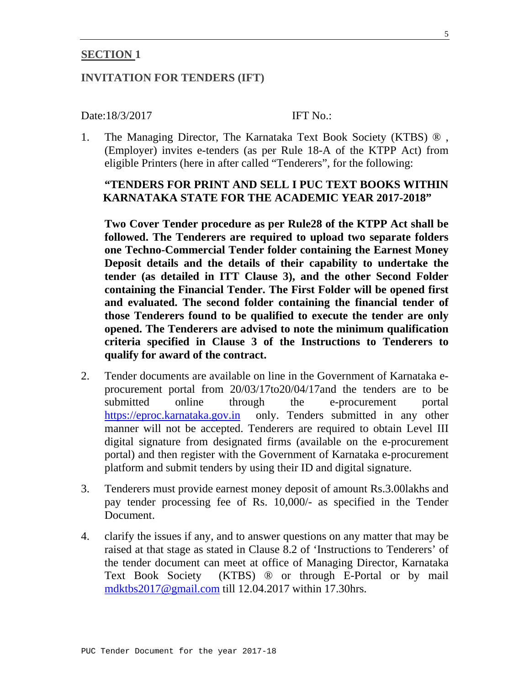#### **SECTION 1**

#### **INVITATION FOR TENDERS (IFT)**

#### Date:18/3/2017 **IFT No.:**

1. The Managing Director, The Karnataka Text Book Society (KTBS) ® , (Employer) invites e-tenders (as per Rule 18-A of the KTPP Act) from eligible Printers (here in after called "Tenderers", for the following:

## **"TENDERS FOR PRINT AND SELL I PUC TEXT BOOKS WITHIN KARNATAKA STATE FOR THE ACADEMIC YEAR 2017-2018"**

**Two Cover Tender procedure as per Rule28 of the KTPP Act shall be followed. The Tenderers are required to upload two separate folders one Techno-Commercial Tender folder containing the Earnest Money Deposit details and the details of their capability to undertake the tender (as detailed in ITT Clause 3), and the other Second Folder containing the Financial Tender. The First Folder will be opened first and evaluated. The second folder containing the financial tender of those Tenderers found to be qualified to execute the tender are only opened. The Tenderers are advised to note the minimum qualification criteria specified in Clause 3 of the Instructions to Tenderers to qualify for award of the contract.** 

- 2. Tender documents are available on line in the Government of Karnataka eprocurement portal from 20/03/17to20/04/17and the tenders are to be submitted online through the e-procurement portal https://eproc.karnataka.gov.in only. Tenders submitted in any other manner will not be accepted. Tenderers are required to obtain Level III digital signature from designated firms (available on the e-procurement portal) and then register with the Government of Karnataka e-procurement platform and submit tenders by using their ID and digital signature.
- 3. Tenderers must provide earnest money deposit of amount Rs.3.00lakhs and pay tender processing fee of Rs. 10,000/- as specified in the Tender Document.
- 4. clarify the issues if any, and to answer questions on any matter that may be raised at that stage as stated in Clause 8.2 of 'Instructions to Tenderers' of the tender document can meet at office of Managing Director, Karnataka Text Book Society (KTBS) ® or through E-Portal or by mail mdktbs2017@gmail.com till 12.04.2017 within 17.30hrs.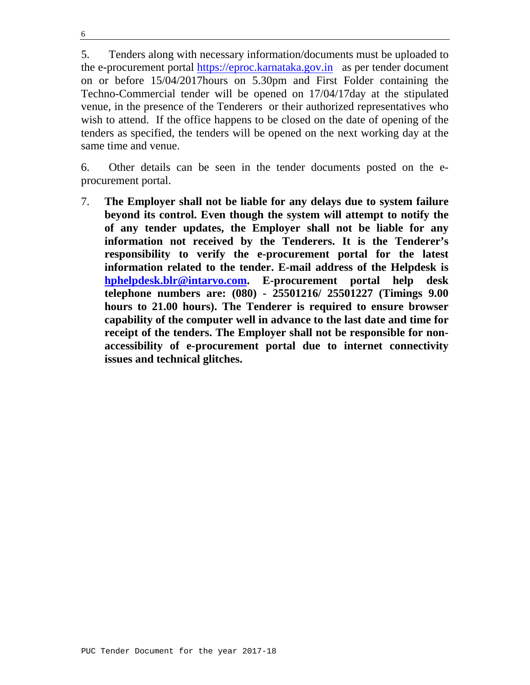6

5. Tenders along with necessary information/documents must be uploaded to the e-procurement portal https://eproc.karnataka.gov.in as per tender document on or before 15/04/2017hours on 5.30pm and First Folder containing the Techno-Commercial tender will be opened on 17/04/17day at the stipulated venue, in the presence of the Tenderers or their authorized representatives who wish to attend. If the office happens to be closed on the date of opening of the tenders as specified, the tenders will be opened on the next working day at the same time and venue.

6. Other details can be seen in the tender documents posted on the eprocurement portal.

7. **The Employer shall not be liable for any delays due to system failure beyond its control. Even though the system will attempt to notify the of any tender updates, the Employer shall not be liable for any information not received by the Tenderers. It is the Tenderer's responsibility to verify the e-procurement portal for the latest information related to the tender. E-mail address of the Helpdesk is hphelpdesk.blr@intarvo.com. E-procurement portal help desk telephone numbers are: (080) - 25501216/ 25501227 (Timings 9.00 hours to 21.00 hours). The Tenderer is required to ensure browser capability of the computer well in advance to the last date and time for receipt of the tenders. The Employer shall not be responsible for nonaccessibility of e-procurement portal due to internet connectivity issues and technical glitches.**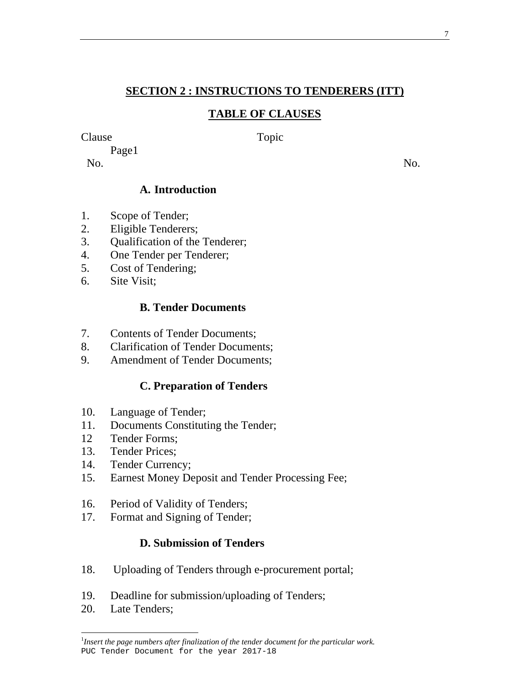## **SECTION 2 : INSTRUCTIONS TO TENDERERS (ITT)**

## **TABLE OF CLAUSES**

#### Clause Topic

Page1

No. No.

## **A. Introduction**

- 1. Scope of Tender;
- 2. Eligible Tenderers;
- 3. Qualification of the Tenderer;
- 4. One Tender per Tenderer;
- 5. Cost of Tendering;
- 6. Site Visit;

## **B. Tender Documents**

- 7. Contents of Tender Documents;
- 8. Clarification of Tender Documents;
- 9. Amendment of Tender Documents;

## **C. Preparation of Tenders**

- 10. Language of Tender;
- 11. Documents Constituting the Tender;
- 12 Tender Forms;
- 13. Tender Prices;
- 14. Tender Currency;
- 15. Earnest Money Deposit and Tender Processing Fee;
- 16. Period of Validity of Tenders;
- 17. Format and Signing of Tender;

# **D. Submission of Tenders**

- 18. Uploading of Tenders through e-procurement portal;
- 19. Deadline for submission/uploading of Tenders;
- 20. Late Tenders;

PUC Tender Document for the year 2017-18 <sup>1</sup>Insert the page numbers after finalization of the tender document for the particular work.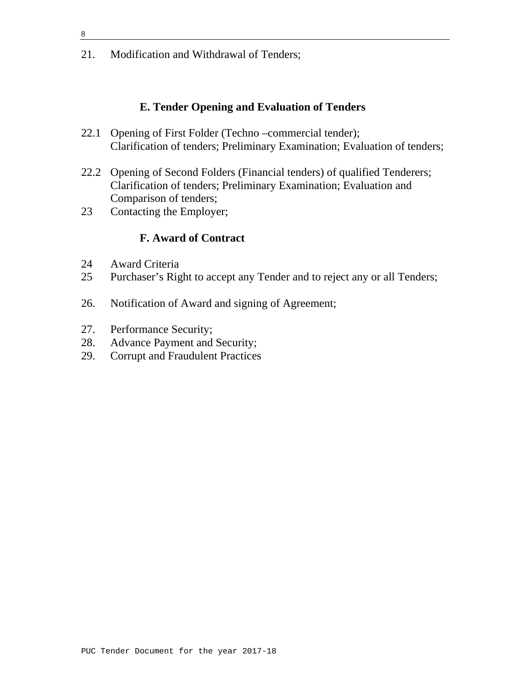21. Modification and Withdrawal of Tenders;

#### **E. Tender Opening and Evaluation of Tenders**

- 22.1 Opening of First Folder (Techno –commercial tender); Clarification of tenders; Preliminary Examination; Evaluation of tenders;
- 22.2 Opening of Second Folders (Financial tenders) of qualified Tenderers; Clarification of tenders; Preliminary Examination; Evaluation and Comparison of tenders;
- 23 Contacting the Employer;

#### **F. Award of Contract**

- 24 Award Criteria
- 25 Purchaser's Right to accept any Tender and to reject any or all Tenders;
- 26. Notification of Award and signing of Agreement;
- 27. Performance Security;
- 28. Advance Payment and Security;
- 29. Corrupt and Fraudulent Practices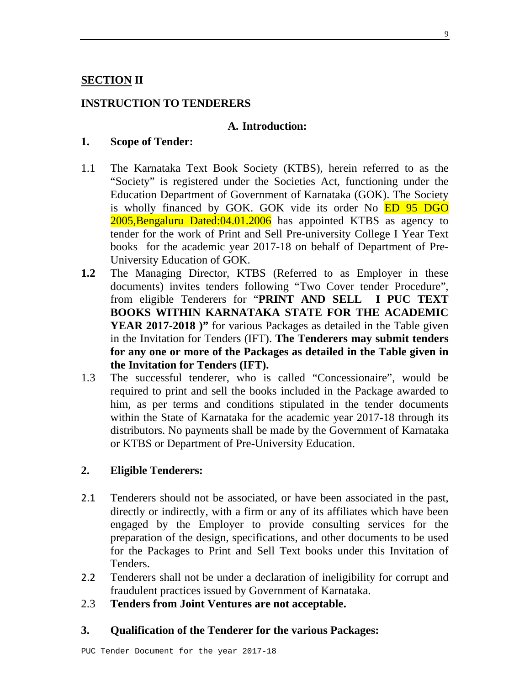#### **SECTION II**

#### **INSTRUCTION TO TENDERERS**

#### **A. Introduction:**

#### **1. Scope of Tender:**

- 1.1 The Karnataka Text Book Society (KTBS), herein referred to as the "Society" is registered under the Societies Act, functioning under the Education Department of Government of Karnataka (GOK). The Society is wholly financed by GOK. GOK vide its order No ED 95 DGO 2005,Bengaluru Dated:04.01.2006 has appointed KTBS as agency to tender for the work of Print and Sell Pre-university College I Year Text books for the academic year 2017-18 on behalf of Department of Pre-University Education of GOK.
- **1.2** The Managing Director, KTBS (Referred to as Employer in these documents) invites tenders following "Two Cover tender Procedure", from eligible Tenderers for "**PRINT AND SELL I PUC TEXT BOOKS WITHIN KARNATAKA STATE FOR THE ACADEMIC**  YEAR 2017-2018 )" for various Packages as detailed in the Table given in the Invitation for Tenders (IFT). **The Tenderers may submit tenders for any one or more of the Packages as detailed in the Table given in the Invitation for Tenders (IFT).**
- 1.3 The successful tenderer, who is called "Concessionaire", would be required to print and sell the books included in the Package awarded to him, as per terms and conditions stipulated in the tender documents within the State of Karnataka for the academic year 2017-18 through its distributors. No payments shall be made by the Government of Karnataka or KTBS or Department of Pre-University Education.

#### **2. Eligible Tenderers:**

- 2.1 Tenderers should not be associated, or have been associated in the past, directly or indirectly, with a firm or any of its affiliates which have been engaged by the Employer to provide consulting services for the preparation of the design, specifications, and other documents to be used for the Packages to Print and Sell Text books under this Invitation of Tenders.
- 2.2 Tenderers shall not be under a declaration of ineligibility for corrupt and fraudulent practices issued by Government of Karnataka.
- 2.3 **Tenders from Joint Ventures are not acceptable.**

#### **3. Qualification of the Tenderer for the various Packages:**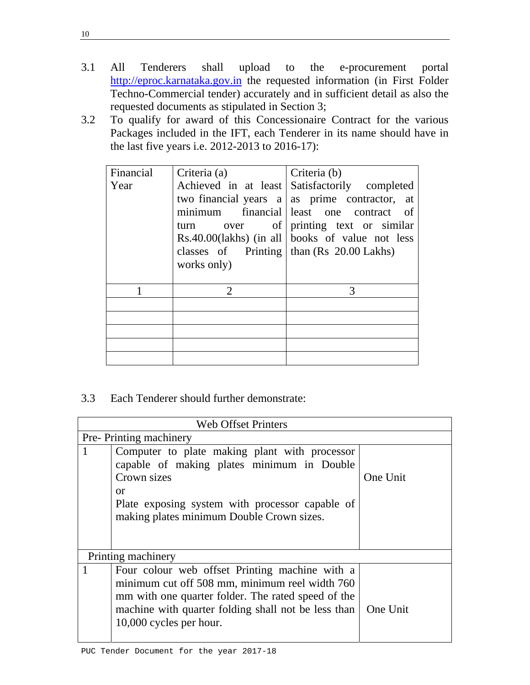- 3.1 All Tenderers shall upload to the e-procurement portal http://eproc.karnataka.gov.in the requested information (in First Folder Techno-Commercial tender) accurately and in sufficient detail as also the requested documents as stipulated in Section 3;
- 3.2 To qualify for award of this Concessionaire Contract for the various Packages included in the IFT, each Tenderer in its name should have in the last five years i.e. 2012-2013 to 2016-17):

| Financial |                                                |                                                      |
|-----------|------------------------------------------------|------------------------------------------------------|
|           | Criteria (a)                                   | Criteria (b)                                         |
| Year      |                                                | Achieved in at least Satisfactorily completed        |
|           |                                                | two financial years $a \mid as$ prime contractor, at |
|           |                                                | minimum financial least one contract of              |
|           | turn                                           | over of printing text or similar                     |
|           |                                                | $Rs.40.00(lakhs)$ (in all books of value not less    |
|           | classes of Printing   than $(Rs\ 20.00$ Lakhs) |                                                      |
|           | works only)                                    |                                                      |
|           |                                                |                                                      |
|           | $\mathcal{D}_{\cdot}$                          | 3                                                    |
|           |                                                |                                                      |
|           |                                                |                                                      |
|           |                                                |                                                      |
|           |                                                |                                                      |
|           |                                                |                                                      |

3.3 Each Tenderer should further demonstrate:

|              | <b>Web Offset Printers</b>                                                                                                                                                                                                               |          |  |  |  |
|--------------|------------------------------------------------------------------------------------------------------------------------------------------------------------------------------------------------------------------------------------------|----------|--|--|--|
|              | Pre-Printing machinery                                                                                                                                                                                                                   |          |  |  |  |
| $\mathbf{1}$ | Computer to plate making plant with processor<br>capable of making plates minimum in Double<br>Crown sizes<br><sub>or</sub><br>Plate exposing system with processor capable of<br>making plates minimum Double Crown sizes.              | One Unit |  |  |  |
|              | Printing machinery                                                                                                                                                                                                                       |          |  |  |  |
|              | Four colour web offset Printing machine with a<br>minimum cut off 508 mm, minimum reel width 760<br>mm with one quarter folder. The rated speed of the<br>machine with quarter folding shall not be less than<br>10,000 cycles per hour. | One Unit |  |  |  |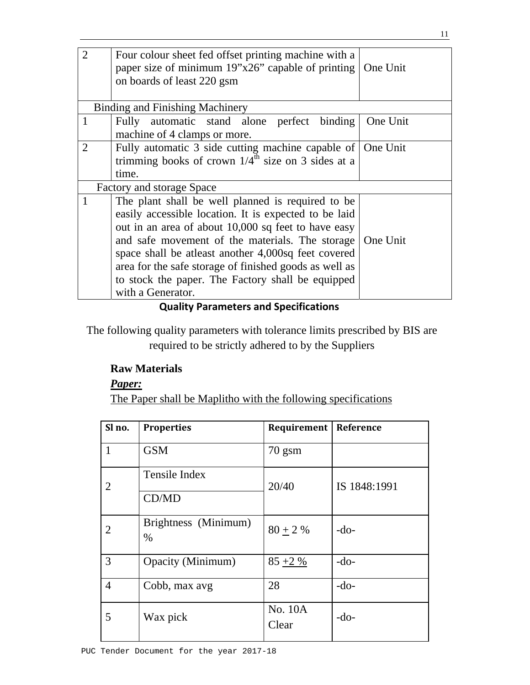| paper size of minimum $19"x26"$ capable of printing $\vert$ One Unit<br>on boards of least 220 gsm |  |
|----------------------------------------------------------------------------------------------------|--|
| <b>Binding and Finishing Machinery</b>                                                             |  |
| $\mathbf{1}$<br>Fully automatic stand alone perfect binding<br>One Unit                            |  |
| machine of 4 clamps or more.                                                                       |  |
| $\overline{2}$<br>Fully automatic 3 side cutting machine capable of One Unit                       |  |
| trimming books of crown $1/4^{\text{th}}$ size on 3 sides at a                                     |  |
| time.                                                                                              |  |
| Factory and storage Space                                                                          |  |
| The plant shall be well planned is required to be                                                  |  |
| easily accessible location. It is expected to be laid                                              |  |
| out in an area of about 10,000 sq feet to have easy                                                |  |
| and safe movement of the materials. The storage<br>One Unit                                        |  |
| space shall be atleast another 4,000sq feet covered                                                |  |
|                                                                                                    |  |
| area for the safe storage of finished goods as well as                                             |  |
| to stock the paper. The Factory shall be equipped                                                  |  |
| with a Generator.                                                                                  |  |

#### **Quality Parameters and Specifications**

The following quality parameters with tolerance limits prescribed by BIS are required to be strictly adhered to by the Suppliers

## **Raw Materials**

*Paper:*

The Paper shall be Maplitho with the following specifications

| Sl no.         | <b>Properties</b>            | Requirement      | Reference    |
|----------------|------------------------------|------------------|--------------|
| $\mathbf{1}$   | <b>GSM</b>                   | $70$ gsm         |              |
| 2              | Tensile Index                | 20/40            | IS 1848:1991 |
|                | CD/MD                        |                  |              |
| 2              | Brightness (Minimum)<br>$\%$ | $80 + 2 %$       | $-do-$       |
| 3              | Opacity (Minimum)            | $85 + 2\%$       | $-do-$       |
| $\overline{4}$ | Cobb, max avg                | 28               | $-do-$       |
| 5              | Wax pick                     | No. 10A<br>Clear | $-do-$       |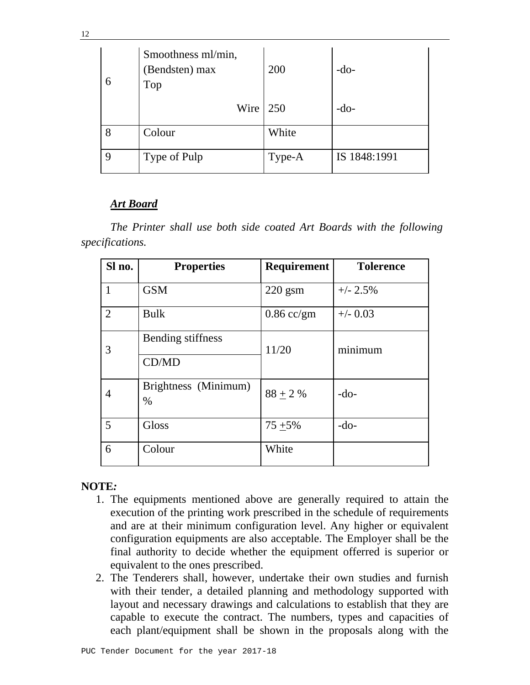| 6 | Smoothness ml/min,<br>(Bendsten) max<br>Top | 200    | $-do-$       |
|---|---------------------------------------------|--------|--------------|
|   | Wire $\vert$ 250                            |        | $-do-$       |
|   | Colour                                      | White  |              |
|   | Type of Pulp                                | Type-A | IS 1848:1991 |

#### *Art Board*

*The Printer shall use both side coated Art Boards with the following specifications.* 

| Sl no. | <b>Properties</b>            | <b>Requirement</b> | <b>Tolerence</b> |  |
|--------|------------------------------|--------------------|------------------|--|
| 1      | <b>GSM</b>                   | $220$ gsm          | $+/- 2.5\%$      |  |
| 2      | <b>Bulk</b>                  | $0.86$ cc/gm       | $+/-$ 0.03       |  |
| 3      | Bending stiffness<br>CD/MD   | 11/20              | minimum          |  |
| 4      | Brightness (Minimum)<br>$\%$ | $88 + 2 %$         | $-do-$           |  |
| 5      | Gloss                        | $75 + 5\%$         | $-do-$           |  |
| 6      | Colour                       | White              |                  |  |

## **NOTE***:*

- 1. The equipments mentioned above are generally required to attain the execution of the printing work prescribed in the schedule of requirements and are at their minimum configuration level. Any higher or equivalent configuration equipments are also acceptable. The Employer shall be the final authority to decide whether the equipment offerred is superior or equivalent to the ones prescribed.
- 2. The Tenderers shall, however, undertake their own studies and furnish with their tender, a detailed planning and methodology supported with layout and necessary drawings and calculations to establish that they are capable to execute the contract. The numbers, types and capacities of each plant/equipment shall be shown in the proposals along with the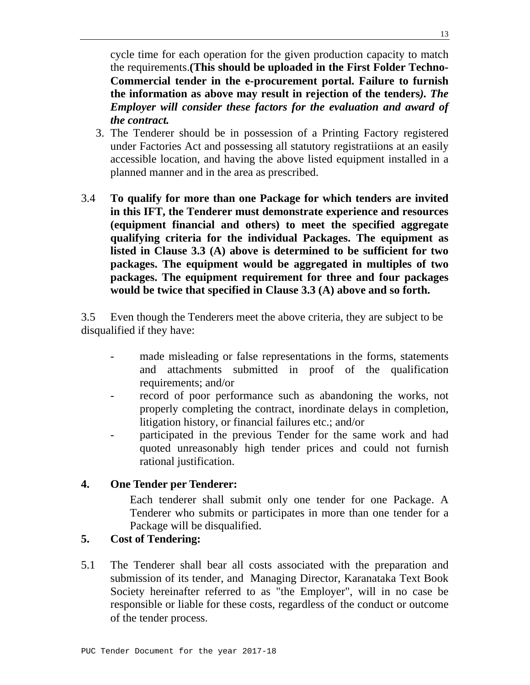cycle time for each operation for the given production capacity to match the requirements.**(This should be uploaded in the First Folder Techno-Commercial tender in the e-procurement portal. Failure to furnish the information as above may result in rejection of the tenders***). The Employer will consider these factors for the evaluation and award of the contract.*

- 3. The Tenderer should be in possession of a Printing Factory registered under Factories Act and possessing all statutory registratiions at an easily accessible location, and having the above listed equipment installed in a planned manner and in the area as prescribed.
- 3.4 **To qualify for more than one Package for which tenders are invited in this IFT, the Tenderer must demonstrate experience and resources (equipment financial and others) to meet the specified aggregate qualifying criteria for the individual Packages. The equipment as listed in Clause 3.3 (A) above is determined to be sufficient for two packages. The equipment would be aggregated in multiples of two packages. The equipment requirement for three and four packages would be twice that specified in Clause 3.3 (A) above and so forth.**

3.5 Even though the Tenderers meet the above criteria, they are subject to be disqualified if they have:

- made misleading or false representations in the forms, statements and attachments submitted in proof of the qualification requirements; and/or
- record of poor performance such as abandoning the works, not properly completing the contract, inordinate delays in completion, litigation history, or financial failures etc.; and/or
- participated in the previous Tender for the same work and had quoted unreasonably high tender prices and could not furnish rational justification.

## **4. One Tender per Tenderer:**

Each tenderer shall submit only one tender for one Package. A Tenderer who submits or participates in more than one tender for a Package will be disqualified.

## **5. Cost of Tendering:**

5.1 The Tenderer shall bear all costs associated with the preparation and submission of its tender, and Managing Director, Karanataka Text Book Society hereinafter referred to as "the Employer", will in no case be responsible or liable for these costs, regardless of the conduct or outcome of the tender process.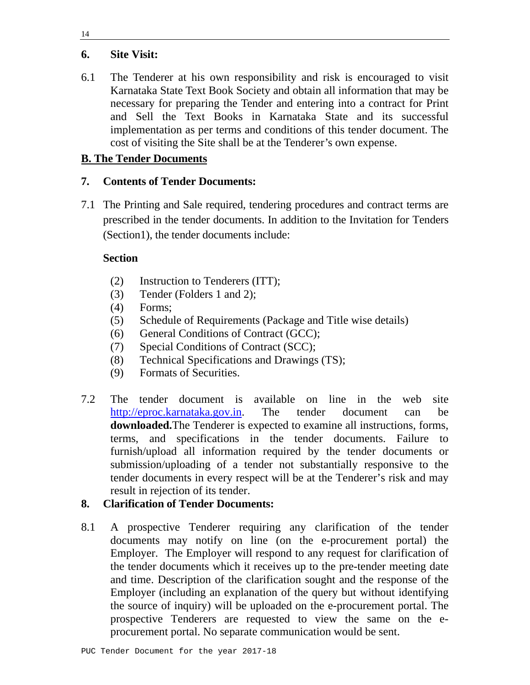## **6. Site Visit:**

6.1 The Tenderer at his own responsibility and risk is encouraged to visit Karnataka State Text Book Society and obtain all information that may be necessary for preparing the Tender and entering into a contract for Print and Sell the Text Books in Karnataka State and its successful implementation as per terms and conditions of this tender document. The cost of visiting the Site shall be at the Tenderer's own expense.

## **B. The Tender Documents**

## **7. Contents of Tender Documents:**

7.1 The Printing and Sale required, tendering procedures and contract terms are prescribed in the tender documents. In addition to the Invitation for Tenders (Section1), the tender documents include:

## **Section**

- (2) Instruction to Tenderers (ITT);
- (3) Tender (Folders 1 and 2);
- (4) Forms;
- (5) Schedule of Requirements (Package and Title wise details)
- (6) General Conditions of Contract (GCC);
- (7) Special Conditions of Contract (SCC);
- (8) Technical Specifications and Drawings (TS);
- (9) Formats of Securities.
- 7.2 The tender document is available on line in the web site http://eproc.karnataka.gov.in. The tender document can be **downloaded.**The Tenderer is expected to examine all instructions, forms, terms, and specifications in the tender documents. Failure to furnish/upload all information required by the tender documents or submission/uploading of a tender not substantially responsive to the tender documents in every respect will be at the Tenderer's risk and may result in rejection of its tender.

## **8. Clarification of Tender Documents:**

8.1 A prospective Tenderer requiring any clarification of the tender documents may notify on line (on the e-procurement portal) the Employer. The Employer will respond to any request for clarification of the tender documents which it receives up to the pre-tender meeting date and time. Description of the clarification sought and the response of the Employer (including an explanation of the query but without identifying the source of inquiry) will be uploaded on the e-procurement portal. The prospective Tenderers are requested to view the same on the eprocurement portal. No separate communication would be sent.

14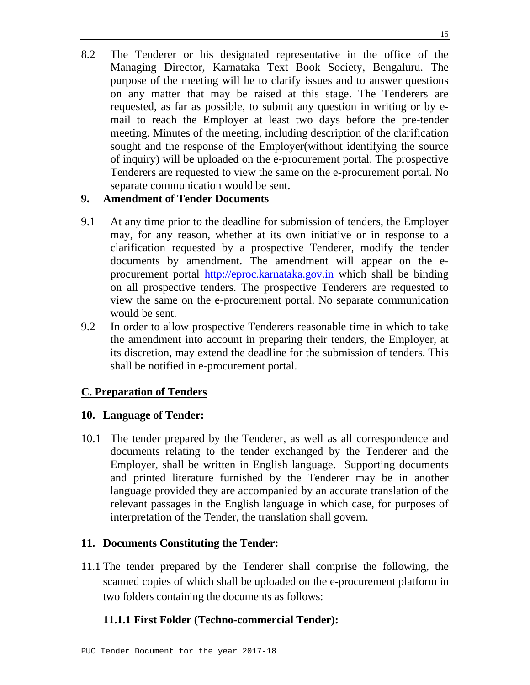8.2 The Tenderer or his designated representative in the office of the Managing Director, Karnataka Text Book Society, Bengaluru. The purpose of the meeting will be to clarify issues and to answer questions on any matter that may be raised at this stage. The Tenderers are requested, as far as possible, to submit any question in writing or by email to reach the Employer at least two days before the pre-tender meeting. Minutes of the meeting, including description of the clarification sought and the response of the Employer(without identifying the source of inquiry) will be uploaded on the e-procurement portal. The prospective Tenderers are requested to view the same on the e-procurement portal. No separate communication would be sent.

#### **9. Amendment of Tender Documents**

- 9.1 At any time prior to the deadline for submission of tenders, the Employer may, for any reason, whether at its own initiative or in response to a clarification requested by a prospective Tenderer, modify the tender documents by amendment. The amendment will appear on the eprocurement portal http://eproc.karnataka.gov.in which shall be binding on all prospective tenders. The prospective Tenderers are requested to view the same on the e-procurement portal. No separate communication would be sent.
- 9.2 In order to allow prospective Tenderers reasonable time in which to take the amendment into account in preparing their tenders, the Employer, at its discretion, may extend the deadline for the submission of tenders. This shall be notified in e-procurement portal.

## **C. Preparation of Tenders**

## **10. Language of Tender:**

10.1 The tender prepared by the Tenderer, as well as all correspondence and documents relating to the tender exchanged by the Tenderer and the Employer, shall be written in English language. Supporting documents and printed literature furnished by the Tenderer may be in another language provided they are accompanied by an accurate translation of the relevant passages in the English language in which case, for purposes of interpretation of the Tender, the translation shall govern.

## **11. Documents Constituting the Tender:**

11.1 The tender prepared by the Tenderer shall comprise the following, the scanned copies of which shall be uploaded on the e-procurement platform in two folders containing the documents as follows:

## **11.1.1 First Folder (Techno-commercial Tender):**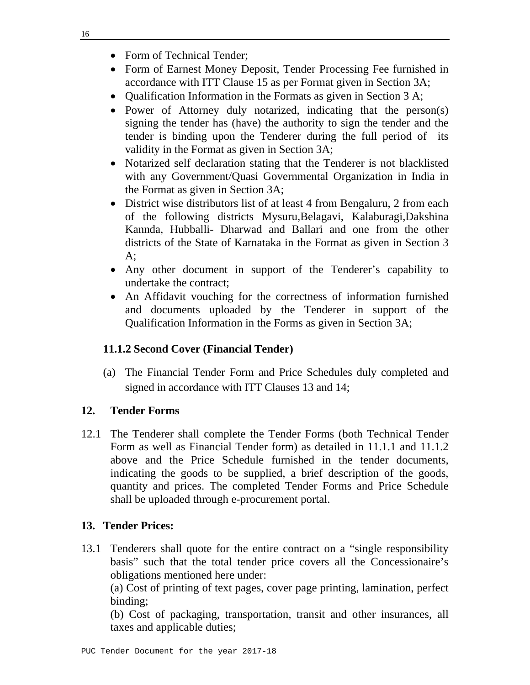- Form of Technical Tender;
- Form of Earnest Money Deposit, Tender Processing Fee furnished in accordance with ITT Clause 15 as per Format given in Section 3A;
- Qualification Information in the Formats as given in Section 3 A;
- Power of Attorney duly notarized, indicating that the person(s) signing the tender has (have) the authority to sign the tender and the tender is binding upon the Tenderer during the full period of its validity in the Format as given in Section 3A;
- Notarized self declaration stating that the Tenderer is not blacklisted with any Government/Quasi Governmental Organization in India in the Format as given in Section 3A;
- District wise distributors list of at least 4 from Bengaluru, 2 from each of the following districts Mysuru,Belagavi, Kalaburagi,Dakshina Kannda, Hubballi- Dharwad and Ballari and one from the other districts of the State of Karnataka in the Format as given in Section 3  $A$ ;
- Any other document in support of the Tenderer's capability to undertake the contract;
- An Affidavit vouching for the correctness of information furnished and documents uploaded by the Tenderer in support of the Qualification Information in the Forms as given in Section 3A;

## **11.1.2 Second Cover (Financial Tender)**

 (a) The Financial Tender Form and Price Schedules duly completed and signed in accordance with ITT Clauses 13 and 14;

## **12. Tender Forms**

12.1 The Tenderer shall complete the Tender Forms (both Technical Tender Form as well as Financial Tender form) as detailed in 11.1.1 and 11.1.2 above and the Price Schedule furnished in the tender documents, indicating the goods to be supplied, a brief description of the goods, quantity and prices. The completed Tender Forms and Price Schedule shall be uploaded through e-procurement portal.

## **13. Tender Prices:**

13.1 Tenderers shall quote for the entire contract on a "single responsibility basis" such that the total tender price covers all the Concessionaire's obligations mentioned here under:

 (a) Cost of printing of text pages, cover page printing, lamination, perfect binding;

 (b) Cost of packaging, transportation, transit and other insurances, all taxes and applicable duties;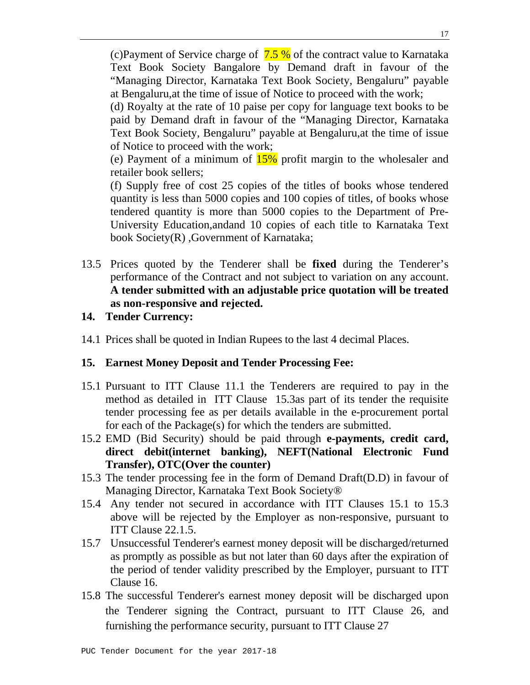(c)Payment of Service charge of  $7.5\%$  of the contract value to Karnataka Text Book Society Bangalore by Demand draft in favour of the "Managing Director, Karnataka Text Book Society, Bengaluru" payable at Bengaluru,at the time of issue of Notice to proceed with the work;

 (d) Royalty at the rate of 10 paise per copy for language text books to be paid by Demand draft in favour of the "Managing Director, Karnataka Text Book Society, Bengaluru" payable at Bengaluru,at the time of issue of Notice to proceed with the work;

 (e) Payment of a minimum of 15% profit margin to the wholesaler and retailer book sellers;

 (f) Supply free of cost 25 copies of the titles of books whose tendered quantity is less than 5000 copies and 100 copies of titles, of books whose tendered quantity is more than 5000 copies to the Department of Pre-University Education,andand 10 copies of each title to Karnataka Text book Society(R) ,Government of Karnataka;

13.5 Prices quoted by the Tenderer shall be **fixed** during the Tenderer's performance of the Contract and not subject to variation on any account. **A tender submitted with an adjustable price quotation will be treated as non-responsive and rejected.** 

#### **14. Tender Currency:**

14.1 Prices shall be quoted in Indian Rupees to the last 4 decimal Places.

#### **15. Earnest Money Deposit and Tender Processing Fee:**

- 15.1 Pursuant to ITT Clause 11.1 the Tenderers are required to pay in the method as detailed in ITT Clause 15.3as part of its tender the requisite tender processing fee as per details available in the e-procurement portal for each of the Package(s) for which the tenders are submitted.
- 15.2 EMD (Bid Security) should be paid through **e-payments, credit card, direct debit(internet banking), NEFT(National Electronic Fund Transfer), OTC(Over the counter)**
- 15.3 The tender processing fee in the form of Demand Draft(D.D) in favour of Managing Director, Karnataka Text Book Society®
- 15.4 Any tender not secured in accordance with ITT Clauses 15.1 to 15.3 above will be rejected by the Employer as non-responsive, pursuant to ITT Clause 22.1.5.
- 15.7 Unsuccessful Tenderer's earnest money deposit will be discharged/returned as promptly as possible as but not later than 60 days after the expiration of the period of tender validity prescribed by the Employer, pursuant to ITT Clause 16.
- 15.8 The successful Tenderer's earnest money deposit will be discharged upon the Tenderer signing the Contract, pursuant to ITT Clause 26, and furnishing the performance security, pursuant to ITT Clause 27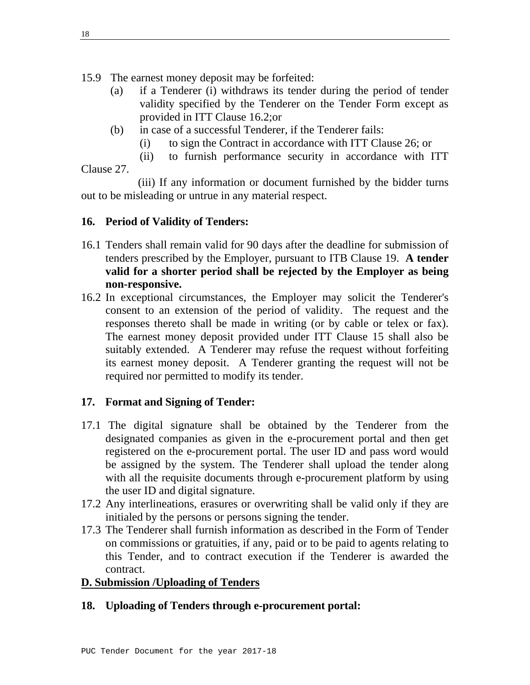15.9 The earnest money deposit may be forfeited:

- (a) if a Tenderer (i) withdraws its tender during the period of tender validity specified by the Tenderer on the Tender Form except as provided in ITT Clause 16.2;or
- (b) in case of a successful Tenderer, if the Tenderer fails:
	- (i) to sign the Contract in accordance with ITT Clause 26; or
	- (ii) to furnish performance security in accordance with ITT

## Clause 27.

 (iii) If any information or document furnished by the bidder turns out to be misleading or untrue in any material respect.

# **16. Period of Validity of Tenders:**

- 16.1 Tenders shall remain valid for 90 days after the deadline for submission of tenders prescribed by the Employer, pursuant to ITB Clause 19. **A tender valid for a shorter period shall be rejected by the Employer as being non-responsive.**
- 16.2 In exceptional circumstances, the Employer may solicit the Tenderer's consent to an extension of the period of validity. The request and the responses thereto shall be made in writing (or by cable or telex or fax). The earnest money deposit provided under ITT Clause 15 shall also be suitably extended. A Tenderer may refuse the request without forfeiting its earnest money deposit. A Tenderer granting the request will not be required nor permitted to modify its tender.

# **17. Format and Signing of Tender:**

- 17.1 The digital signature shall be obtained by the Tenderer from the designated companies as given in the e-procurement portal and then get registered on the e-procurement portal. The user ID and pass word would be assigned by the system. The Tenderer shall upload the tender along with all the requisite documents through e-procurement platform by using the user ID and digital signature.
- 17.2 Any interlineations, erasures or overwriting shall be valid only if they are initialed by the persons or persons signing the tender.
- 17.3 The Tenderer shall furnish information as described in the Form of Tender on commissions or gratuities, if any, paid or to be paid to agents relating to this Tender, and to contract execution if the Tenderer is awarded the contract.

## **D. Submission /Uploading of Tenders**

## **18. Uploading of Tenders through e-procurement portal:**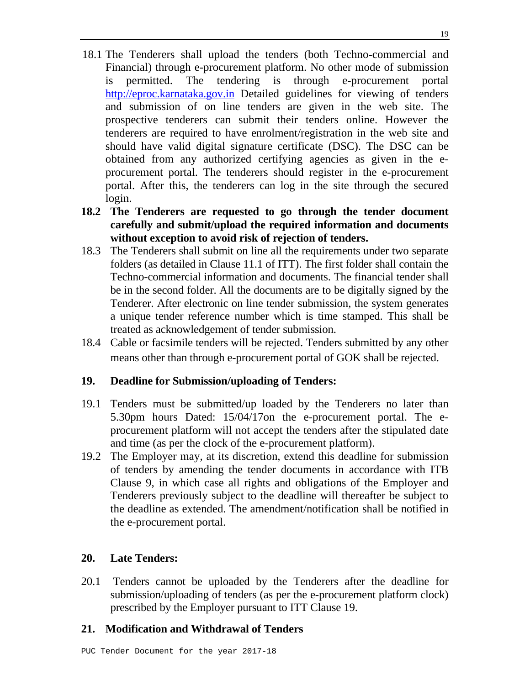- 18.1 The Tenderers shall upload the tenders (both Techno-commercial and Financial) through e-procurement platform. No other mode of submission is permitted. The tendering is through e-procurement portal http://eproc.karnataka.gov.in Detailed guidelines for viewing of tenders and submission of on line tenders are given in the web site. The prospective tenderers can submit their tenders online. However the tenderers are required to have enrolment/registration in the web site and should have valid digital signature certificate (DSC). The DSC can be obtained from any authorized certifying agencies as given in the eprocurement portal. The tenderers should register in the e-procurement portal. After this, the tenderers can log in the site through the secured login.
- **18.2 The Tenderers are requested to go through the tender document carefully and submit/upload the required information and documents without exception to avoid risk of rejection of tenders.**
- 18.3 The Tenderers shall submit on line all the requirements under two separate folders (as detailed in Clause 11.1 of ITT). The first folder shall contain the Techno-commercial information and documents. The financial tender shall be in the second folder. All the documents are to be digitally signed by the Tenderer. After electronic on line tender submission, the system generates a unique tender reference number which is time stamped. This shall be treated as acknowledgement of tender submission.
- 18.4 Cable or facsimile tenders will be rejected. Tenders submitted by any other means other than through e-procurement portal of GOK shall be rejected.

## **19. Deadline for Submission/uploading of Tenders:**

- 19.1 Tenders must be submitted/up loaded by the Tenderers no later than 5.30pm hours Dated: 15/04/17on the e-procurement portal. The eprocurement platform will not accept the tenders after the stipulated date and time (as per the clock of the e-procurement platform).
- 19.2 The Employer may, at its discretion, extend this deadline for submission of tenders by amending the tender documents in accordance with ITB Clause 9, in which case all rights and obligations of the Employer and Tenderers previously subject to the deadline will thereafter be subject to the deadline as extended. The amendment/notification shall be notified in the e-procurement portal.

## **20. Late Tenders:**

20.1 Tenders cannot be uploaded by the Tenderers after the deadline for submission/uploading of tenders (as per the e-procurement platform clock) prescribed by the Employer pursuant to ITT Clause 19.

## **21. Modification and Withdrawal of Tenders**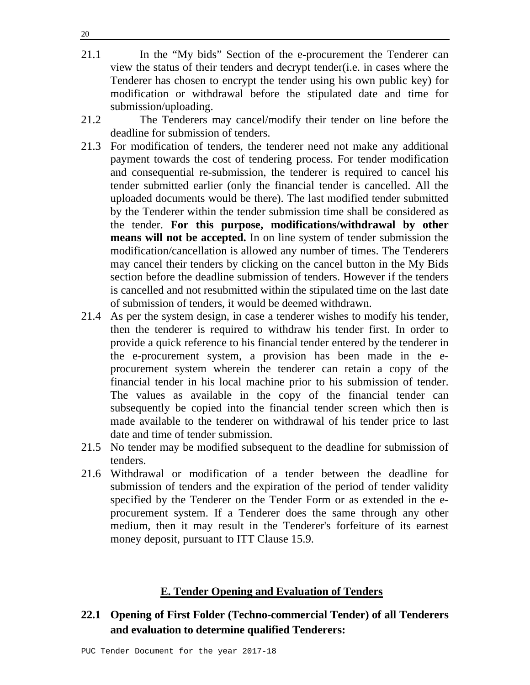- 21.1 In the "My bids" Section of the e-procurement the Tenderer can view the status of their tenders and decrypt tender(i.e. in cases where the Tenderer has chosen to encrypt the tender using his own public key) for modification or withdrawal before the stipulated date and time for submission/uploading.
- 21.2 The Tenderers may cancel/modify their tender on line before the deadline for submission of tenders.
- 21.3 For modification of tenders, the tenderer need not make any additional payment towards the cost of tendering process. For tender modification and consequential re-submission, the tenderer is required to cancel his tender submitted earlier (only the financial tender is cancelled. All the uploaded documents would be there). The last modified tender submitted by the Tenderer within the tender submission time shall be considered as the tender. **For this purpose, modifications/withdrawal by other means will not be accepted.** In on line system of tender submission the modification/cancellation is allowed any number of times. The Tenderers may cancel their tenders by clicking on the cancel button in the My Bids section before the deadline submission of tenders. However if the tenders is cancelled and not resubmitted within the stipulated time on the last date of submission of tenders, it would be deemed withdrawn.
- 21.4 As per the system design, in case a tenderer wishes to modify his tender, then the tenderer is required to withdraw his tender first. In order to provide a quick reference to his financial tender entered by the tenderer in the e-procurement system, a provision has been made in the eprocurement system wherein the tenderer can retain a copy of the financial tender in his local machine prior to his submission of tender. The values as available in the copy of the financial tender can subsequently be copied into the financial tender screen which then is made available to the tenderer on withdrawal of his tender price to last date and time of tender submission.
- 21.5 No tender may be modified subsequent to the deadline for submission of tenders.
- 21.6 Withdrawal or modification of a tender between the deadline for submission of tenders and the expiration of the period of tender validity specified by the Tenderer on the Tender Form or as extended in the eprocurement system. If a Tenderer does the same through any other medium, then it may result in the Tenderer's forfeiture of its earnest money deposit, pursuant to ITT Clause 15.9.

#### **E. Tender Opening and Evaluation of Tenders**

## **22.1 Opening of First Folder (Techno-commercial Tender) of all Tenderers and evaluation to determine qualified Tenderers:**

20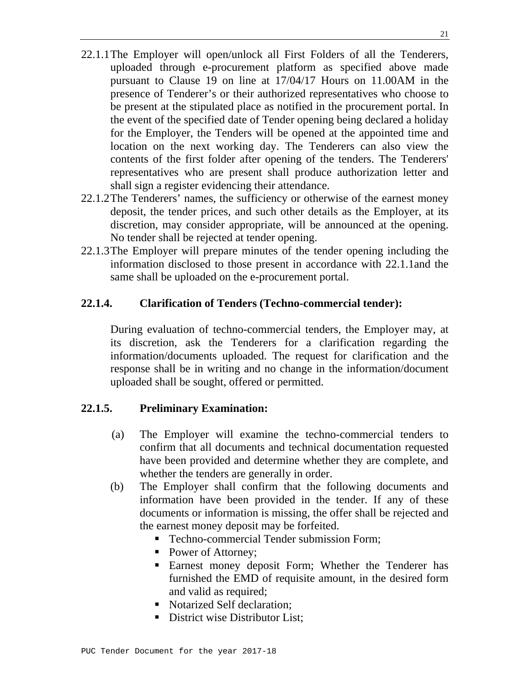- 22.1.1 The Employer will open/unlock all First Folders of all the Tenderers, uploaded through e-procurement platform as specified above made pursuant to Clause 19 on line at 17/04/17 Hours on 11.00AM in the presence of Tenderer's or their authorized representatives who choose to be present at the stipulated place as notified in the procurement portal. In the event of the specified date of Tender opening being declared a holiday for the Employer, the Tenders will be opened at the appointed time and location on the next working day. The Tenderers can also view the contents of the first folder after opening of the tenders. The Tenderers' representatives who are present shall produce authorization letter and shall sign a register evidencing their attendance.
- 22.1.2 The Tenderers' names, the sufficiency or otherwise of the earnest money deposit, the tender prices, and such other details as the Employer, at its discretion, may consider appropriate, will be announced at the opening. No tender shall be rejected at tender opening.
- 22.1.3 The Employer will prepare minutes of the tender opening including the information disclosed to those present in accordance with 22.1.1and the same shall be uploaded on the e-procurement portal.

## **22.1.4. Clarification of Tenders (Techno-commercial tender):**

During evaluation of techno-commercial tenders, the Employer may, at its discretion, ask the Tenderers for a clarification regarding the information/documents uploaded. The request for clarification and the response shall be in writing and no change in the information/document uploaded shall be sought, offered or permitted.

## **22.1.5. Preliminary Examination:**

- (a) The Employer will examine the techno-commercial tenders to confirm that all documents and technical documentation requested have been provided and determine whether they are complete, and whether the tenders are generally in order.
- (b) The Employer shall confirm that the following documents and information have been provided in the tender. If any of these documents or information is missing, the offer shall be rejected and the earnest money deposit may be forfeited.
	- **Techno-commercial Tender submission Form;**
	- Power of Attorney;
	- **Earnest money deposit Form; Whether the Tenderer has** furnished the EMD of requisite amount, in the desired form and valid as required;
	- Notarized Self declaration:
	- District wise Distributor List;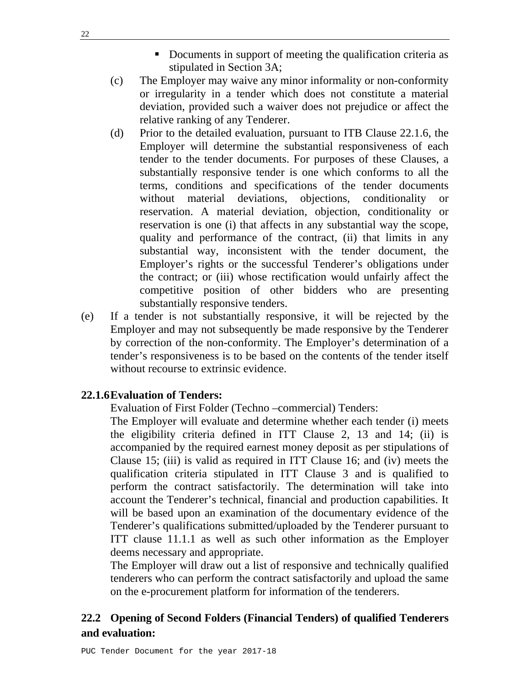- Documents in support of meeting the qualification criteria as stipulated in Section 3A;
- (c) The Employer may waive any minor informality or non-conformity or irregularity in a tender which does not constitute a material deviation, provided such a waiver does not prejudice or affect the relative ranking of any Tenderer.
- (d) Prior to the detailed evaluation, pursuant to ITB Clause 22.1.6, the Employer will determine the substantial responsiveness of each tender to the tender documents. For purposes of these Clauses, a substantially responsive tender is one which conforms to all the terms, conditions and specifications of the tender documents without material deviations, objections, conditionality or reservation. A material deviation, objection, conditionality or reservation is one (i) that affects in any substantial way the scope, quality and performance of the contract, (ii) that limits in any substantial way, inconsistent with the tender document, the Employer's rights or the successful Tenderer's obligations under the contract; or (iii) whose rectification would unfairly affect the competitive position of other bidders who are presenting substantially responsive tenders.
- (e) If a tender is not substantially responsive, it will be rejected by the Employer and may not subsequently be made responsive by the Tenderer by correction of the non-conformity. The Employer's determination of a tender's responsiveness is to be based on the contents of the tender itself without recourse to extrinsic evidence.

#### **22.1.6 Evaluation of Tenders:**

Evaluation of First Folder (Techno –commercial) Tenders:

The Employer will evaluate and determine whether each tender (i) meets the eligibility criteria defined in ITT Clause 2, 13 and 14; (ii) is accompanied by the required earnest money deposit as per stipulations of Clause 15; (iii) is valid as required in ITT Clause 16; and (iv) meets the qualification criteria stipulated in ITT Clause 3 and is qualified to perform the contract satisfactorily. The determination will take into account the Tenderer's technical, financial and production capabilities. It will be based upon an examination of the documentary evidence of the Tenderer's qualifications submitted/uploaded by the Tenderer pursuant to ITT clause 11.1.1 as well as such other information as the Employer deems necessary and appropriate.

The Employer will draw out a list of responsive and technically qualified tenderers who can perform the contract satisfactorily and upload the same on the e-procurement platform for information of the tenderers.

## **22.2 Opening of Second Folders (Financial Tenders) of qualified Tenderers and evaluation:**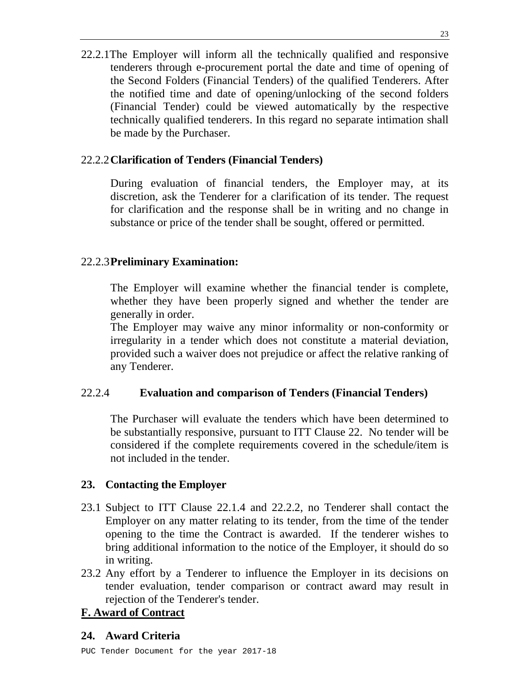22.2.1The Employer will inform all the technically qualified and responsive tenderers through e-procurement portal the date and time of opening of the Second Folders (Financial Tenders) of the qualified Tenderers. After the notified time and date of opening/unlocking of the second folders (Financial Tender) could be viewed automatically by the respective technically qualified tenderers. In this regard no separate intimation shall be made by the Purchaser.

## 22.2.2 **Clarification of Tenders (Financial Tenders)**

During evaluation of financial tenders, the Employer may, at its discretion, ask the Tenderer for a clarification of its tender. The request for clarification and the response shall be in writing and no change in substance or price of the tender shall be sought, offered or permitted.

#### 22.2.3 **Preliminary Examination:**

The Employer will examine whether the financial tender is complete, whether they have been properly signed and whether the tender are generally in order.

The Employer may waive any minor informality or non-conformity or irregularity in a tender which does not constitute a material deviation, provided such a waiver does not prejudice or affect the relative ranking of any Tenderer.

## 22.2.4 **Evaluation and comparison of Tenders (Financial Tenders)**

The Purchaser will evaluate the tenders which have been determined to be substantially responsive, pursuant to ITT Clause 22. No tender will be considered if the complete requirements covered in the schedule/item is not included in the tender.

#### **23. Contacting the Employer**

- 23.1 Subject to ITT Clause 22.1.4 and 22.2.2, no Tenderer shall contact the Employer on any matter relating to its tender, from the time of the tender opening to the time the Contract is awarded. If the tenderer wishes to bring additional information to the notice of the Employer, it should do so in writing.
- 23.2 Any effort by a Tenderer to influence the Employer in its decisions on tender evaluation, tender comparison or contract award may result in rejection of the Tenderer's tender.

## **F. Award of Contract**

## **24. Award Criteria**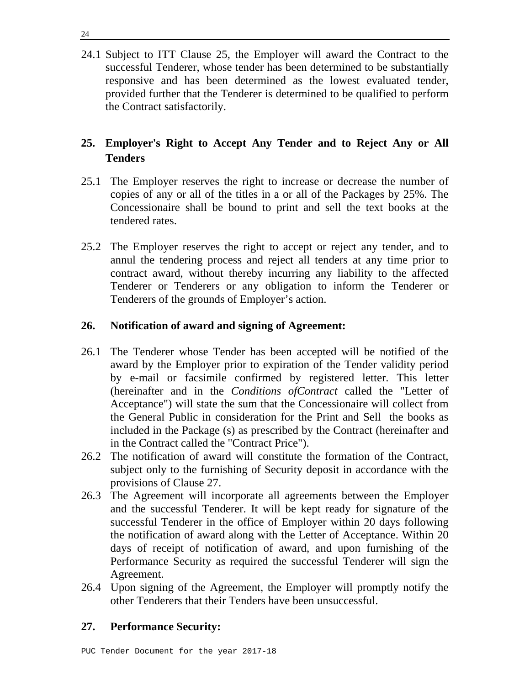24.1 Subject to ITT Clause 25, the Employer will award the Contract to the successful Tenderer, whose tender has been determined to be substantially responsive and has been determined as the lowest evaluated tender, provided further that the Tenderer is determined to be qualified to perform the Contract satisfactorily.

# **25. Employer's Right to Accept Any Tender and to Reject Any or All Tenders**

- 25.1 The Employer reserves the right to increase or decrease the number of copies of any or all of the titles in a or all of the Packages by 25%. The Concessionaire shall be bound to print and sell the text books at the tendered rates.
- 25.2 The Employer reserves the right to accept or reject any tender, and to annul the tendering process and reject all tenders at any time prior to contract award, without thereby incurring any liability to the affected Tenderer or Tenderers or any obligation to inform the Tenderer or Tenderers of the grounds of Employer's action.

## **26. Notification of award and signing of Agreement:**

- 26.1 The Tenderer whose Tender has been accepted will be notified of the award by the Employer prior to expiration of the Tender validity period by e-mail or facsimile confirmed by registered letter. This letter (hereinafter and in the *Conditions ofContract* called the "Letter of Acceptance") will state the sum that the Concessionaire will collect from the General Public in consideration for the Print and Sell the books as included in the Package (s) as prescribed by the Contract (hereinafter and in the Contract called the "Contract Price").
- 26.2 The notification of award will constitute the formation of the Contract, subject only to the furnishing of Security deposit in accordance with the provisions of Clause 27.
- 26.3 The Agreement will incorporate all agreements between the Employer and the successful Tenderer. It will be kept ready for signature of the successful Tenderer in the office of Employer within 20 days following the notification of award along with the Letter of Acceptance. Within 20 days of receipt of notification of award, and upon furnishing of the Performance Security as required the successful Tenderer will sign the Agreement.
- 26.4 Upon signing of the Agreement, the Employer will promptly notify the other Tenderers that their Tenders have been unsuccessful.

## **27. Performance Security:**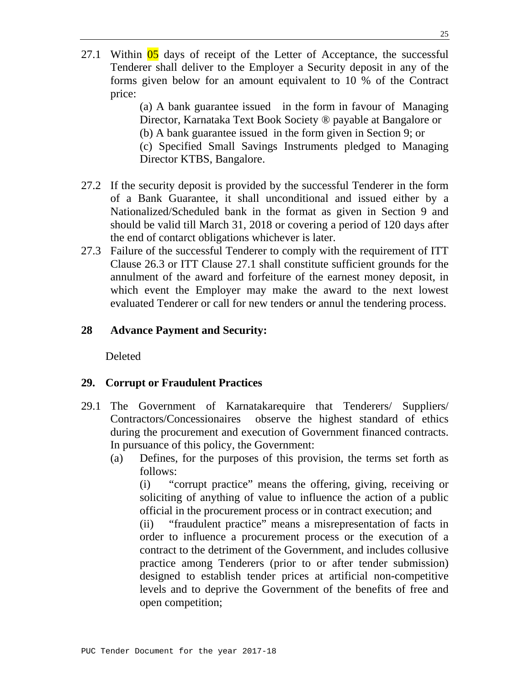27.1 Within  $\overline{05}$  days of receipt of the Letter of Acceptance, the successful Tenderer shall deliver to the Employer a Security deposit in any of the forms given below for an amount equivalent to 10 % of the Contract price:

> (a) A bank guarantee issued in the form in favour of Managing Director, Karnataka Text Book Society ® payable at Bangalore or (b) A bank guarantee issued in the form given in Section 9; or (c) Specified Small Savings Instruments pledged to Managing Director KTBS, Bangalore.

- 27.2 If the security deposit is provided by the successful Tenderer in the form of a Bank Guarantee, it shall unconditional and issued either by a Nationalized/Scheduled bank in the format as given in Section 9 and should be valid till March 31, 2018 or covering a period of 120 days after the end of contarct obligations whichever is later.
- 27.3 Failure of the successful Tenderer to comply with the requirement of ITT Clause 26.3 or ITT Clause 27.1 shall constitute sufficient grounds for the annulment of the award and forfeiture of the earnest money deposit, in which event the Employer may make the award to the next lowest evaluated Tenderer or call for new tenders or annul the tendering process.

#### **28 Advance Payment and Security:**

Deleted

#### **29. Corrupt or Fraudulent Practices**

- 29.1 The Government of Karnatakarequire that Tenderers/ Suppliers/ Contractors/Concessionaires observe the highest standard of ethics during the procurement and execution of Government financed contracts. In pursuance of this policy, the Government:
	- (a) Defines, for the purposes of this provision, the terms set forth as follows:

(i) "corrupt practice" means the offering, giving, receiving or soliciting of anything of value to influence the action of a public official in the procurement process or in contract execution; and

(ii) "fraudulent practice" means a misrepresentation of facts in order to influence a procurement process or the execution of a contract to the detriment of the Government, and includes collusive practice among Tenderers (prior to or after tender submission) designed to establish tender prices at artificial non-competitive levels and to deprive the Government of the benefits of free and open competition;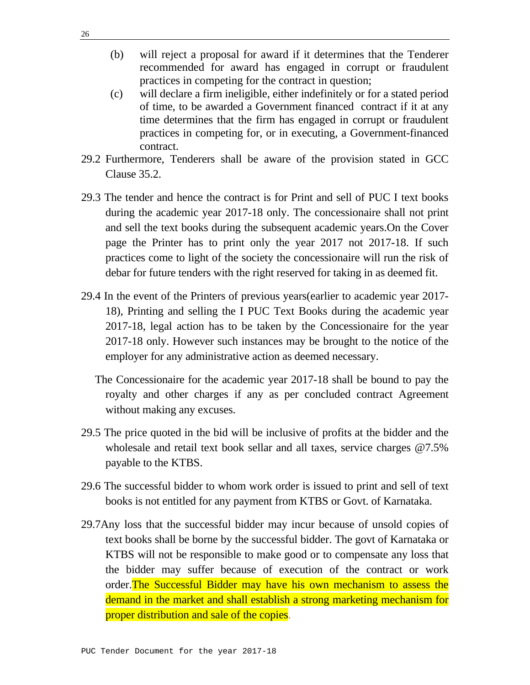- (b) will reject a proposal for award if it determines that the Tenderer recommended for award has engaged in corrupt or fraudulent practices in competing for the contract in question;
- (c) will declare a firm ineligible, either indefinitely or for a stated period of time, to be awarded a Government financed contract if it at any time determines that the firm has engaged in corrupt or fraudulent practices in competing for, or in executing, a Government-financed contract.
- 29.2 Furthermore, Tenderers shall be aware of the provision stated in GCC Clause 35.2.
- 29.3 The tender and hence the contract is for Print and sell of PUC I text books during the academic year 2017-18 only. The concessionaire shall not print and sell the text books during the subsequent academic years.On the Cover page the Printer has to print only the year 2017 not 2017-18. If such practices come to light of the society the concessionaire will run the risk of debar for future tenders with the right reserved for taking in as deemed fit.
- 29.4 In the event of the Printers of previous years(earlier to academic year 2017- 18), Printing and selling the I PUC Text Books during the academic year 2017-18, legal action has to be taken by the Concessionaire for the year 2017-18 only. However such instances may be brought to the notice of the employer for any administrative action as deemed necessary.
	- The Concessionaire for the academic year 2017-18 shall be bound to pay the royalty and other charges if any as per concluded contract Agreement without making any excuses.
- 29.5 The price quoted in the bid will be inclusive of profits at the bidder and the wholesale and retail text book sellar and all taxes, service charges @7.5% payable to the KTBS.
- 29.6 The successful bidder to whom work order is issued to print and sell of text books is not entitled for any payment from KTBS or Govt. of Karnataka.
- 29.7Any loss that the successful bidder may incur because of unsold copies of text books shall be borne by the successful bidder. The govt of Karnataka or KTBS will not be responsible to make good or to compensate any loss that the bidder may suffer because of execution of the contract or work order.The Successful Bidder may have his own mechanism to assess the demand in the market and shall establish a strong marketing mechanism for proper distribution and sale of the copies.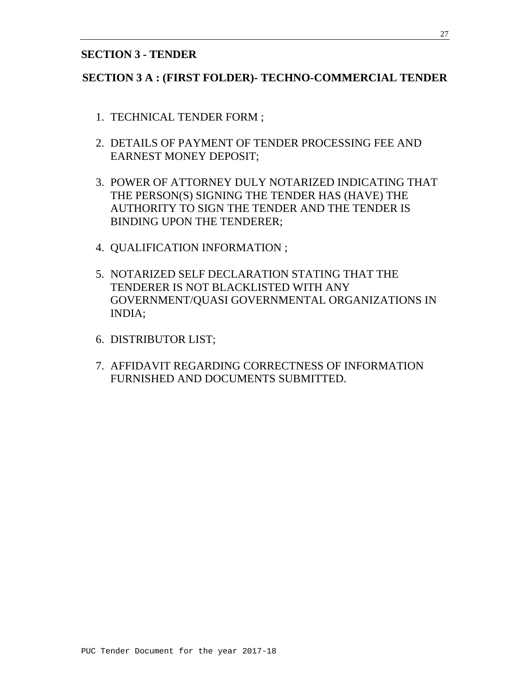#### **SECTION 3 - TENDER**

#### **SECTION 3 A : (FIRST FOLDER)- TECHNO-COMMERCIAL TENDER**

- 1. TECHNICAL TENDER FORM ;
- 2. DETAILS OF PAYMENT OF TENDER PROCESSING FEE AND EARNEST MONEY DEPOSIT;
- 3. POWER OF ATTORNEY DULY NOTARIZED INDICATING THAT THE PERSON(S) SIGNING THE TENDER HAS (HAVE) THE AUTHORITY TO SIGN THE TENDER AND THE TENDER IS BINDING UPON THE TENDERER;
- 4. QUALIFICATION INFORMATION ;
- 5. NOTARIZED SELF DECLARATION STATING THAT THE TENDERER IS NOT BLACKLISTED WITH ANY GOVERNMENT/QUASI GOVERNMENTAL ORGANIZATIONS IN INDIA;
- 6. DISTRIBUTOR LIST;
- 7. AFFIDAVIT REGARDING CORRECTNESS OF INFORMATION FURNISHED AND DOCUMENTS SUBMITTED.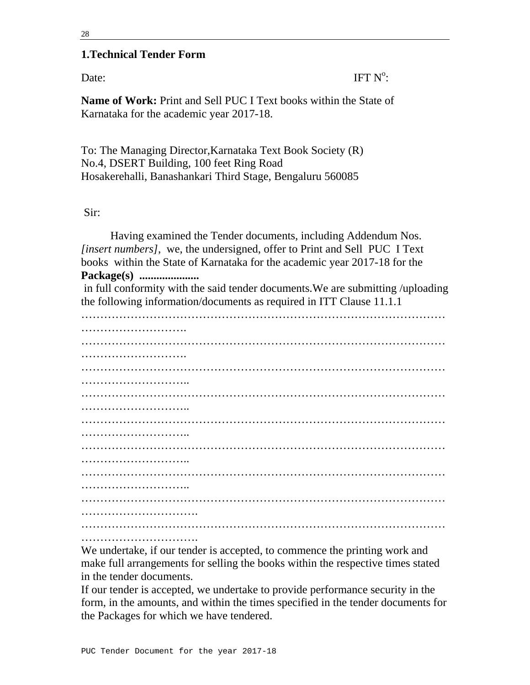#### 28

#### **1.Technical Tender Form**

Date: IFT  $N^{\circ}$ IFT  $N^{\circ}$ :

**Name of Work:** Print and Sell PUC I Text books within the State of Karnataka for the academic year 2017-18.

To: The Managing Director,Karnataka Text Book Society (R) No.4, DSERT Building, 100 feet Ring Road Hosakerehalli, Banashankari Third Stage, Bengaluru 560085

#### Sir:

Having examined the Tender documents, including Addendum Nos. *[insert numbers]*, we, the undersigned, offer to Print and Sell PUC I Text books within the State of Karnataka for the academic year 2017-18 for the **Package(s) .....................** 

 in full conformity with the said tender documents.We are submitting /uploading the following information/documents as required in ITT Clause 11.1.1

…………………………………………………………………………………… ………………………. …………………………………………………………………………………… ………………………. …………………………………………………………………………………… ……………………….. …………………………………………………………………………………… ………………………… …………………………………………………………………………………… ………………………… …………………………………………………………………………………… ………………………………… …………………………………………………………………………………… ……………………….. …………………………………………………………………………………… …………………………. ……………………………………………………………………………………

…………………………………………

We undertake, if our tender is accepted, to commence the printing work and make full arrangements for selling the books within the respective times stated in the tender documents.

If our tender is accepted, we undertake to provide performance security in the form, in the amounts, and within the times specified in the tender documents for the Packages for which we have tendered.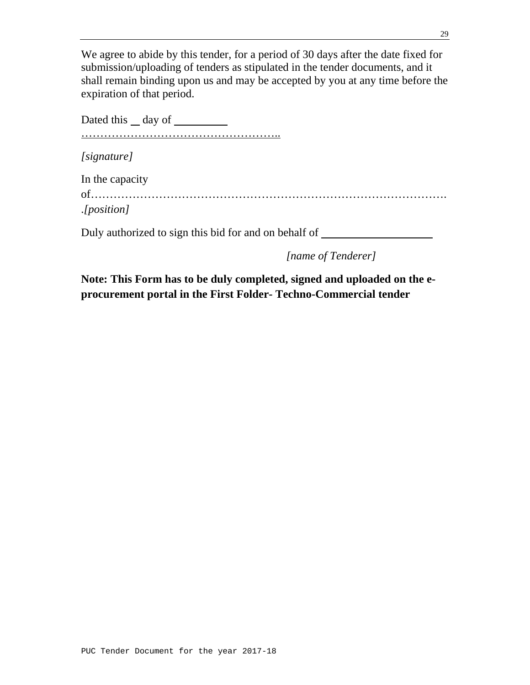We agree to abide by this tender, for a period of 30 days after the date fixed for submission/uploading of tenders as stipulated in the tender documents, and it shall remain binding upon us and may be accepted by you at any time before the expiration of that period.

Dated this day of ……………………………………………..

*[signature]*

In the capacity

of…………………………………………………………………………………. .*[position]*

Duly authorized to sign this bid for and on behalf of

*[name of Tenderer]* 

**Note: This Form has to be duly completed, signed and uploaded on the eprocurement portal in the First Folder- Techno-Commercial tender**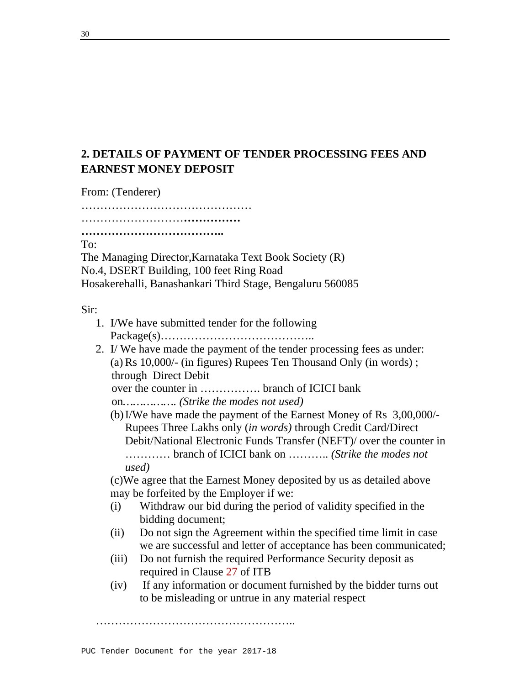# **2. DETAILS OF PAYMENT OF TENDER PROCESSING FEES AND EARNEST MONEY DEPOSIT**

From: (Tenderer)

……………………………………… ………………………………………………

**………………………………..** 

To:

The Managing Director,Karnataka Text Book Society (R) No.4, DSERT Building, 100 feet Ring Road

Hosakerehalli, Banashankari Third Stage, Bengaluru 560085

Sir:

- 1. I/We have submitted tender for the following Package(s)…………………………………..
- 2. I/ We have made the payment of the tender processing fees as under: (a) Rs 10,000/- (in figures) Rupees Ten Thousand Only (in words) ; through Direct Debit

over the counter in ……………. branch of ICICI bank

on*……………. (Strike the modes not used)* 

(b)I/We have made the payment of the Earnest Money of Rs 3,00,000/- Rupees Three Lakhs only (*in words)* through Credit Card/Direct Debit/National Electronic Funds Transfer (NEFT)/ over the counter in ………… branch of ICICI bank on ……….. *(Strike the modes not used)* 

(c)We agree that the Earnest Money deposited by us as detailed above may be forfeited by the Employer if we:

- (i) Withdraw our bid during the period of validity specified in the bidding document;
- (ii) Do not sign the Agreement within the specified time limit in case we are successful and letter of acceptance has been communicated;
- (iii) Do not furnish the required Performance Security deposit as required in Clause 27 of ITB
- (iv) If any information or document furnished by the bidder turns out to be misleading or untrue in any material respect

……………………………………………..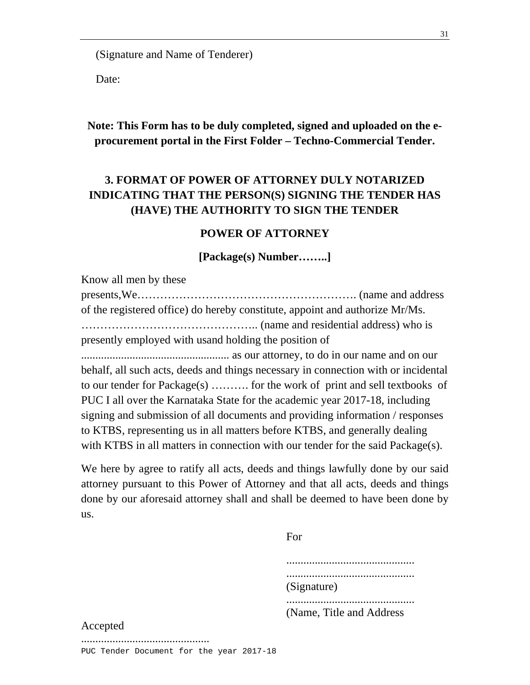(Signature and Name of Tenderer)

Date:

**Note: This Form has to be duly completed, signed and uploaded on the eprocurement portal in the First Folder – Techno-Commercial Tender.** 

# **3. FORMAT OF POWER OF ATTORNEY DULY NOTARIZED INDICATING THAT THE PERSON(S) SIGNING THE TENDER HAS (HAVE) THE AUTHORITY TO SIGN THE TENDER**

#### **POWER OF ATTORNEY**

#### **[Package(s) Number……..]**

Know all men by these presents,We…………………………………………………. (name and address of the registered office) do hereby constitute, appoint and authorize Mr/Ms. ……………………………………….. (name and residential address) who is presently employed with usand holding the position of .................................................... as our attorney, to do in our name and on our behalf, all such acts, deeds and things necessary in connection with or incidental to our tender for Package(s) ………. for the work of print and sell textbooks of PUC I all over the Karnataka State for the academic year 2017-18, including signing and submission of all documents and providing information / responses to KTBS, representing us in all matters before KTBS, and generally dealing with KTBS in all matters in connection with our tender for the said Package(s).

We here by agree to ratify all acts, deeds and things lawfully done by our said attorney pursuant to this Power of Attorney and that all acts, deeds and things done by our aforesaid attorney shall and shall be deemed to have been done by us.

|          | For                       |
|----------|---------------------------|
|          |                           |
|          | (Signature)               |
|          | (Name, Title and Address) |
| Accepted |                           |

#### Accepted

.............................................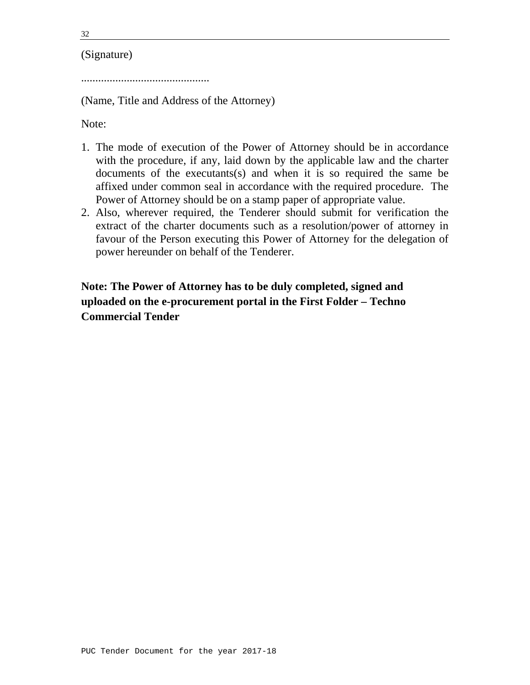32

## (Signature)

.............................................

(Name, Title and Address of the Attorney)

Note:

- 1. The mode of execution of the Power of Attorney should be in accordance with the procedure, if any, laid down by the applicable law and the charter documents of the executants(s) and when it is so required the same be affixed under common seal in accordance with the required procedure. The Power of Attorney should be on a stamp paper of appropriate value.
- 2. Also, wherever required, the Tenderer should submit for verification the extract of the charter documents such as a resolution/power of attorney in favour of the Person executing this Power of Attorney for the delegation of power hereunder on behalf of the Tenderer.

**Note: The Power of Attorney has to be duly completed, signed and uploaded on the e-procurement portal in the First Folder – Techno Commercial Tender**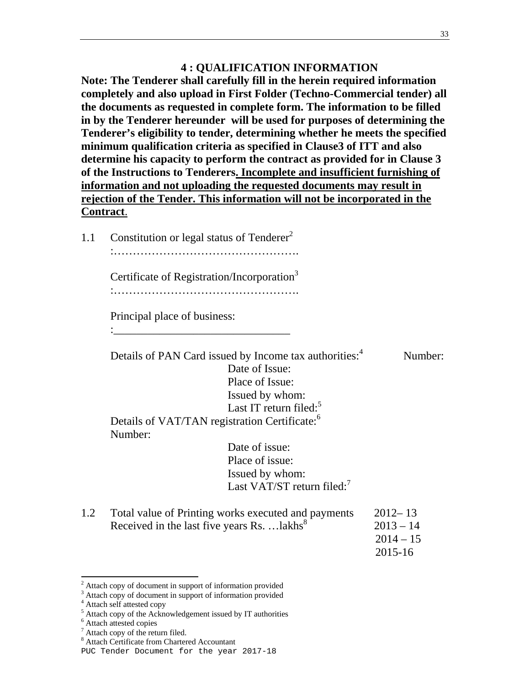## **4 : QUALIFICATION INFORMATION**

**Note: The Tenderer shall carefully fill in the herein required information completely and also upload in First Folder (Techno-Commercial tender) all the documents as requested in complete form. The information to be filled in by the Tenderer hereunder will be used for purposes of determining the Tenderer's eligibility to tender, determining whether he meets the specified minimum qualification criteria as specified in Clause3 of ITT and also determine his capacity to perform the contract as provided for in Clause 3 of the Instructions to Tenderers. Incomplete and insufficient furnishing of information and not uploading the requested documents may result in rejection of the Tender. This information will not be incorporated in the Contract**.

1.1 Constitution or legal status of Tenderer<sup>2</sup>

:………………………………………….

Certificate of Registration/Incorporation<sup>3</sup>

.<br>…………………………………………………………………

Principal place of business:

:\_\_\_\_\_\_\_\_\_\_\_\_\_\_\_\_\_\_\_\_\_\_\_\_\_\_\_\_\_\_\_

Details of PAN Card issued by Income tax authorities:<sup>4</sup> Number: Date of Issue: Place of Issue: Issued by whom: Last IT return filed: $5$ Details of VAT/TAN registration Certificate:<sup>6</sup> Number: Date of issue: Place of issue: Issued by whom: Last VAT/ST return filed:<sup>7</sup>

| 1.2 Total value of Printing works executed and payments | $2012 - 13$ |
|---------------------------------------------------------|-------------|
| Received in the last five years Rs.  lakhs <sup>8</sup> | $2013 - 14$ |
|                                                         | $2014 - 15$ |

2015-16

- <sup>6</sup> Attach attested copies
- <sup>7</sup> Attach copy of the return filed.

 $2$  Attach copy of document in support of information provided

<sup>&</sup>lt;sup>3</sup> Attach copy of document in support of information provided

<sup>4</sup> Attach self attested copy

<sup>&</sup>lt;sup>5</sup> Attach copy of the Acknowledgement issued by IT authorities

<sup>8</sup> Attach Certificate from Chartered Accountant

PUC Tender Document for the year 2017-18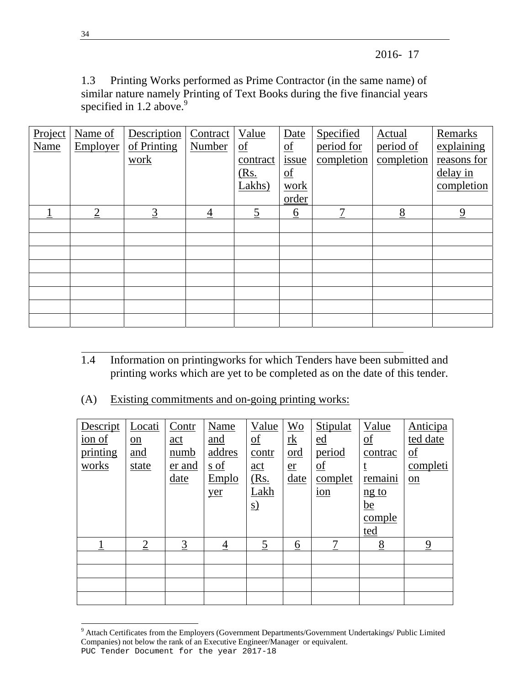2016- 17

1.3 Printing Works performed as Prime Contractor (in the same name) of similar nature namely Printing of Text Books during the five financial years specified in  $1.2$  above.<sup>9</sup>

| Project<br>Name | Name of<br>Employer | Description<br>of Printing | Contract<br>Number | Value<br>$\underline{\mathrm{of}}$ | Date<br>$\underline{\mathrm{of}}$ | Specified<br>period for | <b>Actual</b><br>period of | <b>Remarks</b><br>explaining |
|-----------------|---------------------|----------------------------|--------------------|------------------------------------|-----------------------------------|-------------------------|----------------------------|------------------------------|
|                 |                     | work                       |                    | contract                           | issue                             | completion              | completion                 | reasons for                  |
|                 |                     |                            |                    | <u>(Rs.</u>                        | $\underline{\mathrm{of}}$         |                         |                            | delay in                     |
|                 |                     |                            |                    | Lakhs)                             | work                              |                         |                            | completion                   |
|                 |                     |                            |                    |                                    | order                             |                         |                            |                              |
|                 | $\overline{2}$      | $\overline{3}$             | 4                  | 5                                  | $\underline{6}$                   | 7                       | 8                          | $\overline{9}$               |
|                 |                     |                            |                    |                                    |                                   |                         |                            |                              |
|                 |                     |                            |                    |                                    |                                   |                         |                            |                              |
|                 |                     |                            |                    |                                    |                                   |                         |                            |                              |
|                 |                     |                            |                    |                                    |                                   |                         |                            |                              |
|                 |                     |                            |                    |                                    |                                   |                         |                            |                              |
|                 |                     |                            |                    |                                    |                                   |                         |                            |                              |
|                 |                     |                            |                    |                                    |                                   |                         |                            |                              |
|                 |                     |                            |                    |                                    |                                   |                         |                            |                              |

- $\overline{a}$ 1.4 Information on printingworks for which Tenders have been submitted and printing works which are yet to be completed as on the date of this tender.
- (A) Existing commitments and on-going printing works:

| Descript                           | Locati                  | Contr          | Name           | Value                     | $\underline{\text{Wo}}$ | Stipulat                  | Value                     | Anticipa                  |
|------------------------------------|-------------------------|----------------|----------------|---------------------------|-------------------------|---------------------------|---------------------------|---------------------------|
| $\frac{\text{ion of}}{\text{max}}$ | $\underline{\text{on}}$ | act            | and            | $\underline{\mathrm{of}}$ | $\frac{rk}{ }$          | ed                        | $\underline{\mathrm{of}}$ | ted date                  |
| printing                           | <u>and</u>              | <u>numb</u>    | addres         | contr                     | <u>ord</u>              | period                    | contrac                   | $\underline{\mathrm{of}}$ |
| works                              | state                   | er and         | s of           | $\underline{\text{act}}$  | $e$ <u>r</u>            | $\underline{\mathrm{of}}$ |                           | completi                  |
|                                    |                         | <u>date</u>    | Emplo          | <u>(Rs.</u>               | date                    | complet                   | remaini                   | $on$                      |
|                                    |                         |                | yer            | Lakh                      |                         | ion                       | $ng$ to                   |                           |
|                                    |                         |                |                | <u>s)</u>                 |                         |                           | $\underline{be}$          |                           |
|                                    |                         |                |                |                           |                         |                           | comple                    |                           |
|                                    |                         |                |                |                           |                         |                           | ted                       |                           |
|                                    | $\overline{2}$          | $\overline{3}$ | $\overline{4}$ | $\overline{5}$            | <u>6</u>                | 7                         | 8                         | $\overline{9}$            |
|                                    |                         |                |                |                           |                         |                           |                           |                           |
|                                    |                         |                |                |                           |                         |                           |                           |                           |
|                                    |                         |                |                |                           |                         |                           |                           |                           |
|                                    |                         |                |                |                           |                         |                           |                           |                           |

PUC Tender Document for the year 2017-18 9 Attach Certificates from the Employers (Government Departments/Government Undertakings/ Public Limited Companies) not below the rank of an Executive Engineer/Manager or equivalent.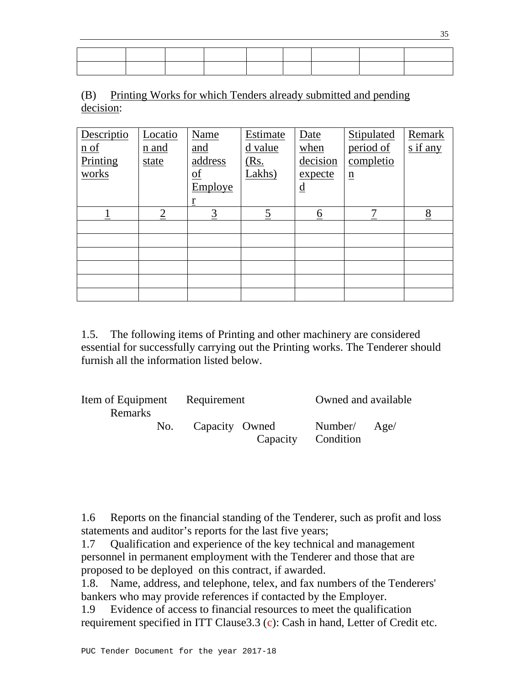(B) Printing Works for which Tenders already submitted and pending decision:

| Descriptio         | Locatio        | Name                      | Estimate       | Date                     | Stipulated      | Remark                   |
|--------------------|----------------|---------------------------|----------------|--------------------------|-----------------|--------------------------|
| $\underline{n}$ of | n and          | and                       | d value        | when                     | period of       | $\frac{\sin nx}{\sin x}$ |
| Printing           | state          | address                   | <u>(Rs.</u>    | decision                 | completio       |                          |
| works              |                | $\underline{\mathrm{of}}$ | Lakhs)         | expecte                  | $\underline{n}$ |                          |
|                    |                | Employe                   |                | $\underline{\mathrm{d}}$ |                 |                          |
|                    |                | r                         |                |                          |                 |                          |
|                    | $\overline{2}$ | $\overline{3}$            | $\overline{5}$ | <u>6</u>                 | $\mathbf{r}$    | 8                        |
|                    |                |                           |                |                          |                 |                          |
|                    |                |                           |                |                          |                 |                          |
|                    |                |                           |                |                          |                 |                          |
|                    |                |                           |                |                          |                 |                          |
|                    |                |                           |                |                          |                 |                          |
|                    |                |                           |                |                          |                 |                          |

1.5. The following items of Printing and other machinery are considered essential for successfully carrying out the Printing works. The Tenderer should furnish all the information listed below.

| Item of Equipment Requirement<br><b>Remarks</b> |                | Owned and available                |  |  |
|-------------------------------------------------|----------------|------------------------------------|--|--|
| No.                                             | Capacity Owned | Number/ Age/<br>Capacity Condition |  |  |

1.6 Reports on the financial standing of the Tenderer, such as profit and loss statements and auditor's reports for the last five years;

1.7 Qualification and experience of the key technical and management personnel in permanent employment with the Tenderer and those that are proposed to be deployed on this contract, if awarded.

1.8. Name, address, and telephone, telex, and fax numbers of the Tenderers' bankers who may provide references if contacted by the Employer.

1.9 Evidence of access to financial resources to meet the qualification requirement specified in ITT Clause3.3 (c): Cash in hand, Letter of Credit etc.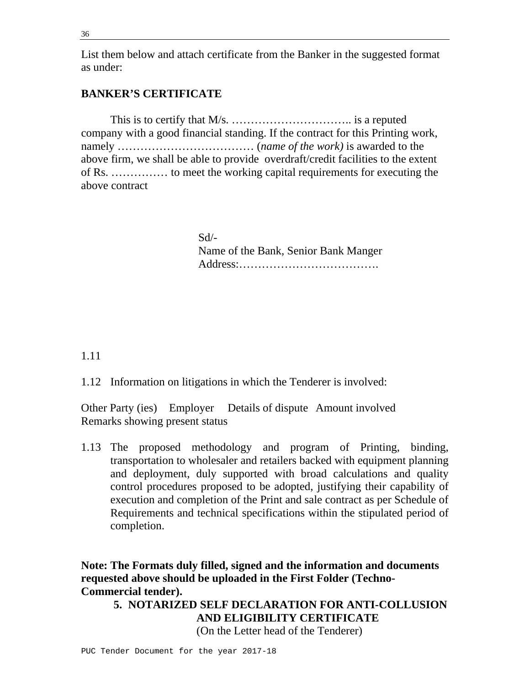36

List them below and attach certificate from the Banker in the suggested format as under:

# **BANKER'S CERTIFICATE**

 This is to certify that M/s. ………………………….. is a reputed company with a good financial standing. If the contract for this Printing work, namely ……………………………… (*name of the work)* is awarded to the above firm, we shall be able to provide overdraft/credit facilities to the extent of Rs. …………… to meet the working capital requirements for executing the above contract

> Sd/- Name of the Bank, Senior Bank Manger Address:……………………………….

1.11

1.12 Information on litigations in which the Tenderer is involved:

Other Party (ies) Employer Details of dispute Amount involved Remarks showing present status

1.13 The proposed methodology and program of Printing, binding, transportation to wholesaler and retailers backed with equipment planning and deployment, duly supported with broad calculations and quality control procedures proposed to be adopted, justifying their capability of execution and completion of the Print and sale contract as per Schedule of Requirements and technical specifications within the stipulated period of completion.

**Note: The Formats duly filled, signed and the information and documents requested above should be uploaded in the First Folder (Techno-Commercial tender).** 

**5. NOTARIZED SELF DECLARATION FOR ANTI-COLLUSION AND ELIGIBILITY CERTIFICATE** 

(On the Letter head of the Tenderer)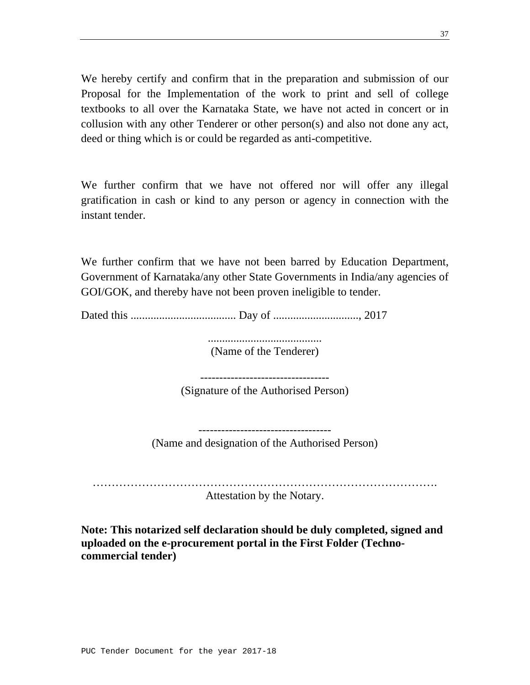We hereby certify and confirm that in the preparation and submission of our Proposal for the Implementation of the work to print and sell of college textbooks to all over the Karnataka State, we have not acted in concert or in collusion with any other Tenderer or other person(s) and also not done any act, deed or thing which is or could be regarded as anti-competitive.

We further confirm that we have not offered nor will offer any illegal gratification in cash or kind to any person or agency in connection with the instant tender.

We further confirm that we have not been barred by Education Department, Government of Karnataka/any other State Governments in India/any agencies of GOI/GOK, and thereby have not been proven ineligible to tender.

Dated this ..................................... Day of .............................., 2017

........................................ (Name of the Tenderer)

----------------------------------

(Signature of the Authorised Person)

----------------------------------- (Name and designation of the Authorised Person)

………………………………………………………………………………. Attestation by the Notary.

**Note: This notarized self declaration should be duly completed, signed and uploaded on the e-procurement portal in the First Folder (Technocommercial tender)**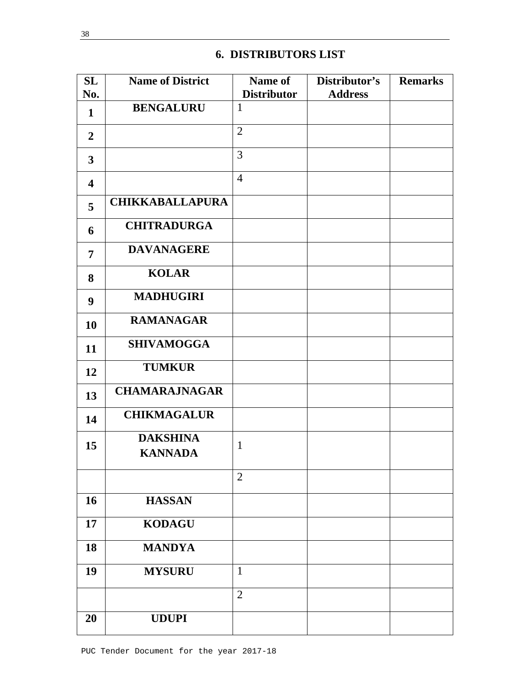# **6. DISTRIBUTORS LIST**

| SL                      | <b>Name of District</b>           | Name of            | Distributor's  | <b>Remarks</b> |
|-------------------------|-----------------------------------|--------------------|----------------|----------------|
| No.                     |                                   | <b>Distributor</b> | <b>Address</b> |                |
| 1                       | <b>BENGALURU</b>                  | $\mathbf{1}$       |                |                |
| $\overline{2}$          |                                   | $\overline{2}$     |                |                |
| $\mathbf{3}$            |                                   | 3                  |                |                |
| $\overline{\mathbf{4}}$ |                                   | $\overline{4}$     |                |                |
| 5                       | <b>CHIKKABALLAPURA</b>            |                    |                |                |
| 6                       | <b>CHITRADURGA</b>                |                    |                |                |
| $\overline{7}$          | <b>DAVANAGERE</b>                 |                    |                |                |
| 8                       | <b>KOLAR</b>                      |                    |                |                |
| 9                       | <b>MADHUGIRI</b>                  |                    |                |                |
| 10                      | <b>RAMANAGAR</b>                  |                    |                |                |
| 11                      | <b>SHIVAMOGGA</b>                 |                    |                |                |
| 12                      | <b>TUMKUR</b>                     |                    |                |                |
| 13                      | <b>CHAMARAJNAGAR</b>              |                    |                |                |
| 14                      | <b>CHIKMAGALUR</b>                |                    |                |                |
| 15                      | <b>DAKSHINA</b><br><b>KANNADA</b> | $\mathbf{1}$       |                |                |
|                         |                                   | $\overline{2}$     |                |                |
| 16                      | <b>HASSAN</b>                     |                    |                |                |
| 17                      | <b>KODAGU</b>                     |                    |                |                |
| 18                      | <b>MANDYA</b>                     |                    |                |                |
| 19                      | <b>MYSURU</b>                     | $\mathbf{1}$       |                |                |
|                         |                                   | $\overline{2}$     |                |                |
| 20                      | <b>UDUPI</b>                      |                    |                |                |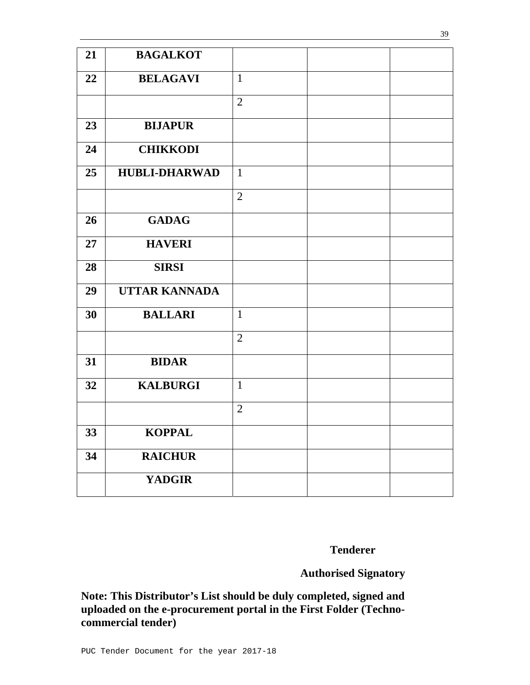| 21 | <b>BAGALKOT</b>      |                |  |
|----|----------------------|----------------|--|
| 22 | <b>BELAGAVI</b>      | $\mathbf{1}$   |  |
|    |                      | $\overline{2}$ |  |
| 23 | <b>BIJAPUR</b>       |                |  |
| 24 | <b>CHIKKODI</b>      |                |  |
| 25 | <b>HUBLI-DHARWAD</b> | $\mathbf{1}$   |  |
|    |                      | $\overline{2}$ |  |
| 26 | <b>GADAG</b>         |                |  |
| 27 | <b>HAVERI</b>        |                |  |
| 28 | <b>SIRSI</b>         |                |  |
| 29 | <b>UTTAR KANNADA</b> |                |  |
| 30 | <b>BALLARI</b>       | $\mathbf{1}$   |  |
|    |                      | $\overline{2}$ |  |
| 31 | <b>BIDAR</b>         |                |  |
| 32 | <b>KALBURGI</b>      | $\mathbf{1}$   |  |
|    |                      | $\overline{2}$ |  |
| 33 | <b>KOPPAL</b>        |                |  |
| 34 | <b>RAICHUR</b>       |                |  |
|    | <b>YADGIR</b>        |                |  |

**Tenderer** 

**Authorised Signatory**

**Note: This Distributor's List should be duly completed, signed and uploaded on the e-procurement portal in the First Folder (Technocommercial tender)**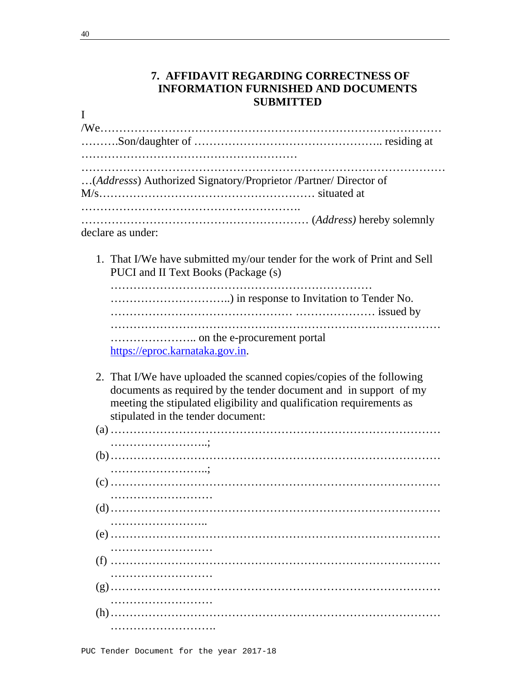## **7. AFFIDAVIT REGARDING CORRECTNESS OF INFORMATION FURNISHED AND DOCUMENTS SUBMITTED**

| (Addresss) Authorized Signatory/Proprietor /Partner/ Director of                                                |  |
|-----------------------------------------------------------------------------------------------------------------|--|
| declare as under:                                                                                               |  |
| 1. That I/We have submitted my/our tender for the work of Print and Sell<br>PUCI and II Text Books (Package (s) |  |
|                                                                                                                 |  |
| https://eproc.karnataka.gov.in.                                                                                 |  |

2. That I/We have uploaded the scanned copies/copies of the following documents as required by the tender document and in support of my meeting the stipulated eligibility and qualification requirements as stipulated in the tender document: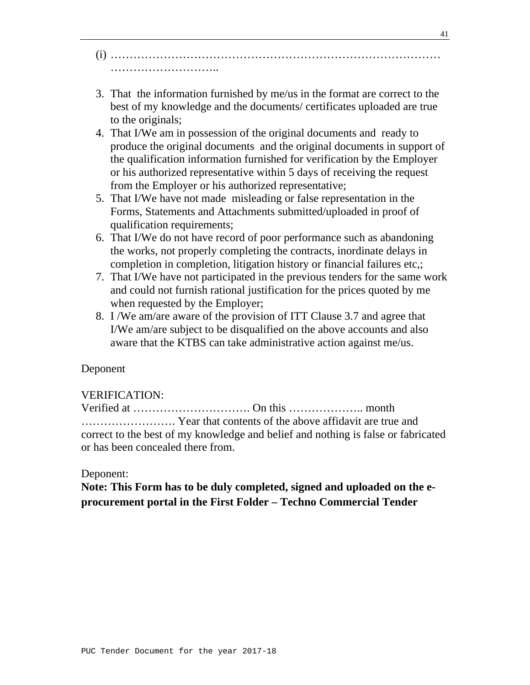- (i) …………………………………………………………………………… ……………………………………
- 3. That the information furnished by me/us in the format are correct to the best of my knowledge and the documents/ certificates uploaded are true to the originals;
- 4. That I/We am in possession of the original documents and ready to produce the original documents and the original documents in support of the qualification information furnished for verification by the Employer or his authorized representative within 5 days of receiving the request from the Employer or his authorized representative;
- 5. That I/We have not made misleading or false representation in the Forms, Statements and Attachments submitted/uploaded in proof of qualification requirements;
- 6. That I/We do not have record of poor performance such as abandoning the works, not properly completing the contracts, inordinate delays in completion in completion, litigation history or financial failures etc,;
- 7. That I/We have not participated in the previous tenders for the same work and could not furnish rational justification for the prices quoted by me when requested by the Employer;
- 8. I /We am/are aware of the provision of ITT Clause 3.7 and agree that I/We am/are subject to be disqualified on the above accounts and also aware that the KTBS can take administrative action against me/us.

## Deponent

## VERIFICATION:

Verified at …………………………. On this ……………….. month ……………………. Year that contents of the above affidavit are true and correct to the best of my knowledge and belief and nothing is false or fabricated or has been concealed there from.

## Deponent:

**Note: This Form has to be duly completed, signed and uploaded on the eprocurement portal in the First Folder – Techno Commercial Tender**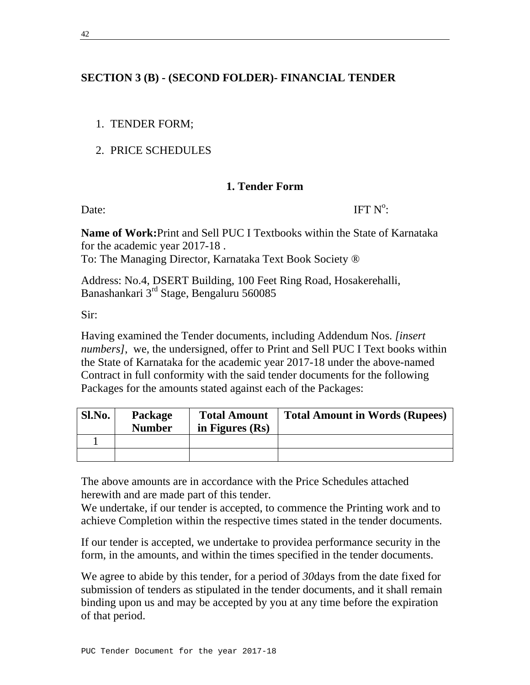# **SECTION 3 (B) - (SECOND FOLDER)- FINANCIAL TENDER**

- 1. TENDER FORM;
- 2. PRICE SCHEDULES

# **1. Tender Form**

Date: IFT  $N^{\circ}$ IFT  $N^{\circ}$ :

**Name of Work:**Print and Sell PUC I Textbooks within the State of Karnataka for the academic year 2017-18 . To: The Managing Director, Karnataka Text Book Society ®

Address: No.4, DSERT Building, 100 Feet Ring Road, Hosakerehalli, Banashankari 3rd Stage, Bengaluru 560085

Sir:

Having examined the Tender documents, including Addendum Nos. *[insert numbers]*, we, the undersigned, offer to Print and Sell PUC I Text books within the State of Karnataka for the academic year 2017-18 under the above-named Contract in full conformity with the said tender documents for the following Packages for the amounts stated against each of the Packages:

| Sl.No. | <b>Package</b><br><b>Number</b> | <b>Total Amount</b><br>in Figures $(Rs)$ | <b>Total Amount in Words (Rupees)</b> |
|--------|---------------------------------|------------------------------------------|---------------------------------------|
|        |                                 |                                          |                                       |
|        |                                 |                                          |                                       |

The above amounts are in accordance with the Price Schedules attached herewith and are made part of this tender.

We undertake, if our tender is accepted, to commence the Printing work and to achieve Completion within the respective times stated in the tender documents.

If our tender is accepted, we undertake to providea performance security in the form, in the amounts, and within the times specified in the tender documents.

We agree to abide by this tender, for a period of *30*days from the date fixed for submission of tenders as stipulated in the tender documents, and it shall remain binding upon us and may be accepted by you at any time before the expiration of that period.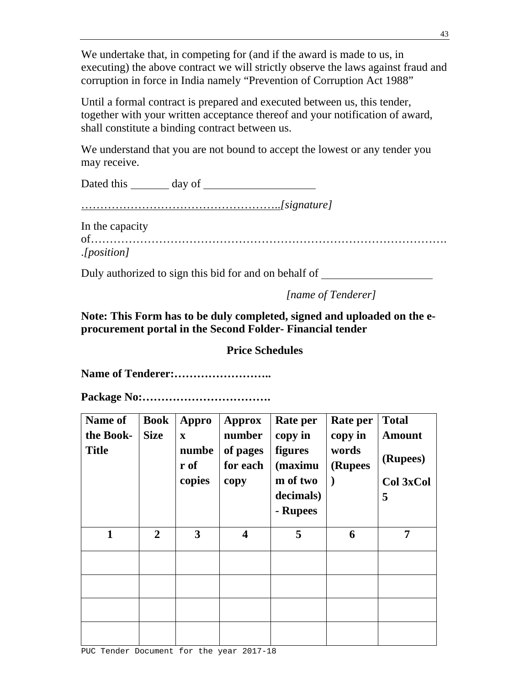We undertake that, in competing for (and if the award is made to us, in executing) the above contract we will strictly observe the laws against fraud and corruption in force in India namely "Prevention of Corruption Act 1988"

Until a formal contract is prepared and executed between us, this tender, together with your written acceptance thereof and your notification of award, shall constitute a binding contract between us.

We understand that you are not bound to accept the lowest or any tender you may receive.

Dated this day of

……………………………………………..*[signature]*

In the capacity

of………………………………………………………………………………….

.*[position]*

Duly authorized to sign this bid for and on behalf of

*[name of Tenderer]* 

**Note: This Form has to be duly completed, signed and uploaded on the eprocurement portal in the Second Folder- Financial tender** 

**Price Schedules** 

**Name of Tenderer:……………………..** 

**Package No:…………………………….** 

| <b>Name of</b><br>the Book-<br><b>Title</b> | <b>Book</b><br><b>Size</b> | Appro<br>$\mathbf x$<br>numbe<br>r of<br>copies | Approx<br>number<br>of pages<br>for each<br>copy | Rate per<br>copy in<br>figures<br>(maximu<br>m of two<br>decimals)<br>- Rupees | Rate per<br>copy in<br>words<br>(Rupees | <b>Total</b><br><b>Amount</b><br>(Rupees)<br>Col 3xCol<br>5 |
|---------------------------------------------|----------------------------|-------------------------------------------------|--------------------------------------------------|--------------------------------------------------------------------------------|-----------------------------------------|-------------------------------------------------------------|
| $\mathbf{1}$                                | $\overline{2}$             | 3                                               | $\overline{\mathbf{4}}$                          | 5                                                                              | 6                                       | 7                                                           |
|                                             |                            |                                                 |                                                  |                                                                                |                                         |                                                             |
|                                             |                            |                                                 |                                                  |                                                                                |                                         |                                                             |
|                                             |                            |                                                 |                                                  |                                                                                |                                         |                                                             |
|                                             |                            |                                                 |                                                  |                                                                                |                                         |                                                             |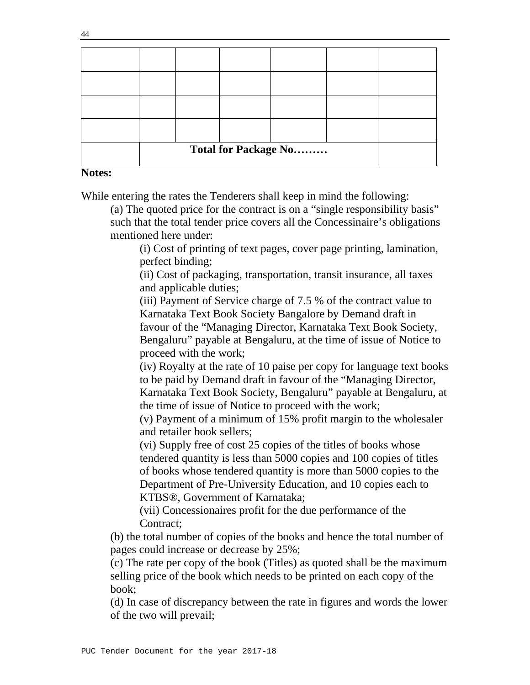| <b>Total for Package No</b> |  |  |  |  |  |
|-----------------------------|--|--|--|--|--|

#### **Notes:**

While entering the rates the Tenderers shall keep in mind the following:

(a) The quoted price for the contract is on a "single responsibility basis" such that the total tender price covers all the Concessinaire's obligations mentioned here under:

 (i) Cost of printing of text pages, cover page printing, lamination, perfect binding;

 (ii) Cost of packaging, transportation, transit insurance, all taxes and applicable duties;

 (iii) Payment of Service charge of 7.5 % of the contract value to Karnataka Text Book Society Bangalore by Demand draft in favour of the "Managing Director, Karnataka Text Book Society, Bengaluru" payable at Bengaluru, at the time of issue of Notice to proceed with the work;

 (iv) Royalty at the rate of 10 paise per copy for language text books to be paid by Demand draft in favour of the "Managing Director, Karnataka Text Book Society, Bengaluru" payable at Bengaluru, at the time of issue of Notice to proceed with the work;

 (v) Payment of a minimum of 15% profit margin to the wholesaler and retailer book sellers;

 (vi) Supply free of cost 25 copies of the titles of books whose tendered quantity is less than 5000 copies and 100 copies of titles of books whose tendered quantity is more than 5000 copies to the Department of Pre-University Education, and 10 copies each to KTBS®, Government of Karnataka;

 (vii) Concessionaires profit for the due performance of the Contract;

 (b) the total number of copies of the books and hence the total number of pages could increase or decrease by 25%;

 (c) The rate per copy of the book (Titles) as quoted shall be the maximum selling price of the book which needs to be printed on each copy of the book;

(d) In case of discrepancy between the rate in figures and words the lower of the two will prevail;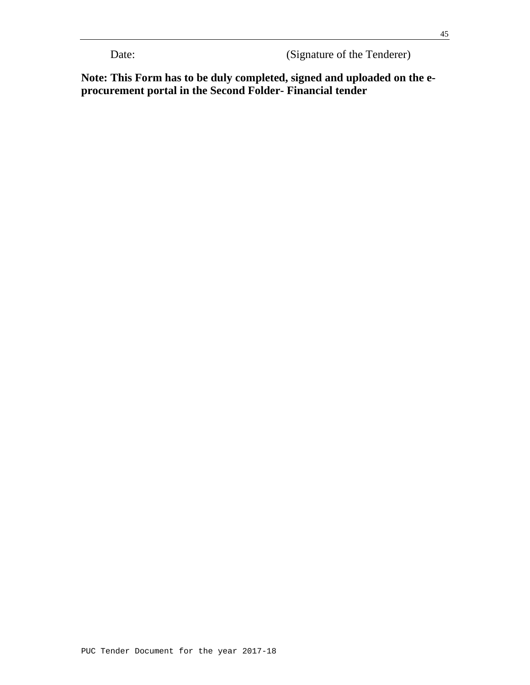Date: (Signature of the Tenderer)

**Note: This Form has to be duly completed, signed and uploaded on the eprocurement portal in the Second Folder- Financial tender**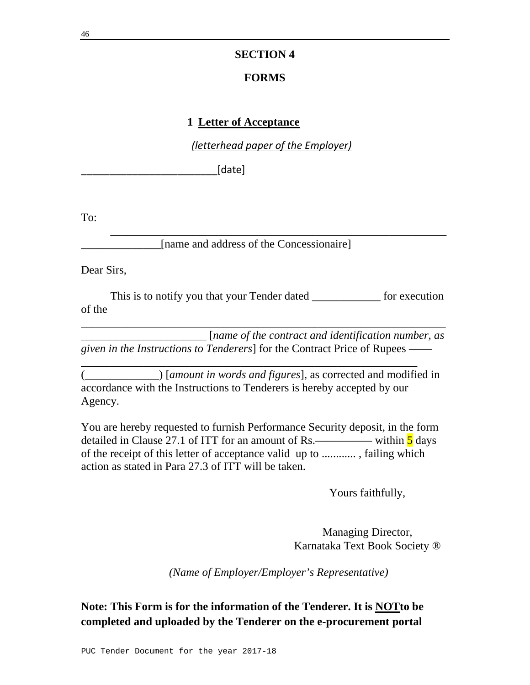### **SECTION 4**

### **FORMS**

#### **1 Letter of Acceptance**

*(letterhead paper of the Employer)*

[date]

To:

[name and address of the Concessionaire]

Dear Sirs,

This is to notify you that your Tender dated \_\_\_\_\_\_\_\_\_\_\_\_\_ for execution of the

\_\_\_\_\_\_\_\_\_\_\_\_\_\_\_\_\_\_\_\_\_\_\_\_\_\_\_\_\_\_\_\_\_\_\_\_\_\_\_\_\_\_\_\_\_\_\_\_\_\_\_\_\_\_\_\_\_\_\_

\_\_\_\_\_\_\_\_\_\_\_\_\_\_\_\_\_\_\_\_\_\_ [*name of the contract and identification number, as given in the Instructions to Tenderers*] for the Contract Price of Rupees ——

\_\_\_\_\_\_\_\_\_\_\_\_\_\_\_\_\_\_\_\_\_\_\_\_\_\_\_\_\_\_\_\_\_\_\_\_\_\_\_\_\_\_\_\_\_\_\_\_\_\_\_\_\_\_\_\_\_\_\_\_\_\_\_\_

(\_\_\_\_\_\_\_\_\_\_\_\_\_) [*amount in words and figures*], as corrected and modified in accordance with the Instructions to Tenderers is hereby accepted by our Agency.

\_\_\_\_\_\_\_\_\_\_\_\_\_\_\_\_\_\_\_\_\_\_\_\_\_\_\_\_\_\_\_\_\_\_\_\_\_\_\_\_\_\_\_\_\_\_\_\_\_\_\_\_\_\_\_\_\_\_\_

You are hereby requested to furnish Performance Security deposit, in the form detailed in Clause 27.1 of ITT for an amount of Rs.—————— within  $\frac{5}{5}$  days of the receipt of this letter of acceptance valid up to ............ , failing which action as stated in Para 27.3 of ITT will be taken.

Yours faithfully,

Managing Director, Karnataka Text Book Society ®

*(Name of Employer/Employer's Representative)* 

# **Note: This Form is for the information of the Tenderer. It is NOTto be completed and uploaded by the Tenderer on the e-procurement portal**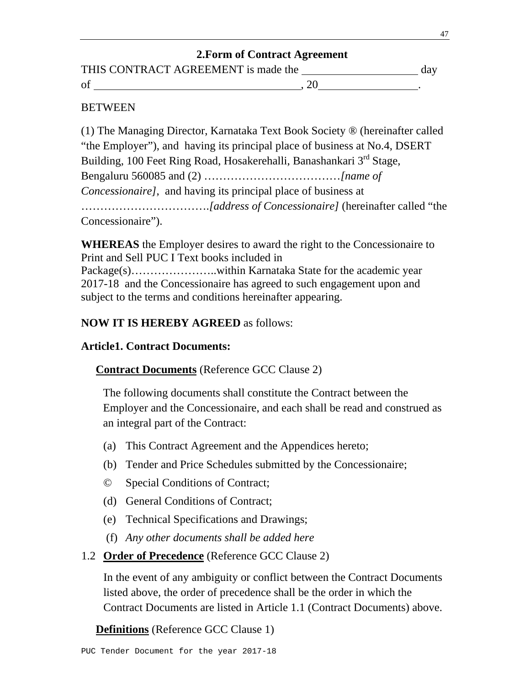# **2.Form of Contract Agreement**

| THIS CONTRACT AGREEMENT is made the | da <sup>r</sup> |
|-------------------------------------|-----------------|
|                                     |                 |

### **BETWEEN**

(1) The Managing Director, Karnataka Text Book Society ® (hereinafter called "the Employer"), and having its principal place of business at No.4, DSERT Building, 100 Feet Ring Road, Hosakerehalli, Banashankari 3<sup>rd</sup> Stage, Bengaluru 560085 and (2) ………………………………*[name of Concessionaire]*, and having its principal place of business at …………………………….*[address of Concessionaire]* (hereinafter called "the Concessionaire").

**WHEREAS** the Employer desires to award the right to the Concessionaire to Print and Sell PUC I Text books included in Package(s)…………………..within Karnataka State for the academic year 2017-18 and the Concessionaire has agreed to such engagement upon and subject to the terms and conditions hereinafter appearing.

# **NOW IT IS HEREBY AGREED** as follows:

## **Article1. Contract Documents:**

## **Contract Documents** (Reference GCC Clause 2)

The following documents shall constitute the Contract between the Employer and the Concessionaire, and each shall be read and construed as an integral part of the Contract:

- (a) This Contract Agreement and the Appendices hereto;
- (b) Tender and Price Schedules submitted by the Concessionaire;
- © Special Conditions of Contract;
- (d) General Conditions of Contract;
- (e) Technical Specifications and Drawings;
- (f) *Any other documents shall be added here*
- 1.2 **Order of Precedence** (Reference GCC Clause 2)

In the event of any ambiguity or conflict between the Contract Documents listed above, the order of precedence shall be the order in which the Contract Documents are listed in Article 1.1 (Contract Documents) above.

### **Definitions** (Reference GCC Clause 1)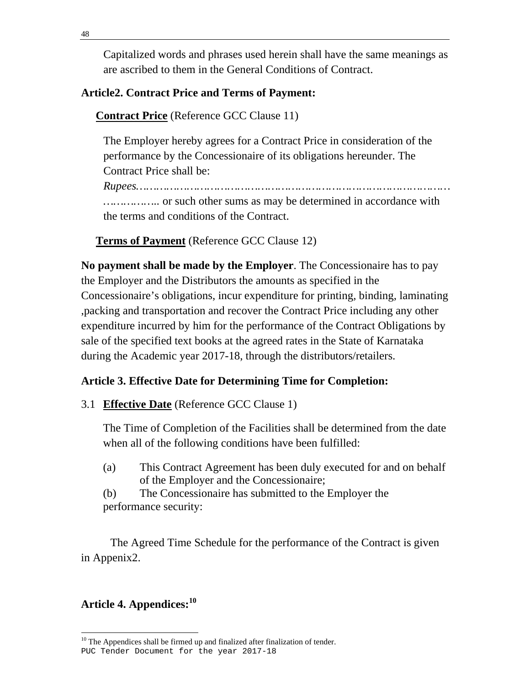Capitalized words and phrases used herein shall have the same meanings as are ascribed to them in the General Conditions of Contract.

# **Article2. Contract Price and Terms of Payment:**

# **Contract Price** (Reference GCC Clause 11)

The Employer hereby agrees for a Contract Price in consideration of the performance by the Concessionaire of its obligations hereunder. The Contract Price shall be:

*Rupees…………………………………………………………………………………*

*……………..* or such other sums as may be determined in accordance with the terms and conditions of the Contract.

**Terms of Payment** (Reference GCC Clause 12)

**No payment shall be made by the Employer**. The Concessionaire has to pay the Employer and the Distributors the amounts as specified in the Concessionaire's obligations, incur expenditure for printing, binding, laminating ,packing and transportation and recover the Contract Price including any other expenditure incurred by him for the performance of the Contract Obligations by sale of the specified text books at the agreed rates in the State of Karnataka during the Academic year 2017-18, through the distributors/retailers.

# **Article 3. Effective Date for Determining Time for Completion:**

3.1 **Effective Date** (Reference GCC Clause 1)

The Time of Completion of the Facilities shall be determined from the date when all of the following conditions have been fulfilled:

(a) This Contract Agreement has been duly executed for and on behalf of the Employer and the Concessionaire;

(b) The Concessionaire has submitted to the Employer the performance security:

The Agreed Time Schedule for the performance of the Contract is given in Appenix2.

# **Article 4. Appendices:<sup>10</sup>**

 $10$  The Appendices shall be firmed up and finalized after finalization of tender.

PUC Tender Document for the year 2017-18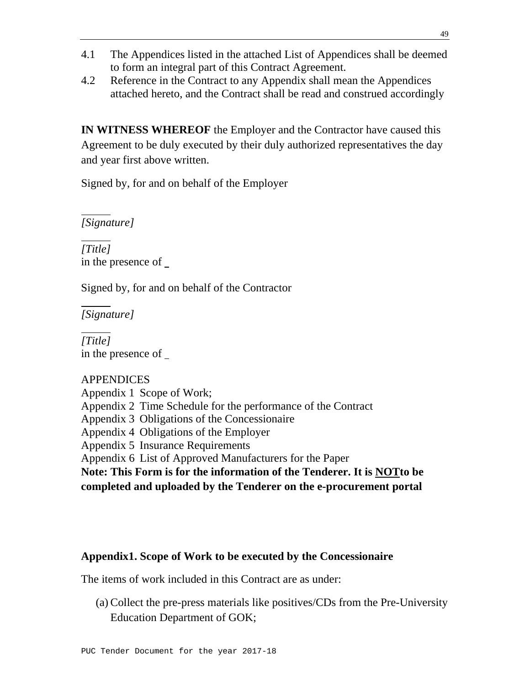- 4.1 The Appendices listed in the attached List of Appendices shall be deemed to form an integral part of this Contract Agreement.
- 4.2 Reference in the Contract to any Appendix shall mean the Appendices attached hereto, and the Contract shall be read and construed accordingly

**IN WITNESS WHEREOF** the Employer and the Contractor have caused this Agreement to be duly executed by their duly authorized representatives the day and year first above written.

Signed by, for and on behalf of the Employer

*[Signature]*

*[Title]* in the presence of

Signed by, for and on behalf of the Contractor

*[Signature]*

*[Title]* in the presence of

### APPENDICES

Appendix 1 Scope of Work;

Appendix 2 Time Schedule for the performance of the Contract

Appendix 3 Obligations of the Concessionaire

Appendix 4 Obligations of the Employer

Appendix 5 Insurance Requirements

Appendix 6 List of Approved Manufacturers for the Paper

**Note: This Form is for the information of the Tenderer. It is NOTto be completed and uploaded by the Tenderer on the e-procurement portal** 

## **Appendix1. Scope of Work to be executed by the Concessionaire**

The items of work included in this Contract are as under:

(a) Collect the pre-press materials like positives/CDs from the Pre-University Education Department of GOK;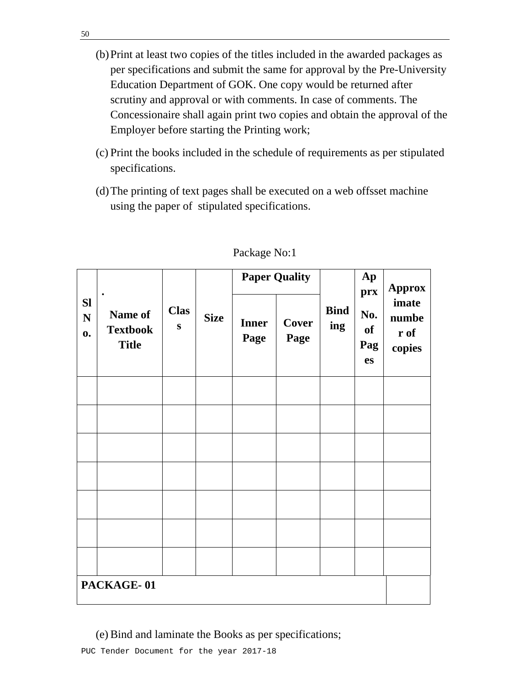- (b)Print at least two copies of the titles included in the awarded packages as per specifications and submit the same for approval by the Pre-University Education Department of GOK. One copy would be returned after scrutiny and approval or with comments. In case of comments. The Concessionaire shall again print two copies and obtain the approval of the Employer before starting the Printing work;
- (c) Print the books included in the schedule of requirements as per stipulated specifications.
- (d)The printing of text pages shall be executed on a web offsset machine using the paper of stipulated specifications.

|                                          | $\bullet$<br>Name of<br><b>Textbook</b><br><b>Title</b> | <b>Clas</b><br>${\bf S}$ | <b>Size</b> |                      | <b>Paper Quality</b> | <b>Bind</b><br>ing | Ap<br>prx<br>No.<br>of<br>Pag<br>es | <b>Approx</b>                    |
|------------------------------------------|---------------------------------------------------------|--------------------------|-------------|----------------------|----------------------|--------------------|-------------------------------------|----------------------------------|
| <b>Sl</b><br>$\mathbf N$<br>$\mathbf{0}$ |                                                         |                          |             | <b>Inner</b><br>Page | Cover<br>Page        |                    |                                     | imate<br>numbe<br>r of<br>copies |
|                                          |                                                         |                          |             |                      |                      |                    |                                     |                                  |
|                                          |                                                         |                          |             |                      |                      |                    |                                     |                                  |
|                                          |                                                         |                          |             |                      |                      |                    |                                     |                                  |
|                                          |                                                         |                          |             |                      |                      |                    |                                     |                                  |
|                                          |                                                         |                          |             |                      |                      |                    |                                     |                                  |
|                                          |                                                         |                          |             |                      |                      |                    |                                     |                                  |
|                                          |                                                         |                          |             |                      |                      |                    |                                     |                                  |
| PACKAGE-01                               |                                                         |                          |             |                      |                      |                    |                                     |                                  |

#### Package No:1

(e) Bind and laminate the Books as per specifications;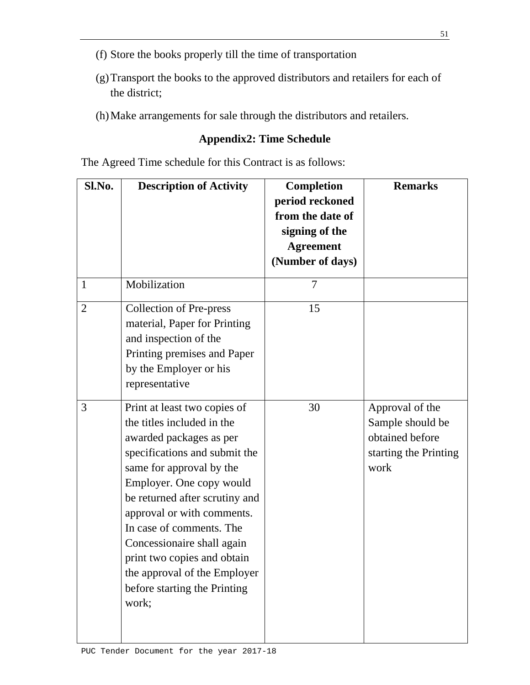- (f) Store the books properly till the time of transportation
- (g)Transport the books to the approved distributors and retailers for each of the district;
- (h)Make arrangements for sale through the distributors and retailers.

## **Appendix2: Time Schedule**

The Agreed Time schedule for this Contract is as follows:

| Sl.No.         | <b>Description of Activity</b>                                                                                                                                                                                                                                                                                                                                                                                   | <b>Completion</b><br>period reckoned<br>from the date of<br>signing of the<br><b>Agreement</b><br>(Number of days) | <b>Remarks</b>                                                                          |
|----------------|------------------------------------------------------------------------------------------------------------------------------------------------------------------------------------------------------------------------------------------------------------------------------------------------------------------------------------------------------------------------------------------------------------------|--------------------------------------------------------------------------------------------------------------------|-----------------------------------------------------------------------------------------|
| $\mathbf{1}$   | Mobilization                                                                                                                                                                                                                                                                                                                                                                                                     | $\overline{7}$                                                                                                     |                                                                                         |
| $\overline{2}$ | <b>Collection of Pre-press</b><br>material, Paper for Printing<br>and inspection of the<br>Printing premises and Paper<br>by the Employer or his<br>representative                                                                                                                                                                                                                                               | 15                                                                                                                 |                                                                                         |
| 3              | Print at least two copies of<br>the titles included in the<br>awarded packages as per<br>specifications and submit the<br>same for approval by the<br>Employer. One copy would<br>be returned after scrutiny and<br>approval or with comments.<br>In case of comments. The<br>Concessionaire shall again<br>print two copies and obtain<br>the approval of the Employer<br>before starting the Printing<br>work; | 30                                                                                                                 | Approval of the<br>Sample should be<br>obtained before<br>starting the Printing<br>work |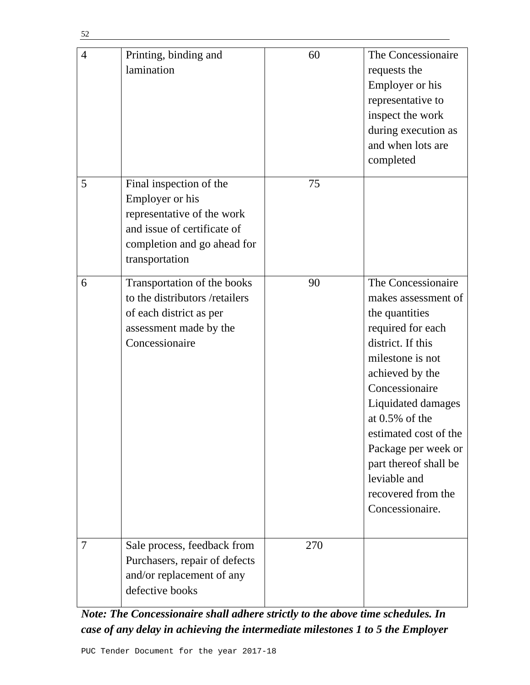| $\overline{4}$ | Printing, binding and<br>lamination                                                                                                                      | 60  | The Concessionaire<br>requests the<br>Employer or his<br>representative to<br>inspect the work<br>during execution as<br>and when lots are<br>completed                                                                                                                                                                                     |
|----------------|----------------------------------------------------------------------------------------------------------------------------------------------------------|-----|---------------------------------------------------------------------------------------------------------------------------------------------------------------------------------------------------------------------------------------------------------------------------------------------------------------------------------------------|
| 5              | Final inspection of the<br>Employer or his<br>representative of the work<br>and issue of certificate of<br>completion and go ahead for<br>transportation | 75  |                                                                                                                                                                                                                                                                                                                                             |
| 6              | Transportation of the books<br>to the distributors /retailers<br>of each district as per<br>assessment made by the<br>Concessionaire                     | 90  | The Concessionaire<br>makes assessment of<br>the quantities<br>required for each<br>district. If this<br>milestone is not<br>achieved by the<br>Concessionaire<br>Liquidated damages<br>at $0.5\%$ of the<br>estimated cost of the<br>Package per week or<br>part thereof shall be<br>leviable and<br>recovered from the<br>Concessionaire. |
| 7              | Sale process, feedback from<br>Purchasers, repair of defects<br>and/or replacement of any<br>defective books                                             | 270 |                                                                                                                                                                                                                                                                                                                                             |

*Note: The Concessionaire shall adhere strictly to the above time schedules. In case of any delay in achieving the intermediate milestones 1 to 5 the Employer*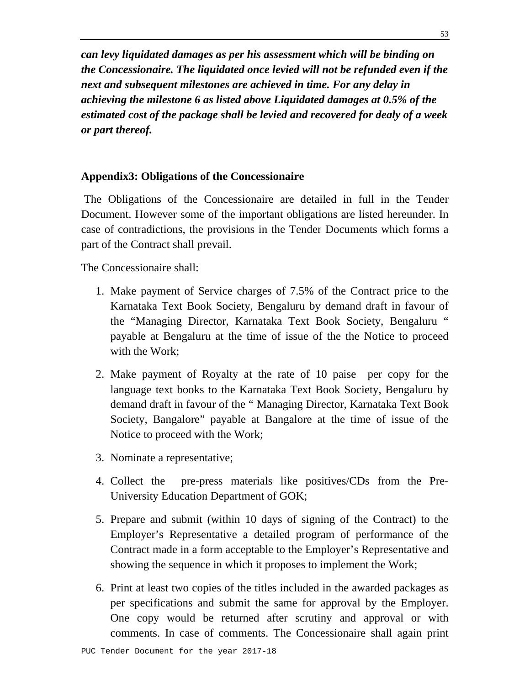*can levy liquidated damages as per his assessment which will be binding on the Concessionaire. The liquidated once levied will not be refunded even if the next and subsequent milestones are achieved in time. For any delay in achieving the milestone 6 as listed above Liquidated damages at 0.5% of the estimated cost of the package shall be levied and recovered for dealy of a week or part thereof.* 

### **Appendix3: Obligations of the Concessionaire**

 The Obligations of the Concessionaire are detailed in full in the Tender Document. However some of the important obligations are listed hereunder. In case of contradictions, the provisions in the Tender Documents which forms a part of the Contract shall prevail.

The Concessionaire shall:

- 1. Make payment of Service charges of 7.5% of the Contract price to the Karnataka Text Book Society, Bengaluru by demand draft in favour of the "Managing Director, Karnataka Text Book Society, Bengaluru " payable at Bengaluru at the time of issue of the the Notice to proceed with the Work;
- 2. Make payment of Royalty at the rate of 10 paise per copy for the language text books to the Karnataka Text Book Society, Bengaluru by demand draft in favour of the " Managing Director, Karnataka Text Book Society, Bangalore" payable at Bangalore at the time of issue of the Notice to proceed with the Work;
- 3. Nominate a representative;
- 4. Collect the pre-press materials like positives/CDs from the Pre-University Education Department of GOK;
- 5. Prepare and submit (within 10 days of signing of the Contract) to the Employer's Representative a detailed program of performance of the Contract made in a form acceptable to the Employer's Representative and showing the sequence in which it proposes to implement the Work;
- 6. Print at least two copies of the titles included in the awarded packages as per specifications and submit the same for approval by the Employer. One copy would be returned after scrutiny and approval or with comments. In case of comments. The Concessionaire shall again print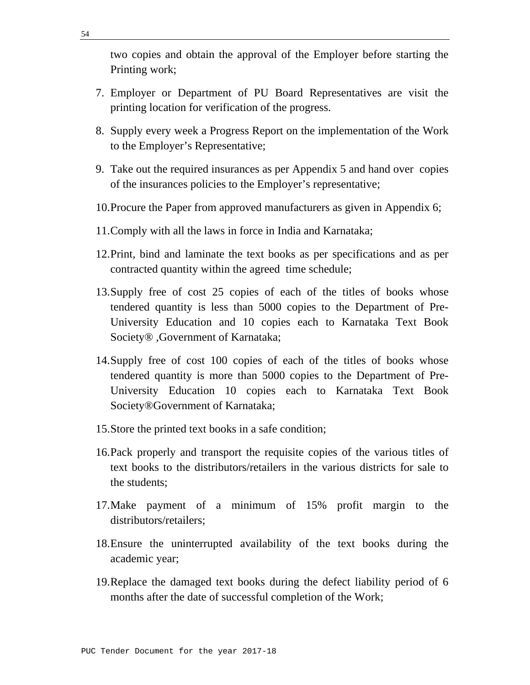two copies and obtain the approval of the Employer before starting the Printing work;

- 7. Employer or Department of PU Board Representatives are visit the printing location for verification of the progress.
- 8. Supply every week a Progress Report on the implementation of the Work to the Employer's Representative;
- 9. Take out the required insurances as per Appendix 5 and hand over copies of the insurances policies to the Employer's representative;
- 10.Procure the Paper from approved manufacturers as given in Appendix 6;
- 11.Comply with all the laws in force in India and Karnataka;
- 12.Print, bind and laminate the text books as per specifications and as per contracted quantity within the agreed time schedule;
- 13.Supply free of cost 25 copies of each of the titles of books whose tendered quantity is less than 5000 copies to the Department of Pre-University Education and 10 copies each to Karnataka Text Book Society® ,Government of Karnataka;
- 14.Supply free of cost 100 copies of each of the titles of books whose tendered quantity is more than 5000 copies to the Department of Pre-University Education 10 copies each to Karnataka Text Book Society®Government of Karnataka;
- 15.Store the printed text books in a safe condition;
- 16.Pack properly and transport the requisite copies of the various titles of text books to the distributors/retailers in the various districts for sale to the students;
- 17.Make payment of a minimum of 15% profit margin to the distributors/retailers;
- 18.Ensure the uninterrupted availability of the text books during the academic year;
- 19.Replace the damaged text books during the defect liability period of 6 months after the date of successful completion of the Work;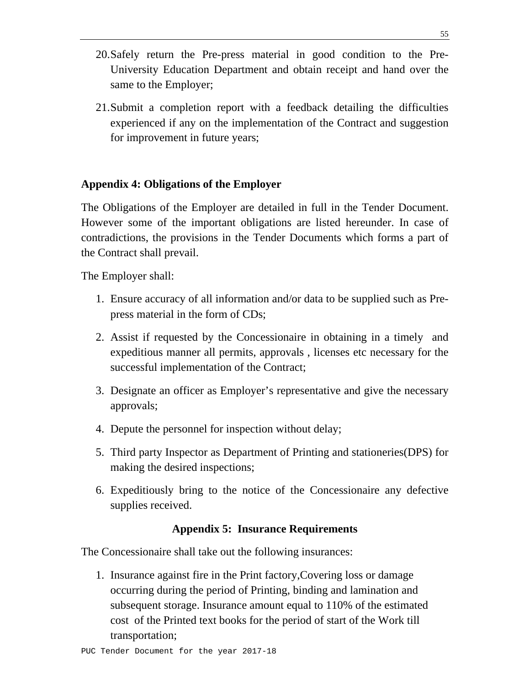- 20.Safely return the Pre-press material in good condition to the Pre-University Education Department and obtain receipt and hand over the same to the Employer;
- 21.Submit a completion report with a feedback detailing the difficulties experienced if any on the implementation of the Contract and suggestion for improvement in future years;

## **Appendix 4: Obligations of the Employer**

The Obligations of the Employer are detailed in full in the Tender Document. However some of the important obligations are listed hereunder. In case of contradictions, the provisions in the Tender Documents which forms a part of the Contract shall prevail.

The Employer shall:

- 1. Ensure accuracy of all information and/or data to be supplied such as Prepress material in the form of CDs;
- 2. Assist if requested by the Concessionaire in obtaining in a timely and expeditious manner all permits, approvals , licenses etc necessary for the successful implementation of the Contract;
- 3. Designate an officer as Employer's representative and give the necessary approvals;
- 4. Depute the personnel for inspection without delay;
- 5. Third party Inspector as Department of Printing and stationeries(DPS) for making the desired inspections;
- 6. Expeditiously bring to the notice of the Concessionaire any defective supplies received.

## **Appendix 5: Insurance Requirements**

The Concessionaire shall take out the following insurances:

1. Insurance against fire in the Print factory,Covering loss or damage occurring during the period of Printing, binding and lamination and subsequent storage. Insurance amount equal to 110% of the estimated cost of the Printed text books for the period of start of the Work till transportation;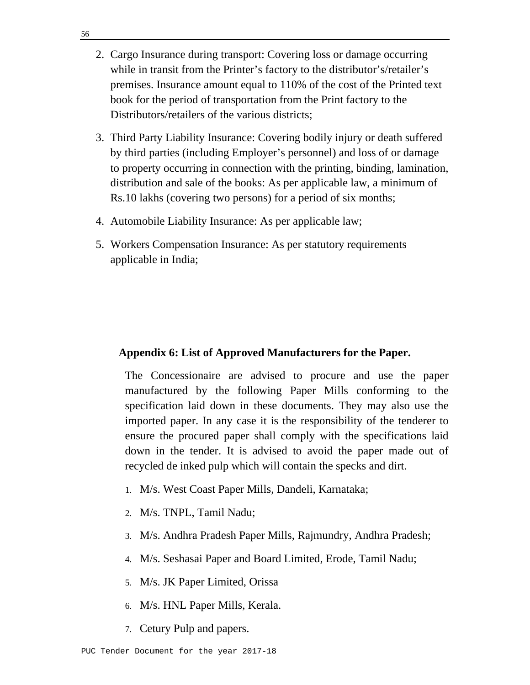- 2. Cargo Insurance during transport: Covering loss or damage occurring while in transit from the Printer's factory to the distributor's/retailer's premises. Insurance amount equal to 110% of the cost of the Printed text book for the period of transportation from the Print factory to the Distributors/retailers of the various districts;
- 3. Third Party Liability Insurance: Covering bodily injury or death suffered by third parties (including Employer's personnel) and loss of or damage to property occurring in connection with the printing, binding, lamination, distribution and sale of the books: As per applicable law, a minimum of Rs.10 lakhs (covering two persons) for a period of six months;
- 4. Automobile Liability Insurance: As per applicable law;
- 5. Workers Compensation Insurance: As per statutory requirements applicable in India;

## **Appendix 6: List of Approved Manufacturers for the Paper.**

The Concessionaire are advised to procure and use the paper manufactured by the following Paper Mills conforming to the specification laid down in these documents. They may also use the imported paper. In any case it is the responsibility of the tenderer to ensure the procured paper shall comply with the specifications laid down in the tender. It is advised to avoid the paper made out of recycled de inked pulp which will contain the specks and dirt.

- 1. M/s. West Coast Paper Mills, Dandeli, Karnataka;
- 2. M/s. TNPL, Tamil Nadu;
- 3. M/s. Andhra Pradesh Paper Mills, Rajmundry, Andhra Pradesh;
- 4. M/s. Seshasai Paper and Board Limited, Erode, Tamil Nadu;
- 5. M/s. JK Paper Limited, Orissa
- 6. M/s. HNL Paper Mills, Kerala.
- 7. Cetury Pulp and papers.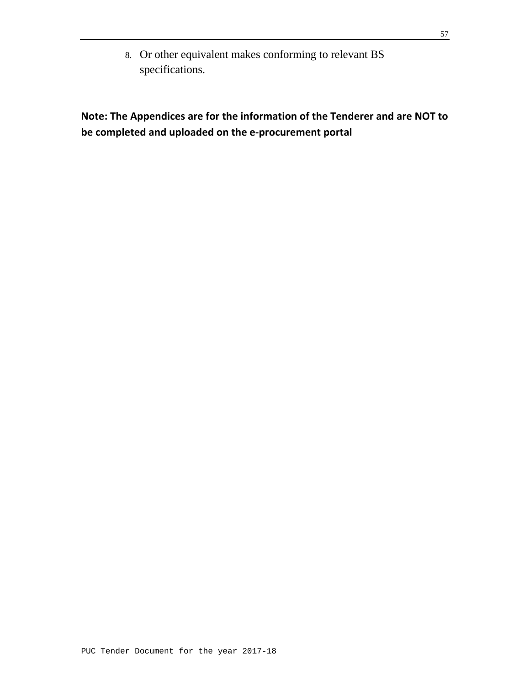8. Or other equivalent makes conforming to relevant BS specifications.

**Note: The Appendices are for the information of the Tenderer and are NOT to be completed and uploaded on the e‐procurement portal**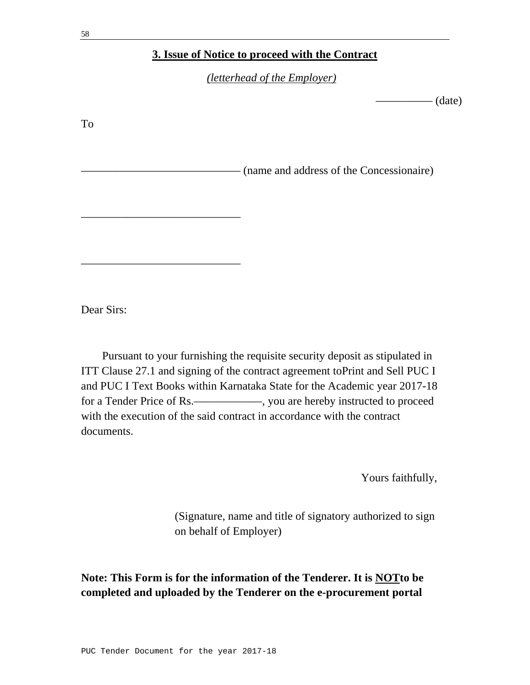### **3. Issue of Notice to proceed with the Contract**

*(letterhead of the Employer)*

 $\qquad \qquad \qquad -\qquad \qquad \text{(date)}$ 

To —— (name and address of the Concessionaire) ——————————————

Dear Sirs:

——————————————

 Pursuant to your furnishing the requisite security deposit as stipulated in ITT Clause 27.1 and signing of the contract agreement toPrint and Sell PUC I and PUC I Text Books within Karnataka State for the Academic year 2017-18 for a Tender Price of Rs.——————, you are hereby instructed to proceed with the execution of the said contract in accordance with the contract documents.

Yours faithfully,

(Signature, name and title of signatory authorized to sign on behalf of Employer)

**Note: This Form is for the information of the Tenderer. It is NOTto be completed and uploaded by the Tenderer on the e-procurement portal**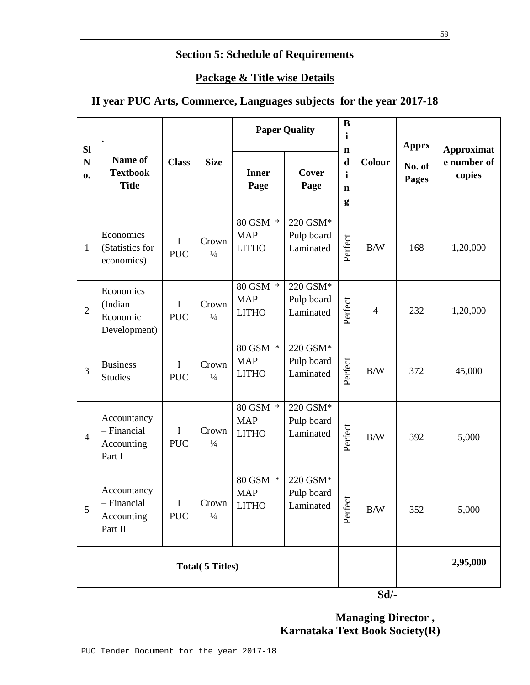# **Section 5: Schedule of Requirements**

## **Package & Title wise Details**

# **II year PUC Arts, Commerce, Languages subjects for the year 2017-18**

| <b>Sl</b>         |                                                     | <b>Paper Quality</b>      |                            | $\bf{B}$<br>$\mathbf{i}$<br>$\mathbf n$       |                                     | <b>Apprx</b>                                    | <b>Approximat</b> |                        |                       |
|-------------------|-----------------------------------------------------|---------------------------|----------------------------|-----------------------------------------------|-------------------------------------|-------------------------------------------------|-------------------|------------------------|-----------------------|
| N<br>$\mathbf{0}$ | Name of<br><b>Textbook</b><br><b>Title</b>          | <b>Class</b>              | <b>Size</b>                | <b>Inner</b><br>Page                          | Cover<br>Page                       | $\mathbf d$<br>$\mathbf{i}$<br>$\mathbf n$<br>g | Colour            | No. of<br><b>Pages</b> | e number of<br>copies |
| $\mathbf{1}$      | Economics<br>(Statistics for<br>economics)          | I<br><b>PUC</b>           | Crown<br>$\frac{1}{4}$     | 80 GSM *<br><b>MAP</b><br><b>LITHO</b>        | 220 GSM*<br>Pulp board<br>Laminated | Perfect                                         | B/W               | 168                    | 1,20,000              |
| $\overline{2}$    | Economics<br>(Indian<br>Economic<br>Development)    | I<br><b>PUC</b>           | Crown<br>$\frac{1}{4}$     | 80 GSM *<br><b>MAP</b><br><b>LITHO</b>        | 220 GSM*<br>Pulp board<br>Laminated | Perfect                                         | $\overline{4}$    | 232                    | 1,20,000              |
| 3                 | <b>Business</b><br><b>Studies</b>                   | $\mathbf I$<br><b>PUC</b> | Crown<br>$\frac{1}{4}$     | 80 GSM *<br><b>MAP</b><br><b>LITHO</b>        | 220 GSM*<br>Pulp board<br>Laminated | Perfect                                         | B/W               | 372                    | 45,000                |
| $\overline{4}$    | Accountancy<br>- Financial<br>Accounting<br>Part I  | I<br><b>PUC</b>           | Crown<br>$\frac{1}{4}$     | $80$ GSM $\,^*$<br><b>MAP</b><br><b>LITHO</b> | 220 GSM*<br>Pulp board<br>Laminated | Perfect                                         | B/W               | 392                    | 5,000                 |
| 5                 | Accountancy<br>- Financial<br>Accounting<br>Part II | I<br><b>PUC</b>           | $Crown$  <br>$\frac{1}{4}$ | 80 GSM *<br><b>MAP</b><br>$LITHO$             | 220 GSM*<br>Pulp board<br>Laminated | Perfect                                         | $\rm\,B/W$        | 352                    | 5,000                 |
|                   | <b>Total</b> (5 Titles)                             |                           |                            |                                               |                                     |                                                 |                   |                        | 2,95,000              |
|                   |                                                     |                           |                            |                                               | $Sd$ /-                             |                                                 |                   |                        |                       |

 **Managing Director , Karnataka Text Book Society(R)**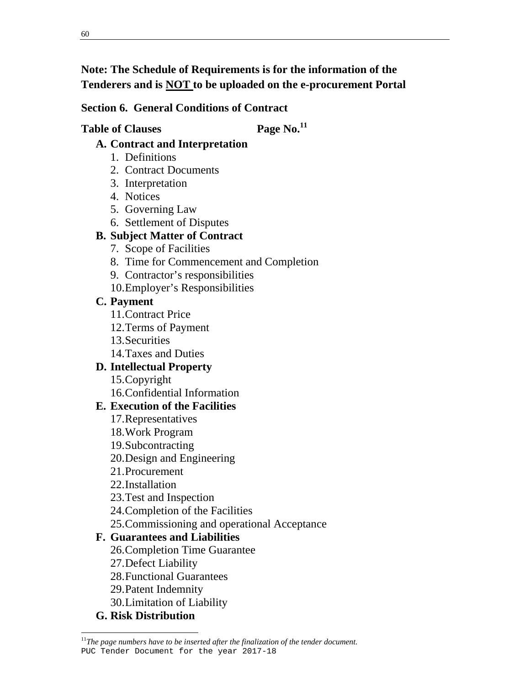# **Note: The Schedule of Requirements is for the information of the Tenderers and is NOT to be uploaded on the e-procurement Portal**

# **Section 6. General Conditions of Contract**

# Table of Clauses Page No.<sup>11</sup>

# **A. Contract and Interpretation**

- 1. Definitions
- 2. Contract Documents
- 3. Interpretation
- 4. Notices
- 5. Governing Law
- 6. Settlement of Disputes

# **B. Subject Matter of Contract**

- 7. Scope of Facilities
- 8. Time for Commencement and Completion
- 9. Contractor's responsibilities
- 10.Employer's Responsibilities

# **C. Payment**

- 11.Contract Price
- 12.Terms of Payment
- 13.Securities
- 14.Taxes and Duties

# **D. Intellectual Property**

15.Copyright

16.Confidential Information

# **E. Execution of the Facilities**

- 17.Representatives
- 18.Work Program
- 19.Subcontracting
- 20.Design and Engineering
- 21.Procurement
- 22.Installation
- 23.Test and Inspection
- 24.Completion of the Facilities
- 25.Commissioning and operational Acceptance

# **F. Guarantees and Liabilities**

- 26.Completion Time Guarantee
- 27.Defect Liability
- 28.Functional Guarantees
- 29.Patent Indemnity
- 30.Limitation of Liability

# **G. Risk Distribution**

PUC Tender Document for the year 2017-18 <sup>11</sup>The page numbers have to be inserted after the finalization of the tender document.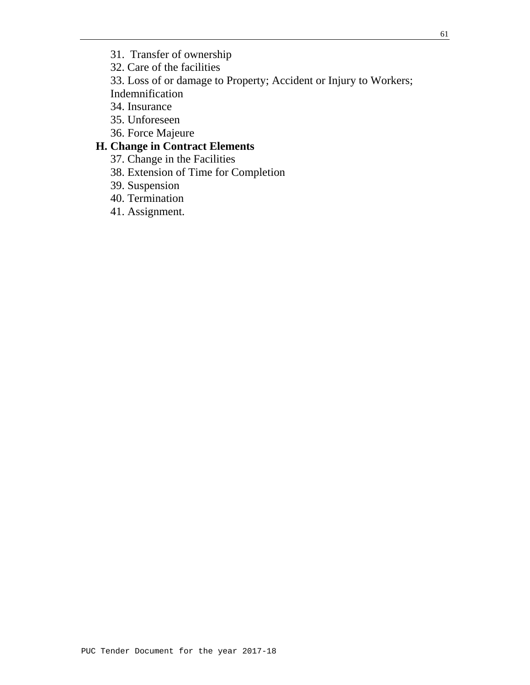32. Care of the facilities

33. Loss of or damage to Property; Accident or Injury to Workers;

Indemnification

- 34. Insurance
- 35. Unforeseen
- 36. Force Majeure

# **H. Change in Contract Elements**

- 37. Change in the Facilities
- 38. Extension of Time for Completion
- 39. Suspension
- 40. Termination
- 41. Assignment.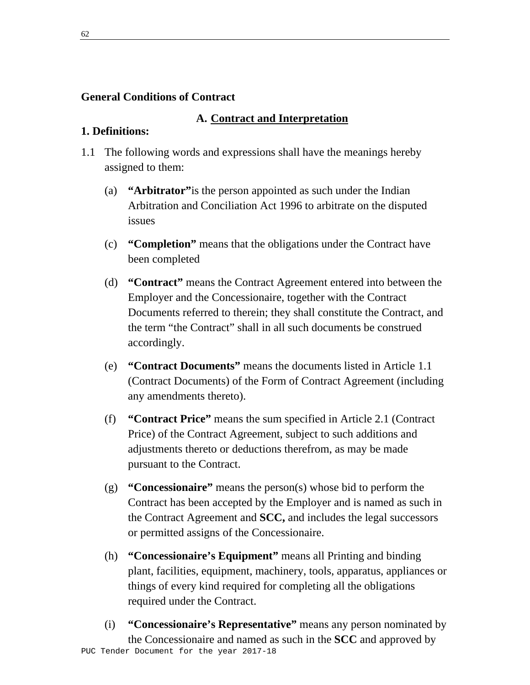## **General Conditions of Contract**

### **A. Contract and Interpretation**

### **1. Definitions:**

- 1.1 The following words and expressions shall have the meanings hereby assigned to them:
	- (a) **"Arbitrator"**is the person appointed as such under the Indian Arbitration and Conciliation Act 1996 to arbitrate on the disputed issues
	- (c) **"Completion"** means that the obligations under the Contract have been completed
	- (d) **"Contract"** means the Contract Agreement entered into between the Employer and the Concessionaire, together with the Contract Documents referred to therein; they shall constitute the Contract, and the term "the Contract" shall in all such documents be construed accordingly.
	- (e) **"Contract Documents"** means the documents listed in Article 1.1 (Contract Documents) of the Form of Contract Agreement (including any amendments thereto).
	- (f) **"Contract Price"** means the sum specified in Article 2.1 (Contract Price) of the Contract Agreement, subject to such additions and adjustments thereto or deductions therefrom, as may be made pursuant to the Contract.
	- (g) **"Concessionaire"** means the person(s) whose bid to perform the Contract has been accepted by the Employer and is named as such in the Contract Agreement and **SCC,** and includes the legal successors or permitted assigns of the Concessionaire.
	- (h) **"Concessionaire's Equipment"** means all Printing and binding plant, facilities, equipment, machinery, tools, apparatus, appliances or things of every kind required for completing all the obligations required under the Contract.
- PUC Tender Document for the year 2017-18 (i) **"Concessionaire's Representative"** means any person nominated by the Concessionaire and named as such in the **SCC** and approved by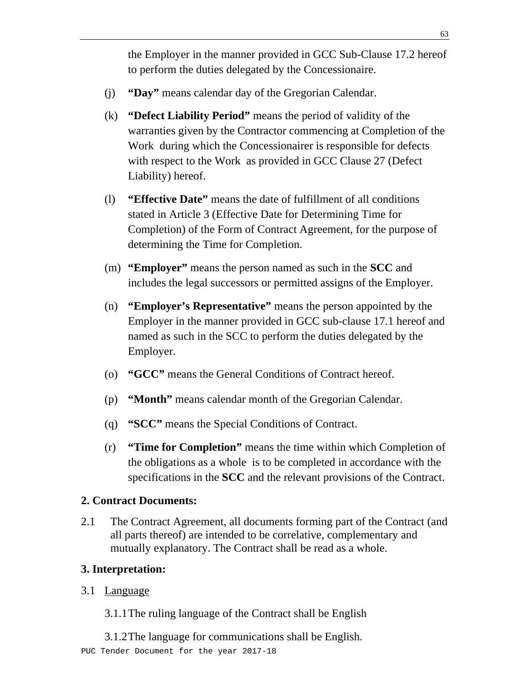the Employer in the manner provided in GCC Sub-Clause 17.2 hereof to perform the duties delegated by the Concessionaire.

- (j) **"Day"** means calendar day of the Gregorian Calendar.
- (k) **"Defect Liability Period"** means the period of validity of the warranties given by the Contractor commencing at Completion of the Work during which the Concessionairer is responsible for defects with respect to the Work as provided in GCC Clause 27 (Defect Liability) hereof.
- (l) **"Effective Date"** means the date of fulfillment of all conditions stated in Article 3 (Effective Date for Determining Time for Completion) of the Form of Contract Agreement, for the purpose of determining the Time for Completion.
- (m) **"Employer"** means the person named as such in the **SCC** and includes the legal successors or permitted assigns of the Employer.
- (n) **"Employer's Representative"** means the person appointed by the Employer in the manner provided in GCC sub-clause 17.1 hereof and named as such in the SCC to perform the duties delegated by the Employer.
- (o) **"GCC"** means the General Conditions of Contract hereof.
- (p) **"Month"** means calendar month of the Gregorian Calendar.
- (q) **"SCC"** means the Special Conditions of Contract.
- (r) **"Time for Completion"** means the time within which Completion of the obligations as a whole is to be completed in accordance with the specifications in the **SCC** and the relevant provisions of the Contract.

## **2. Contract Documents:**

2.1 The Contract Agreement, all documents forming part of the Contract (and all parts thereof) are intended to be correlative, complementary and mutually explanatory. The Contract shall be read as a whole.

# **3. Interpretation:**

3.1 Language

3.1.1 The ruling language of the Contract shall be English

PUC Tender Document for the year 2017-18 3.1.2 The language for communications shall be English.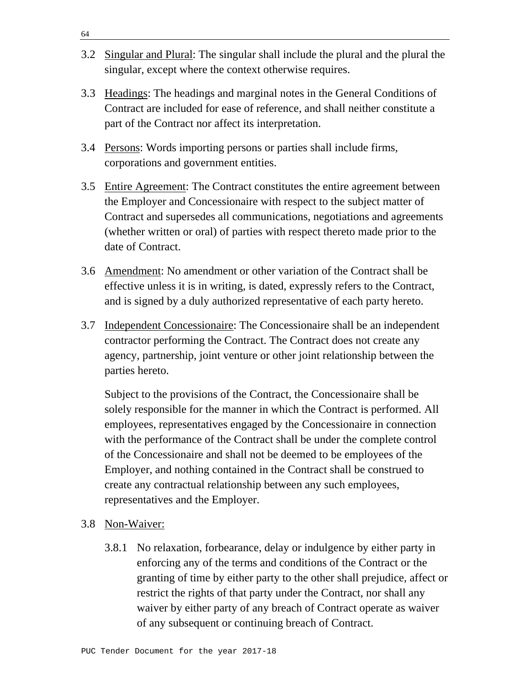- 3.2 Singular and Plural: The singular shall include the plural and the plural the singular, except where the context otherwise requires.
- 3.3 Headings: The headings and marginal notes in the General Conditions of Contract are included for ease of reference, and shall neither constitute a part of the Contract nor affect its interpretation.
- 3.4 Persons: Words importing persons or parties shall include firms, corporations and government entities.
- 3.5 Entire Agreement: The Contract constitutes the entire agreement between the Employer and Concessionaire with respect to the subject matter of Contract and supersedes all communications, negotiations and agreements (whether written or oral) of parties with respect thereto made prior to the date of Contract.
- 3.6 Amendment: No amendment or other variation of the Contract shall be effective unless it is in writing, is dated, expressly refers to the Contract, and is signed by a duly authorized representative of each party hereto.
- 3.7 Independent Concessionaire: The Concessionaire shall be an independent contractor performing the Contract. The Contract does not create any agency, partnership, joint venture or other joint relationship between the parties hereto.

 Subject to the provisions of the Contract, the Concessionaire shall be solely responsible for the manner in which the Contract is performed. All employees, representatives engaged by the Concessionaire in connection with the performance of the Contract shall be under the complete control of the Concessionaire and shall not be deemed to be employees of the Employer, and nothing contained in the Contract shall be construed to create any contractual relationship between any such employees, representatives and the Employer.

- 3.8 Non-Waiver:
	- 3.8.1 No relaxation, forbearance, delay or indulgence by either party in enforcing any of the terms and conditions of the Contract or the granting of time by either party to the other shall prejudice, affect or restrict the rights of that party under the Contract, nor shall any waiver by either party of any breach of Contract operate as waiver of any subsequent or continuing breach of Contract.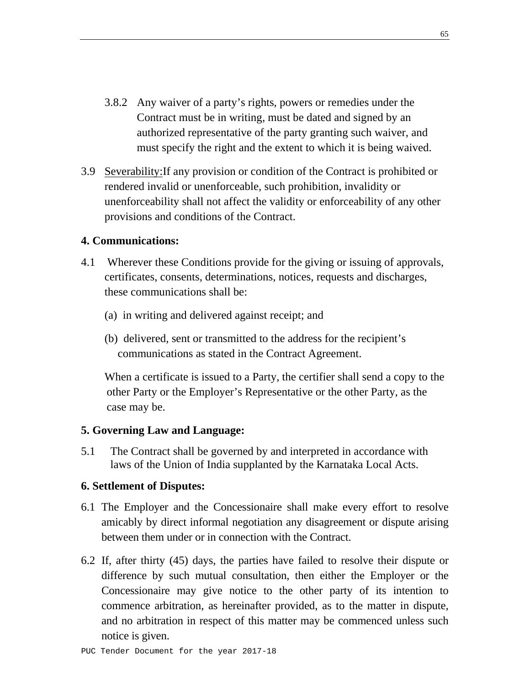- 3.8.2 Any waiver of a party's rights, powers or remedies under the Contract must be in writing, must be dated and signed by an authorized representative of the party granting such waiver, and must specify the right and the extent to which it is being waived.
- 3.9 Severability:If any provision or condition of the Contract is prohibited or rendered invalid or unenforceable, such prohibition, invalidity or unenforceability shall not affect the validity or enforceability of any other provisions and conditions of the Contract.

### **4. Communications:**

- 4.1 Wherever these Conditions provide for the giving or issuing of approvals, certificates, consents, determinations, notices, requests and discharges, these communications shall be:
	- (a) in writing and delivered against receipt; and
	- (b) delivered, sent or transmitted to the address for the recipient's communications as stated in the Contract Agreement.

When a certificate is issued to a Party, the certifier shall send a copy to the other Party or the Employer's Representative or the other Party, as the case may be.

### **5. Governing Law and Language:**

5.1 The Contract shall be governed by and interpreted in accordance with laws of the Union of India supplanted by the Karnataka Local Acts.

### **6. Settlement of Disputes:**

- 6.1 The Employer and the Concessionaire shall make every effort to resolve amicably by direct informal negotiation any disagreement or dispute arising between them under or in connection with the Contract.
- 6.2 If, after thirty (45) days, the parties have failed to resolve their dispute or difference by such mutual consultation, then either the Employer or the Concessionaire may give notice to the other party of its intention to commence arbitration, as hereinafter provided, as to the matter in dispute, and no arbitration in respect of this matter may be commenced unless such notice is given.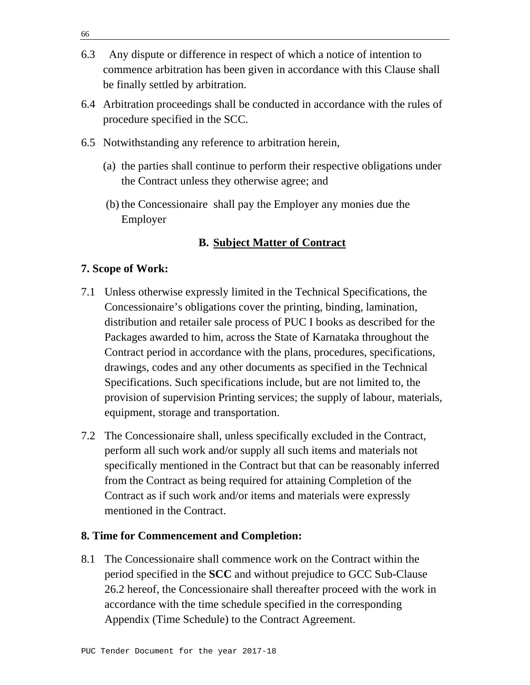- 6.3 Any dispute or difference in respect of which a notice of intention to commence arbitration has been given in accordance with this Clause shall be finally settled by arbitration.
- 6.4 Arbitration proceedings shall be conducted in accordance with the rules of procedure specified in the SCC.
- 6.5 Notwithstanding any reference to arbitration herein,
	- (a) the parties shall continue to perform their respective obligations under the Contract unless they otherwise agree; and
	- (b) the Concessionaire shall pay the Employer any monies due the Employer

## **B. Subject Matter of Contract**

### **7. Scope of Work:**

- 7.1 Unless otherwise expressly limited in the Technical Specifications, the Concessionaire's obligations cover the printing, binding, lamination, distribution and retailer sale process of PUC I books as described for the Packages awarded to him, across the State of Karnataka throughout the Contract period in accordance with the plans, procedures, specifications, drawings, codes and any other documents as specified in the Technical Specifications. Such specifications include, but are not limited to, the provision of supervision Printing services; the supply of labour, materials, equipment, storage and transportation.
- 7.2 The Concessionaire shall, unless specifically excluded in the Contract, perform all such work and/or supply all such items and materials not specifically mentioned in the Contract but that can be reasonably inferred from the Contract as being required for attaining Completion of the Contract as if such work and/or items and materials were expressly mentioned in the Contract.

### **8. Time for Commencement and Completion:**

8.1 The Concessionaire shall commence work on the Contract within the period specified in the **SCC** and without prejudice to GCC Sub-Clause 26.2 hereof, the Concessionaire shall thereafter proceed with the work in accordance with the time schedule specified in the corresponding Appendix (Time Schedule) to the Contract Agreement.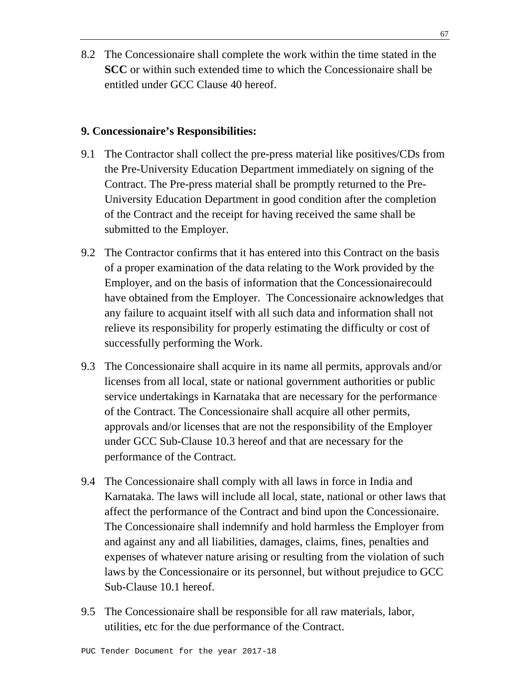8.2 The Concessionaire shall complete the work within the time stated in the **SCC** or within such extended time to which the Concessionaire shall be entitled under GCC Clause 40 hereof.

### **9. Concessionaire's Responsibilities:**

- 9.1 The Contractor shall collect the pre-press material like positives/CDs from the Pre-University Education Department immediately on signing of the Contract. The Pre-press material shall be promptly returned to the Pre-University Education Department in good condition after the completion of the Contract and the receipt for having received the same shall be submitted to the Employer.
- 9.2 The Contractor confirms that it has entered into this Contract on the basis of a proper examination of the data relating to the Work provided by the Employer, and on the basis of information that the Concessionairecould have obtained from the Employer. The Concessionaire acknowledges that any failure to acquaint itself with all such data and information shall not relieve its responsibility for properly estimating the difficulty or cost of successfully performing the Work.
- 9.3 The Concessionaire shall acquire in its name all permits, approvals and/or licenses from all local, state or national government authorities or public service undertakings in Karnataka that are necessary for the performance of the Contract. The Concessionaire shall acquire all other permits, approvals and/or licenses that are not the responsibility of the Employer under GCC Sub-Clause 10.3 hereof and that are necessary for the performance of the Contract.
- 9.4 The Concessionaire shall comply with all laws in force in India and Karnataka. The laws will include all local, state, national or other laws that affect the performance of the Contract and bind upon the Concessionaire. The Concessionaire shall indemnify and hold harmless the Employer from and against any and all liabilities, damages, claims, fines, penalties and expenses of whatever nature arising or resulting from the violation of such laws by the Concessionaire or its personnel, but without prejudice to GCC Sub-Clause 10.1 hereof.
- 9.5 The Concessionaire shall be responsible for all raw materials, labor, utilities, etc for the due performance of the Contract.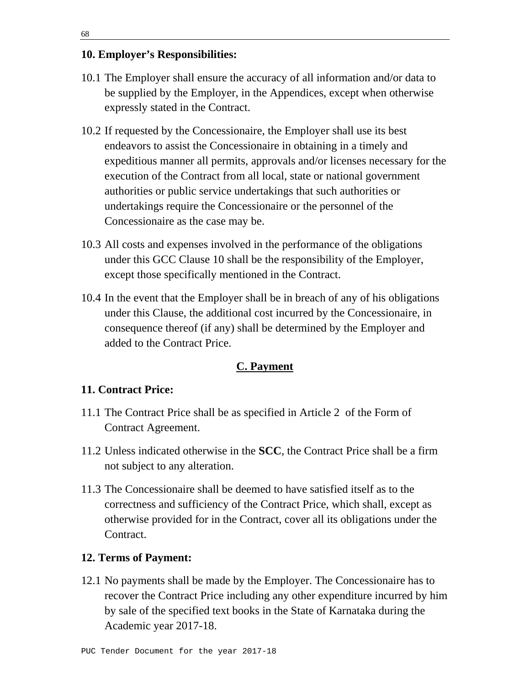### **10. Employer's Responsibilities:**

- 10.1 The Employer shall ensure the accuracy of all information and/or data to be supplied by the Employer, in the Appendices, except when otherwise expressly stated in the Contract.
- 10.2 If requested by the Concessionaire, the Employer shall use its best endeavors to assist the Concessionaire in obtaining in a timely and expeditious manner all permits, approvals and/or licenses necessary for the execution of the Contract from all local, state or national government authorities or public service undertakings that such authorities or undertakings require the Concessionaire or the personnel of the Concessionaire as the case may be.
- 10.3 All costs and expenses involved in the performance of the obligations under this GCC Clause 10 shall be the responsibility of the Employer, except those specifically mentioned in the Contract.
- 10.4 In the event that the Employer shall be in breach of any of his obligations under this Clause, the additional cost incurred by the Concessionaire, in consequence thereof (if any) shall be determined by the Employer and added to the Contract Price.

### **C. Payment**

### **11. Contract Price:**

- 11.1 The Contract Price shall be as specified in Article 2 of the Form of Contract Agreement.
- 11.2 Unless indicated otherwise in the **SCC**, the Contract Price shall be a firm not subject to any alteration.
- 11.3 The Concessionaire shall be deemed to have satisfied itself as to the correctness and sufficiency of the Contract Price, which shall, except as otherwise provided for in the Contract, cover all its obligations under the Contract.

#### **12. Terms of Payment:**

12.1 No payments shall be made by the Employer. The Concessionaire has to recover the Contract Price including any other expenditure incurred by him by sale of the specified text books in the State of Karnataka during the Academic year 2017-18.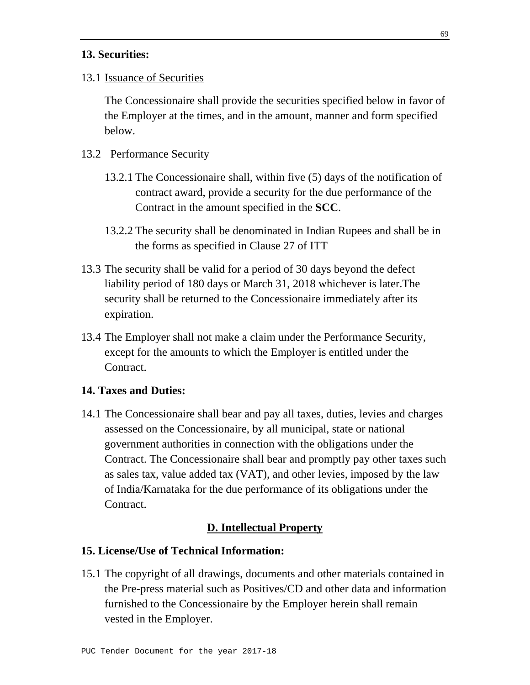### **13. Securities:**

13.1 Issuance of Securities

 The Concessionaire shall provide the securities specified below in favor of the Employer at the times, and in the amount, manner and form specified below.

- 13.2 Performance Security
	- 13.2.1 The Concessionaire shall, within five (5) days of the notification of contract award, provide a security for the due performance of the Contract in the amount specified in the **SCC**.
	- 13.2.2 The security shall be denominated in Indian Rupees and shall be in the forms as specified in Clause 27 of ITT
- 13.3 The security shall be valid for a period of 30 days beyond the defect liability period of 180 days or March 31, 2018 whichever is later.The security shall be returned to the Concessionaire immediately after its expiration.
- 13.4 The Employer shall not make a claim under the Performance Security, except for the amounts to which the Employer is entitled under the Contract.

### **14. Taxes and Duties:**

14.1 The Concessionaire shall bear and pay all taxes, duties, levies and charges assessed on the Concessionaire, by all municipal, state or national government authorities in connection with the obligations under the Contract. The Concessionaire shall bear and promptly pay other taxes such as sales tax, value added tax (VAT), and other levies, imposed by the law of India/Karnataka for the due performance of its obligations under the Contract.

#### **D. Intellectual Property**

### **15. License/Use of Technical Information:**

15.1 The copyright of all drawings, documents and other materials contained in the Pre-press material such as Positives/CD and other data and information furnished to the Concessionaire by the Employer herein shall remain vested in the Employer.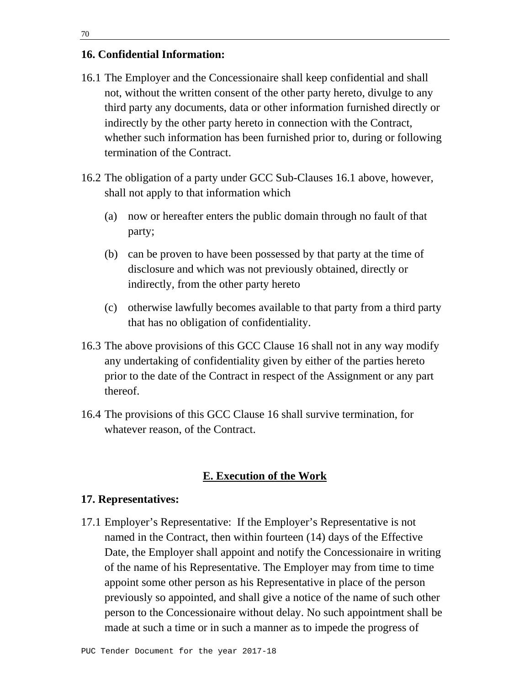### **16. Confidential Information:**

- 16.1 The Employer and the Concessionaire shall keep confidential and shall not, without the written consent of the other party hereto, divulge to any third party any documents, data or other information furnished directly or indirectly by the other party hereto in connection with the Contract, whether such information has been furnished prior to, during or following termination of the Contract.
- 16.2 The obligation of a party under GCC Sub-Clauses 16.1 above, however, shall not apply to that information which
	- (a) now or hereafter enters the public domain through no fault of that party;
	- (b) can be proven to have been possessed by that party at the time of disclosure and which was not previously obtained, directly or indirectly, from the other party hereto
	- (c) otherwise lawfully becomes available to that party from a third party that has no obligation of confidentiality.
- 16.3 The above provisions of this GCC Clause 16 shall not in any way modify any undertaking of confidentiality given by either of the parties hereto prior to the date of the Contract in respect of the Assignment or any part thereof.
- 16.4 The provisions of this GCC Clause 16 shall survive termination, for whatever reason, of the Contract.

### **E. Execution of the Work**

#### **17. Representatives:**

17.1 Employer's Representative: If the Employer's Representative is not named in the Contract, then within fourteen (14) days of the Effective Date, the Employer shall appoint and notify the Concessionaire in writing of the name of his Representative. The Employer may from time to time appoint some other person as his Representative in place of the person previously so appointed, and shall give a notice of the name of such other person to the Concessionaire without delay. No such appointment shall be made at such a time or in such a manner as to impede the progress of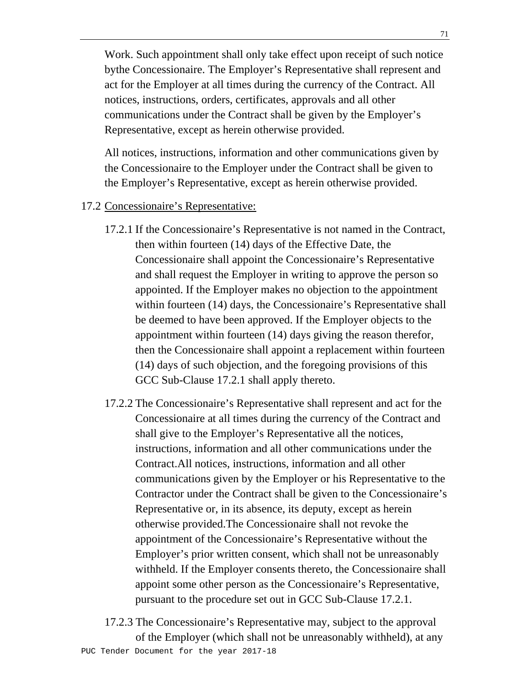Work. Such appointment shall only take effect upon receipt of such notice bythe Concessionaire. The Employer's Representative shall represent and act for the Employer at all times during the currency of the Contract. All notices, instructions, orders, certificates, approvals and all other communications under the Contract shall be given by the Employer's Representative, except as herein otherwise provided.

 All notices, instructions, information and other communications given by the Concessionaire to the Employer under the Contract shall be given to the Employer's Representative, except as herein otherwise provided.

### 17.2 Concessionaire's Representative:

- 17.2.1 If the Concessionaire's Representative is not named in the Contract, then within fourteen (14) days of the Effective Date, the Concessionaire shall appoint the Concessionaire's Representative and shall request the Employer in writing to approve the person so appointed. If the Employer makes no objection to the appointment within fourteen (14) days, the Concessionaire's Representative shall be deemed to have been approved. If the Employer objects to the appointment within fourteen (14) days giving the reason therefor, then the Concessionaire shall appoint a replacement within fourteen (14) days of such objection, and the foregoing provisions of this GCC Sub-Clause 17.2.1 shall apply thereto.
- 17.2.2 The Concessionaire's Representative shall represent and act for the Concessionaire at all times during the currency of the Contract and shall give to the Employer's Representative all the notices, instructions, information and all other communications under the Contract.All notices, instructions, information and all other communications given by the Employer or his Representative to the Contractor under the Contract shall be given to the Concessionaire's Representative or, in its absence, its deputy, except as herein otherwise provided.The Concessionaire shall not revoke the appointment of the Concessionaire's Representative without the Employer's prior written consent, which shall not be unreasonably withheld. If the Employer consents thereto, the Concessionaire shall appoint some other person as the Concessionaire's Representative, pursuant to the procedure set out in GCC Sub-Clause 17.2.1.
- PUC Tender Document for the year 2017-18 17.2.3 The Concessionaire's Representative may, subject to the approval of the Employer (which shall not be unreasonably withheld), at any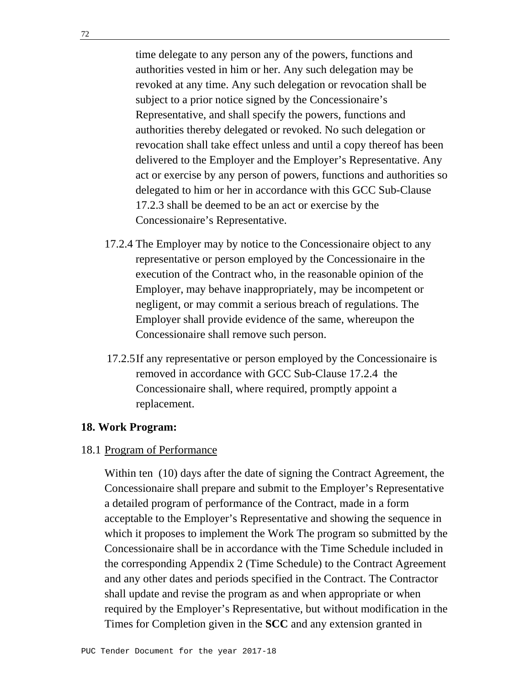time delegate to any person any of the powers, functions and authorities vested in him or her. Any such delegation may be revoked at any time. Any such delegation or revocation shall be subject to a prior notice signed by the Concessionaire's Representative, and shall specify the powers, functions and authorities thereby delegated or revoked. No such delegation or revocation shall take effect unless and until a copy thereof has been delivered to the Employer and the Employer's Representative. Any act or exercise by any person of powers, functions and authorities so delegated to him or her in accordance with this GCC Sub-Clause 17.2.3 shall be deemed to be an act or exercise by the Concessionaire's Representative.

- 17.2.4 The Employer may by notice to the Concessionaire object to any representative or person employed by the Concessionaire in the execution of the Contract who, in the reasonable opinion of the Employer, may behave inappropriately, may be incompetent or negligent, or may commit a serious breach of regulations. The Employer shall provide evidence of the same, whereupon the Concessionaire shall remove such person.
- 17.2.5 If any representative or person employed by the Concessionaire is removed in accordance with GCC Sub-Clause 17.2.4 the Concessionaire shall, where required, promptly appoint a replacement.

### **18. Work Program:**

### 18.1 Program of Performance

 Within ten (10) days after the date of signing the Contract Agreement, the Concessionaire shall prepare and submit to the Employer's Representative a detailed program of performance of the Contract, made in a form acceptable to the Employer's Representative and showing the sequence in which it proposes to implement the Work The program so submitted by the Concessionaire shall be in accordance with the Time Schedule included in the corresponding Appendix 2 (Time Schedule) to the Contract Agreement and any other dates and periods specified in the Contract. The Contractor shall update and revise the program as and when appropriate or when required by the Employer's Representative, but without modification in the Times for Completion given in the **SCC** and any extension granted in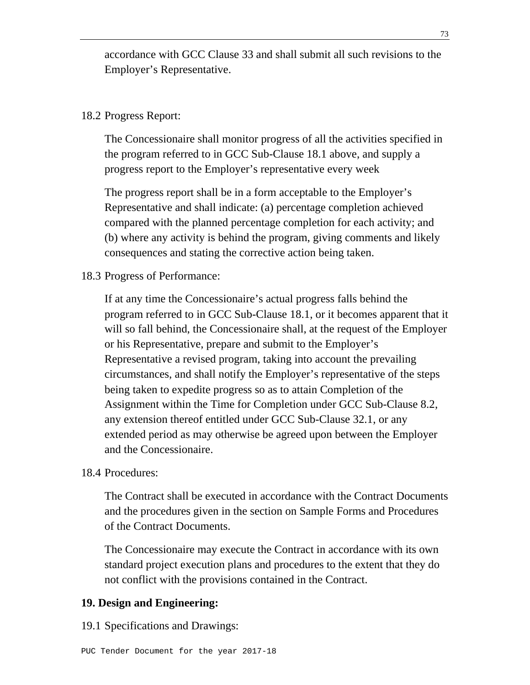accordance with GCC Clause 33 and shall submit all such revisions to the Employer's Representative.

## 18.2 Progress Report:

 The Concessionaire shall monitor progress of all the activities specified in the program referred to in GCC Sub-Clause 18.1 above, and supply a progress report to the Employer's representative every week

 The progress report shall be in a form acceptable to the Employer's Representative and shall indicate: (a) percentage completion achieved compared with the planned percentage completion for each activity; and (b) where any activity is behind the program, giving comments and likely consequences and stating the corrective action being taken.

### 18.3 Progress of Performance:

 If at any time the Concessionaire's actual progress falls behind the program referred to in GCC Sub-Clause 18.1, or it becomes apparent that it will so fall behind, the Concessionaire shall, at the request of the Employer or his Representative, prepare and submit to the Employer's Representative a revised program, taking into account the prevailing circumstances, and shall notify the Employer's representative of the steps being taken to expedite progress so as to attain Completion of the Assignment within the Time for Completion under GCC Sub-Clause 8.2, any extension thereof entitled under GCC Sub-Clause 32.1, or any extended period as may otherwise be agreed upon between the Employer and the Concessionaire.

#### 18.4 Procedures:

 The Contract shall be executed in accordance with the Contract Documents and the procedures given in the section on Sample Forms and Procedures of the Contract Documents.

 The Concessionaire may execute the Contract in accordance with its own standard project execution plans and procedures to the extent that they do not conflict with the provisions contained in the Contract.

### **19. Design and Engineering:**

19.1 Specifications and Drawings: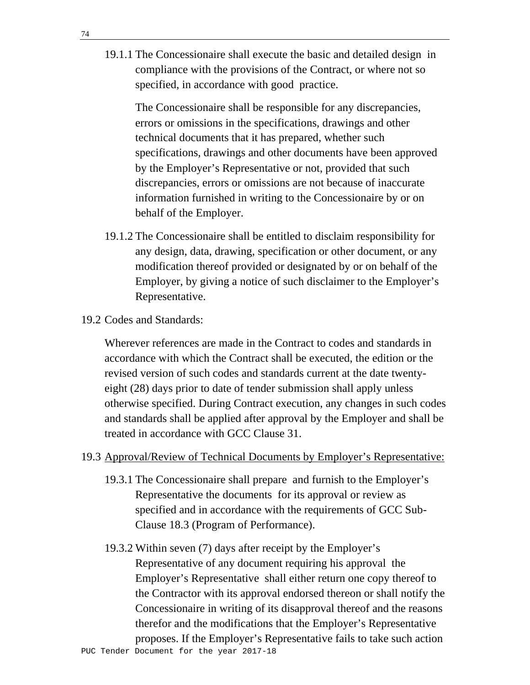19.1.1 The Concessionaire shall execute the basic and detailed design in compliance with the provisions of the Contract, or where not so specified, in accordance with good practice.

 The Concessionaire shall be responsible for any discrepancies, errors or omissions in the specifications, drawings and other technical documents that it has prepared, whether such specifications, drawings and other documents have been approved by the Employer's Representative or not, provided that such discrepancies, errors or omissions are not because of inaccurate information furnished in writing to the Concessionaire by or on behalf of the Employer.

- 19.1.2 The Concessionaire shall be entitled to disclaim responsibility for any design, data, drawing, specification or other document, or any modification thereof provided or designated by or on behalf of the Employer, by giving a notice of such disclaimer to the Employer's Representative.
- 19.2 Codes and Standards:

 Wherever references are made in the Contract to codes and standards in accordance with which the Contract shall be executed, the edition or the revised version of such codes and standards current at the date twentyeight (28) days prior to date of tender submission shall apply unless otherwise specified. During Contract execution, any changes in such codes and standards shall be applied after approval by the Employer and shall be treated in accordance with GCC Clause 31.

## 19.3 Approval/Review of Technical Documents by Employer's Representative:

- 19.3.1 The Concessionaire shall prepare and furnish to the Employer's Representative the documents for its approval or review as specified and in accordance with the requirements of GCC Sub-Clause 18.3 (Program of Performance).
- 19.3.2 Within seven (7) days after receipt by the Employer's Representative of any document requiring his approval the Employer's Representative shall either return one copy thereof to the Contractor with its approval endorsed thereon or shall notify the Concessionaire in writing of its disapproval thereof and the reasons therefor and the modifications that the Employer's Representative proposes. If the Employer's Representative fails to take such action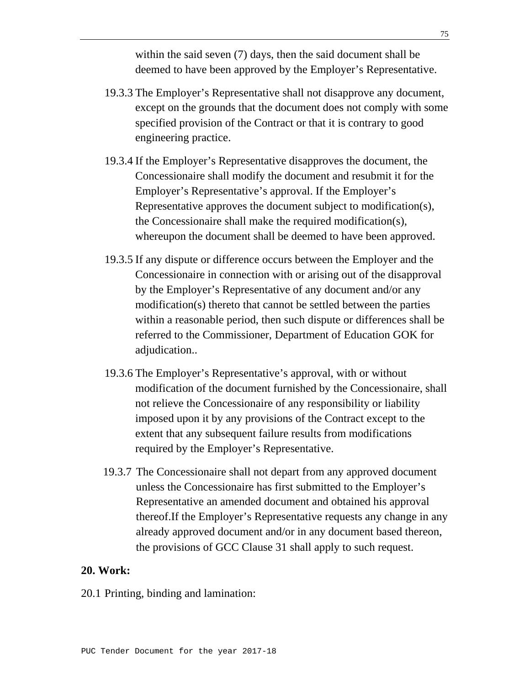within the said seven (7) days, then the said document shall be deemed to have been approved by the Employer's Representative.

- 19.3.3 The Employer's Representative shall not disapprove any document, except on the grounds that the document does not comply with some specified provision of the Contract or that it is contrary to good engineering practice.
- 19.3.4 If the Employer's Representative disapproves the document, the Concessionaire shall modify the document and resubmit it for the Employer's Representative's approval. If the Employer's Representative approves the document subject to modification(s), the Concessionaire shall make the required modification(s), whereupon the document shall be deemed to have been approved.
- 19.3.5 If any dispute or difference occurs between the Employer and the Concessionaire in connection with or arising out of the disapproval by the Employer's Representative of any document and/or any modification(s) thereto that cannot be settled between the parties within a reasonable period, then such dispute or differences shall be referred to the Commissioner, Department of Education GOK for adjudication..
- 19.3.6 The Employer's Representative's approval, with or without modification of the document furnished by the Concessionaire, shall not relieve the Concessionaire of any responsibility or liability imposed upon it by any provisions of the Contract except to the extent that any subsequent failure results from modifications required by the Employer's Representative.
- 19.3.7 The Concessionaire shall not depart from any approved document unless the Concessionaire has first submitted to the Employer's Representative an amended document and obtained his approval thereof.If the Employer's Representative requests any change in any already approved document and/or in any document based thereon, the provisions of GCC Clause 31 shall apply to such request.

### **20. Work:**

20.1 Printing, binding and lamination: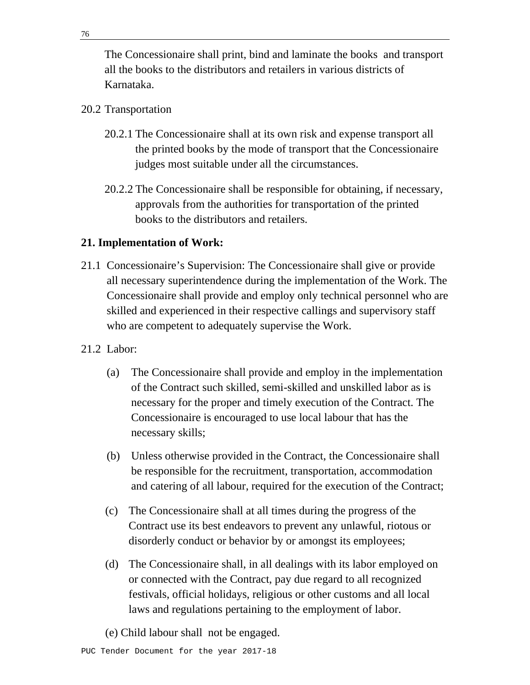The Concessionaire shall print, bind and laminate the books and transport all the books to the distributors and retailers in various districts of Karnataka.

## 20.2 Transportation

- 20.2.1 The Concessionaire shall at its own risk and expense transport all the printed books by the mode of transport that the Concessionaire judges most suitable under all the circumstances.
- 20.2.2 The Concessionaire shall be responsible for obtaining, if necessary, approvals from the authorities for transportation of the printed books to the distributors and retailers.

# **21. Implementation of Work:**

- 21.1 Concessionaire's Supervision: The Concessionaire shall give or provide all necessary superintendence during the implementation of the Work. The Concessionaire shall provide and employ only technical personnel who are skilled and experienced in their respective callings and supervisory staff who are competent to adequately supervise the Work.
- 21.2 Labor:
	- (a) The Concessionaire shall provide and employ in the implementation of the Contract such skilled, semi-skilled and unskilled labor as is necessary for the proper and timely execution of the Contract. The Concessionaire is encouraged to use local labour that has the necessary skills;
	- (b) Unless otherwise provided in the Contract, the Concessionaire shall be responsible for the recruitment, transportation, accommodation and catering of all labour, required for the execution of the Contract;
	- (c) The Concessionaire shall at all times during the progress of the Contract use its best endeavors to prevent any unlawful, riotous or disorderly conduct or behavior by or amongst its employees;
	- (d) The Concessionaire shall, in all dealings with its labor employed on or connected with the Contract, pay due regard to all recognized festivals, official holidays, religious or other customs and all local laws and regulations pertaining to the employment of labor.

(e) Child labour shall not be engaged.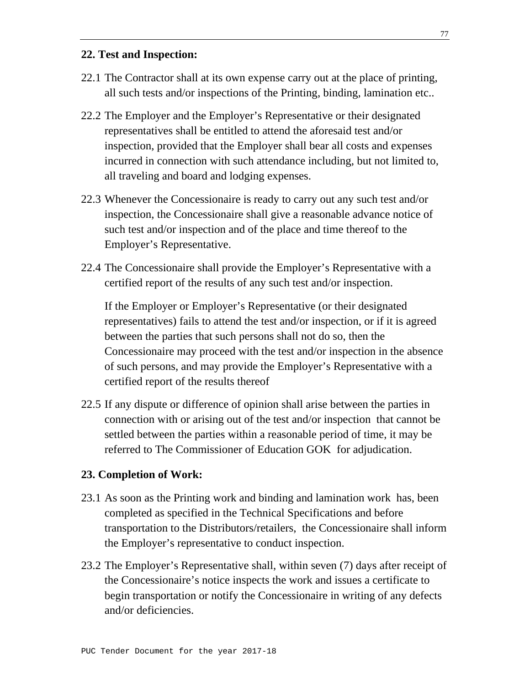## **22. Test and Inspection:**

- 22.1 The Contractor shall at its own expense carry out at the place of printing, all such tests and/or inspections of the Printing, binding, lamination etc..
- 22.2 The Employer and the Employer's Representative or their designated representatives shall be entitled to attend the aforesaid test and/or inspection, provided that the Employer shall bear all costs and expenses incurred in connection with such attendance including, but not limited to, all traveling and board and lodging expenses.
- 22.3 Whenever the Concessionaire is ready to carry out any such test and/or inspection, the Concessionaire shall give a reasonable advance notice of such test and/or inspection and of the place and time thereof to the Employer's Representative.
- 22.4 The Concessionaire shall provide the Employer's Representative with a certified report of the results of any such test and/or inspection.

 If the Employer or Employer's Representative (or their designated representatives) fails to attend the test and/or inspection, or if it is agreed between the parties that such persons shall not do so, then the Concessionaire may proceed with the test and/or inspection in the absence of such persons, and may provide the Employer's Representative with a certified report of the results thereof

22.5 If any dispute or difference of opinion shall arise between the parties in connection with or arising out of the test and/or inspection that cannot be settled between the parties within a reasonable period of time, it may be referred to The Commissioner of Education GOK for adjudication.

## **23. Completion of Work:**

- 23.1 As soon as the Printing work and binding and lamination work has, been completed as specified in the Technical Specifications and before transportation to the Distributors/retailers, the Concessionaire shall inform the Employer's representative to conduct inspection.
- 23.2 The Employer's Representative shall, within seven (7) days after receipt of the Concessionaire's notice inspects the work and issues a certificate to begin transportation or notify the Concessionaire in writing of any defects and/or deficiencies.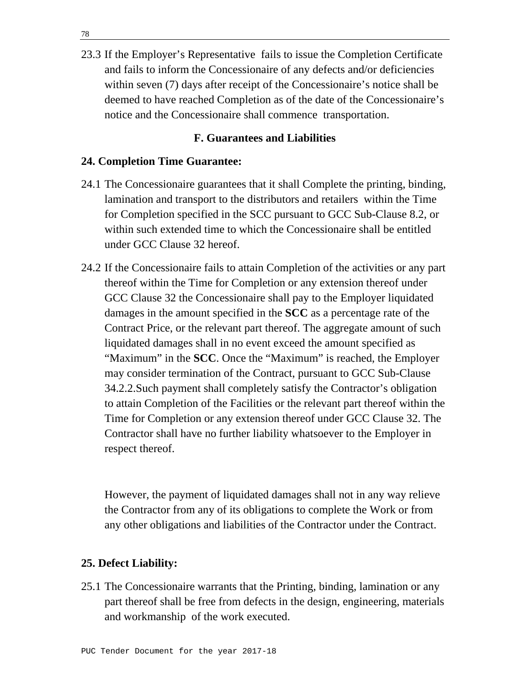23.3 If the Employer's Representative fails to issue the Completion Certificate and fails to inform the Concessionaire of any defects and/or deficiencies within seven (7) days after receipt of the Concessionaire's notice shall be deemed to have reached Completion as of the date of the Concessionaire's notice and the Concessionaire shall commence transportation.

## **F. Guarantees and Liabilities**

#### **24. Completion Time Guarantee:**

- 24.1 The Concessionaire guarantees that it shall Complete the printing, binding, lamination and transport to the distributors and retailers within the Time for Completion specified in the SCC pursuant to GCC Sub-Clause 8.2, or within such extended time to which the Concessionaire shall be entitled under GCC Clause 32 hereof.
- 24.2 If the Concessionaire fails to attain Completion of the activities or any part thereof within the Time for Completion or any extension thereof under GCC Clause 32 the Concessionaire shall pay to the Employer liquidated damages in the amount specified in the **SCC** as a percentage rate of the Contract Price, or the relevant part thereof. The aggregate amount of such liquidated damages shall in no event exceed the amount specified as "Maximum" in the **SCC**. Once the "Maximum" is reached, the Employer may consider termination of the Contract, pursuant to GCC Sub-Clause 34.2.2.Such payment shall completely satisfy the Contractor's obligation to attain Completion of the Facilities or the relevant part thereof within the Time for Completion or any extension thereof under GCC Clause 32. The Contractor shall have no further liability whatsoever to the Employer in respect thereof.

 However, the payment of liquidated damages shall not in any way relieve the Contractor from any of its obligations to complete the Work or from any other obligations and liabilities of the Contractor under the Contract.

#### **25. Defect Liability:**

25.1 The Concessionaire warrants that the Printing, binding, lamination or any part thereof shall be free from defects in the design, engineering, materials and workmanship of the work executed.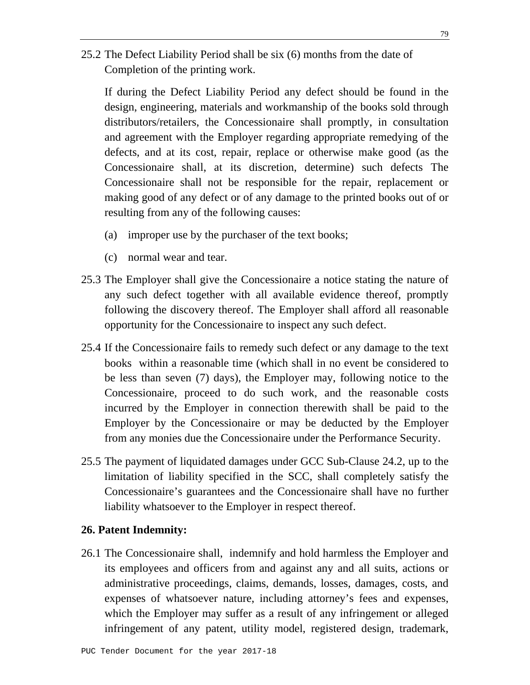25.2 The Defect Liability Period shall be six (6) months from the date of Completion of the printing work.

 If during the Defect Liability Period any defect should be found in the design, engineering, materials and workmanship of the books sold through distributors/retailers, the Concessionaire shall promptly, in consultation and agreement with the Employer regarding appropriate remedying of the defects, and at its cost, repair, replace or otherwise make good (as the Concessionaire shall, at its discretion, determine) such defects The Concessionaire shall not be responsible for the repair, replacement or making good of any defect or of any damage to the printed books out of or resulting from any of the following causes:

- (a) improper use by the purchaser of the text books;
- (c) normal wear and tear.
- 25.3 The Employer shall give the Concessionaire a notice stating the nature of any such defect together with all available evidence thereof, promptly following the discovery thereof. The Employer shall afford all reasonable opportunity for the Concessionaire to inspect any such defect.
- 25.4 If the Concessionaire fails to remedy such defect or any damage to the text books within a reasonable time (which shall in no event be considered to be less than seven (7) days), the Employer may, following notice to the Concessionaire, proceed to do such work, and the reasonable costs incurred by the Employer in connection therewith shall be paid to the Employer by the Concessionaire or may be deducted by the Employer from any monies due the Concessionaire under the Performance Security.
- 25.5 The payment of liquidated damages under GCC Sub-Clause 24.2, up to the limitation of liability specified in the SCC, shall completely satisfy the Concessionaire's guarantees and the Concessionaire shall have no further liability whatsoever to the Employer in respect thereof.

#### **26. Patent Indemnity:**

26.1 The Concessionaire shall, indemnify and hold harmless the Employer and its employees and officers from and against any and all suits, actions or administrative proceedings, claims, demands, losses, damages, costs, and expenses of whatsoever nature, including attorney's fees and expenses, which the Employer may suffer as a result of any infringement or alleged infringement of any patent, utility model, registered design, trademark,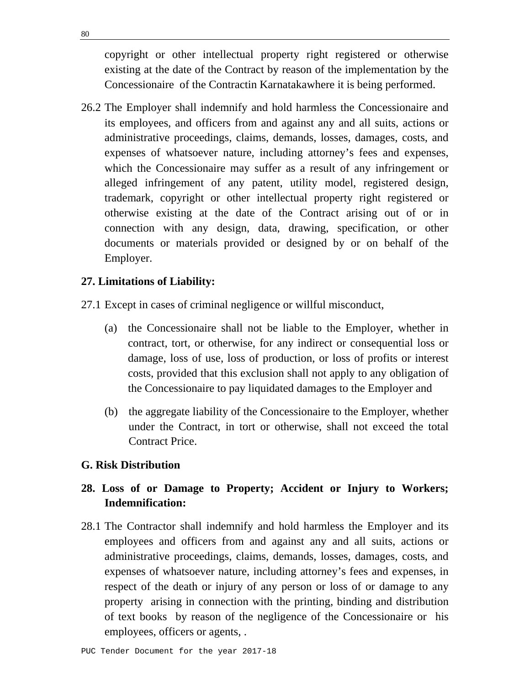copyright or other intellectual property right registered or otherwise existing at the date of the Contract by reason of the implementation by the Concessionaire of the Contractin Karnatakawhere it is being performed.

26.2 The Employer shall indemnify and hold harmless the Concessionaire and its employees, and officers from and against any and all suits, actions or administrative proceedings, claims, demands, losses, damages, costs, and expenses of whatsoever nature, including attorney's fees and expenses, which the Concessionaire may suffer as a result of any infringement or alleged infringement of any patent, utility model, registered design, trademark, copyright or other intellectual property right registered or otherwise existing at the date of the Contract arising out of or in connection with any design, data, drawing, specification, or other documents or materials provided or designed by or on behalf of the Employer.

## **27. Limitations of Liability:**

- 27.1 Except in cases of criminal negligence or willful misconduct,
	- (a) the Concessionaire shall not be liable to the Employer, whether in contract, tort, or otherwise, for any indirect or consequential loss or damage, loss of use, loss of production, or loss of profits or interest costs, provided that this exclusion shall not apply to any obligation of the Concessionaire to pay liquidated damages to the Employer and
	- (b) the aggregate liability of the Concessionaire to the Employer, whether under the Contract, in tort or otherwise, shall not exceed the total Contract Price.

### **G. Risk Distribution**

# **28. Loss of or Damage to Property; Accident or Injury to Workers; Indemnification:**

28.1 The Contractor shall indemnify and hold harmless the Employer and its employees and officers from and against any and all suits, actions or administrative proceedings, claims, demands, losses, damages, costs, and expenses of whatsoever nature, including attorney's fees and expenses, in respect of the death or injury of any person or loss of or damage to any property arising in connection with the printing, binding and distribution of text books by reason of the negligence of the Concessionaire or his employees, officers or agents, .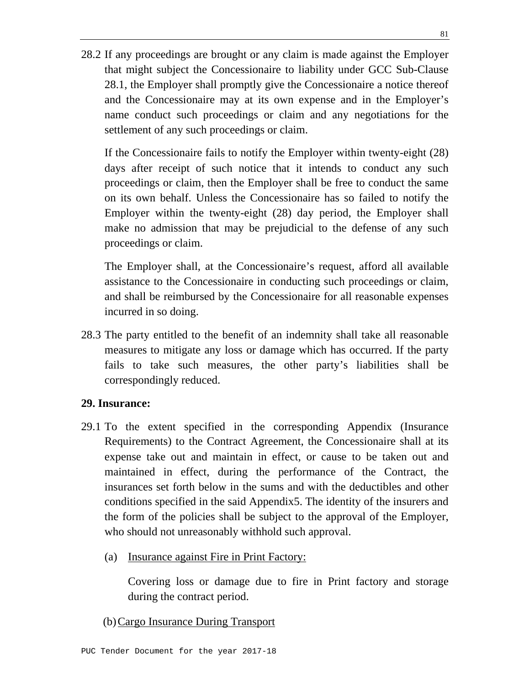28.2 If any proceedings are brought or any claim is made against the Employer that might subject the Concessionaire to liability under GCC Sub-Clause 28.1, the Employer shall promptly give the Concessionaire a notice thereof and the Concessionaire may at its own expense and in the Employer's name conduct such proceedings or claim and any negotiations for the settlement of any such proceedings or claim.

 If the Concessionaire fails to notify the Employer within twenty-eight (28) days after receipt of such notice that it intends to conduct any such proceedings or claim, then the Employer shall be free to conduct the same on its own behalf. Unless the Concessionaire has so failed to notify the Employer within the twenty-eight (28) day period, the Employer shall make no admission that may be prejudicial to the defense of any such proceedings or claim.

 The Employer shall, at the Concessionaire's request, afford all available assistance to the Concessionaire in conducting such proceedings or claim, and shall be reimbursed by the Concessionaire for all reasonable expenses incurred in so doing.

28.3 The party entitled to the benefit of an indemnity shall take all reasonable measures to mitigate any loss or damage which has occurred. If the party fails to take such measures, the other party's liabilities shall be correspondingly reduced.

## **29. Insurance:**

- 29.1 To the extent specified in the corresponding Appendix (Insurance Requirements) to the Contract Agreement, the Concessionaire shall at its expense take out and maintain in effect, or cause to be taken out and maintained in effect, during the performance of the Contract, the insurances set forth below in the sums and with the deductibles and other conditions specified in the said Appendix5. The identity of the insurers and the form of the policies shall be subject to the approval of the Employer, who should not unreasonably withhold such approval.
	- (a) Insurance against Fire in Print Factory:

Covering loss or damage due to fire in Print factory and storage during the contract period.

(b)Cargo Insurance During Transport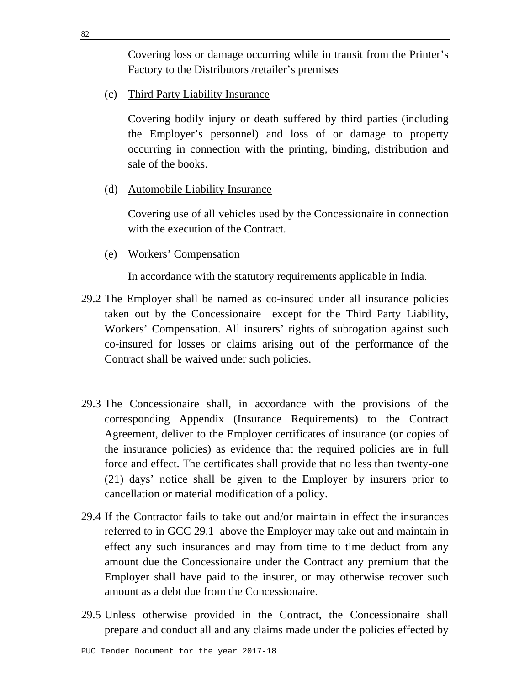Covering loss or damage occurring while in transit from the Printer's Factory to the Distributors /retailer's premises

(c) Third Party Liability Insurance

 Covering bodily injury or death suffered by third parties (including the Employer's personnel) and loss of or damage to property occurring in connection with the printing, binding, distribution and sale of the books.

(d) Automobile Liability Insurance

 Covering use of all vehicles used by the Concessionaire in connection with the execution of the Contract.

(e) Workers' Compensation

In accordance with the statutory requirements applicable in India.

- 29.2 The Employer shall be named as co-insured under all insurance policies taken out by the Concessionaire except for the Third Party Liability, Workers' Compensation. All insurers' rights of subrogation against such co-insured for losses or claims arising out of the performance of the Contract shall be waived under such policies.
- 29.3 The Concessionaire shall, in accordance with the provisions of the corresponding Appendix (Insurance Requirements) to the Contract Agreement, deliver to the Employer certificates of insurance (or copies of the insurance policies) as evidence that the required policies are in full force and effect. The certificates shall provide that no less than twenty-one (21) days' notice shall be given to the Employer by insurers prior to cancellation or material modification of a policy.
- 29.4 If the Contractor fails to take out and/or maintain in effect the insurances referred to in GCC 29.1 above the Employer may take out and maintain in effect any such insurances and may from time to time deduct from any amount due the Concessionaire under the Contract any premium that the Employer shall have paid to the insurer, or may otherwise recover such amount as a debt due from the Concessionaire.
- 29.5 Unless otherwise provided in the Contract, the Concessionaire shall prepare and conduct all and any claims made under the policies effected by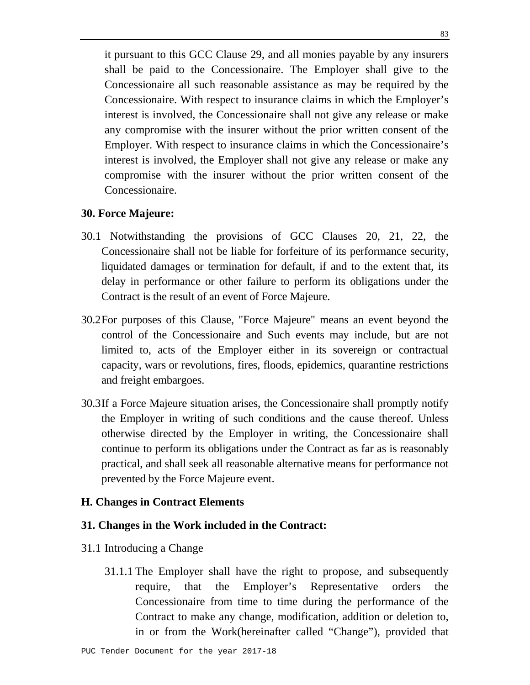it pursuant to this GCC Clause 29, and all monies payable by any insurers shall be paid to the Concessionaire. The Employer shall give to the Concessionaire all such reasonable assistance as may be required by the Concessionaire. With respect to insurance claims in which the Employer's interest is involved, the Concessionaire shall not give any release or make any compromise with the insurer without the prior written consent of the Employer. With respect to insurance claims in which the Concessionaire's interest is involved, the Employer shall not give any release or make any compromise with the insurer without the prior written consent of the Concessionaire.

### **30. Force Majeure:**

- 30.1 Notwithstanding the provisions of GCC Clauses 20, 21, 22, the Concessionaire shall not be liable for forfeiture of its performance security, liquidated damages or termination for default, if and to the extent that, its delay in performance or other failure to perform its obligations under the Contract is the result of an event of Force Majeure.
- 30.2 For purposes of this Clause, "Force Majeure" means an event beyond the control of the Concessionaire and Such events may include, but are not limited to, acts of the Employer either in its sovereign or contractual capacity, wars or revolutions, fires, floods, epidemics, quarantine restrictions and freight embargoes.
- 30.3 If a Force Majeure situation arises, the Concessionaire shall promptly notify the Employer in writing of such conditions and the cause thereof. Unless otherwise directed by the Employer in writing, the Concessionaire shall continue to perform its obligations under the Contract as far as is reasonably practical, and shall seek all reasonable alternative means for performance not prevented by the Force Majeure event.

### **H. Changes in Contract Elements**

#### **31. Changes in the Work included in the Contract:**

- 31.1 Introducing a Change
	- 31.1.1 The Employer shall have the right to propose, and subsequently require, that the Employer's Representative orders the Concessionaire from time to time during the performance of the Contract to make any change, modification, addition or deletion to, in or from the Work(hereinafter called "Change"), provided that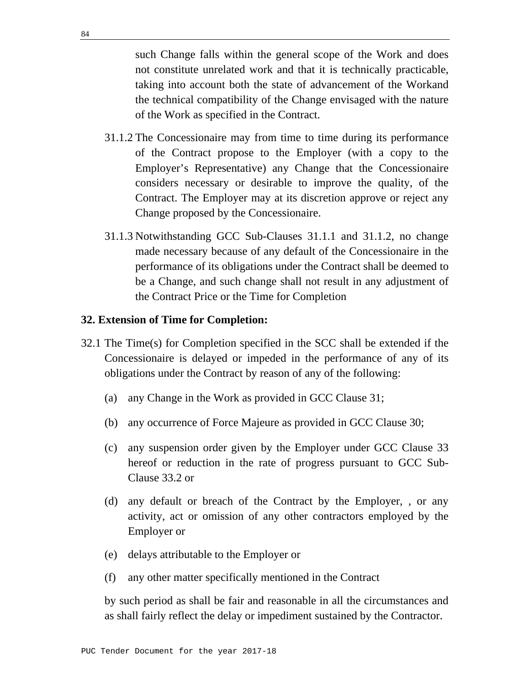such Change falls within the general scope of the Work and does not constitute unrelated work and that it is technically practicable, taking into account both the state of advancement of the Workand the technical compatibility of the Change envisaged with the nature of the Work as specified in the Contract.

- 31.1.2 The Concessionaire may from time to time during its performance of the Contract propose to the Employer (with a copy to the Employer's Representative) any Change that the Concessionaire considers necessary or desirable to improve the quality, of the Contract. The Employer may at its discretion approve or reject any Change proposed by the Concessionaire.
- 31.1.3 Notwithstanding GCC Sub-Clauses 31.1.1 and 31.1.2, no change made necessary because of any default of the Concessionaire in the performance of its obligations under the Contract shall be deemed to be a Change, and such change shall not result in any adjustment of the Contract Price or the Time for Completion

#### **32. Extension of Time for Completion:**

- 32.1 The Time(s) for Completion specified in the SCC shall be extended if the Concessionaire is delayed or impeded in the performance of any of its obligations under the Contract by reason of any of the following:
	- (a) any Change in the Work as provided in GCC Clause 31;
	- (b) any occurrence of Force Majeure as provided in GCC Clause 30;
	- (c) any suspension order given by the Employer under GCC Clause 33 hereof or reduction in the rate of progress pursuant to GCC Sub-Clause 33.2 or
	- (d) any default or breach of the Contract by the Employer, , or any activity, act or omission of any other contractors employed by the Employer or
	- (e) delays attributable to the Employer or
	- (f) any other matter specifically mentioned in the Contract

 by such period as shall be fair and reasonable in all the circumstances and as shall fairly reflect the delay or impediment sustained by the Contractor.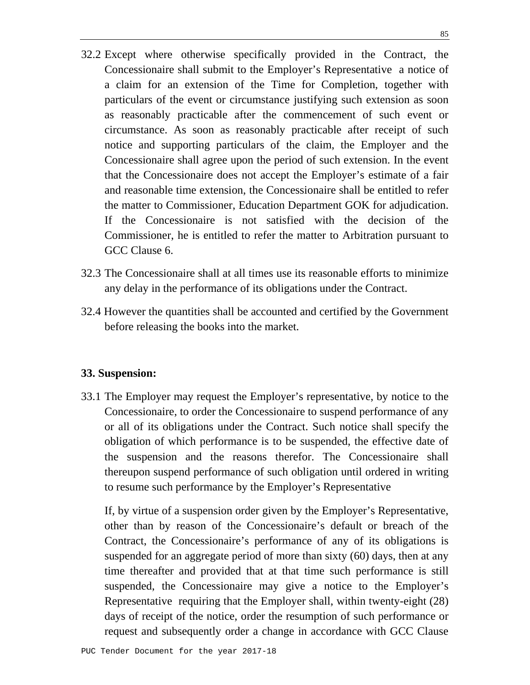- 32.2 Except where otherwise specifically provided in the Contract, the Concessionaire shall submit to the Employer's Representative a notice of a claim for an extension of the Time for Completion, together with particulars of the event or circumstance justifying such extension as soon as reasonably practicable after the commencement of such event or circumstance. As soon as reasonably practicable after receipt of such notice and supporting particulars of the claim, the Employer and the Concessionaire shall agree upon the period of such extension. In the event that the Concessionaire does not accept the Employer's estimate of a fair and reasonable time extension, the Concessionaire shall be entitled to refer the matter to Commissioner, Education Department GOK for adjudication. If the Concessionaire is not satisfied with the decision of the Commissioner, he is entitled to refer the matter to Arbitration pursuant to GCC Clause 6.
- 32.3 The Concessionaire shall at all times use its reasonable efforts to minimize any delay in the performance of its obligations under the Contract.
- 32.4 However the quantities shall be accounted and certified by the Government before releasing the books into the market.

### **33. Suspension:**

33.1 The Employer may request the Employer's representative, by notice to the Concessionaire, to order the Concessionaire to suspend performance of any or all of its obligations under the Contract. Such notice shall specify the obligation of which performance is to be suspended, the effective date of the suspension and the reasons therefor. The Concessionaire shall thereupon suspend performance of such obligation until ordered in writing to resume such performance by the Employer's Representative

 If, by virtue of a suspension order given by the Employer's Representative, other than by reason of the Concessionaire's default or breach of the Contract, the Concessionaire's performance of any of its obligations is suspended for an aggregate period of more than sixty (60) days, then at any time thereafter and provided that at that time such performance is still suspended, the Concessionaire may give a notice to the Employer's Representative requiring that the Employer shall, within twenty-eight (28) days of receipt of the notice, order the resumption of such performance or request and subsequently order a change in accordance with GCC Clause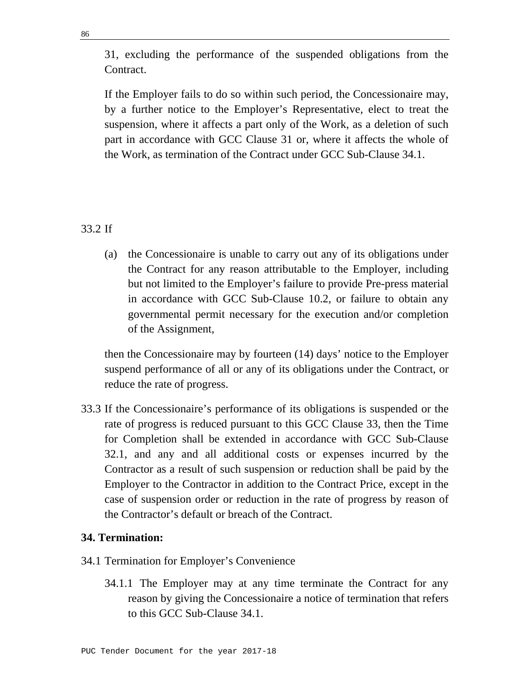31, excluding the performance of the suspended obligations from the Contract.

 If the Employer fails to do so within such period, the Concessionaire may, by a further notice to the Employer's Representative, elect to treat the suspension, where it affects a part only of the Work, as a deletion of such part in accordance with GCC Clause 31 or, where it affects the whole of the Work, as termination of the Contract under GCC Sub-Clause 34.1.

# 33.2 If

(a) the Concessionaire is unable to carry out any of its obligations under the Contract for any reason attributable to the Employer, including but not limited to the Employer's failure to provide Pre-press material in accordance with GCC Sub-Clause 10.2, or failure to obtain any governmental permit necessary for the execution and/or completion of the Assignment,

 then the Concessionaire may by fourteen (14) days' notice to the Employer suspend performance of all or any of its obligations under the Contract, or reduce the rate of progress.

33.3 If the Concessionaire's performance of its obligations is suspended or the rate of progress is reduced pursuant to this GCC Clause 33, then the Time for Completion shall be extended in accordance with GCC Sub-Clause 32.1, and any and all additional costs or expenses incurred by the Contractor as a result of such suspension or reduction shall be paid by the Employer to the Contractor in addition to the Contract Price, except in the case of suspension order or reduction in the rate of progress by reason of the Contractor's default or breach of the Contract.

## **34. Termination:**

- 34.1 Termination for Employer's Convenience
	- 34.1.1 The Employer may at any time terminate the Contract for any reason by giving the Concessionaire a notice of termination that refers to this GCC Sub-Clause 34.1.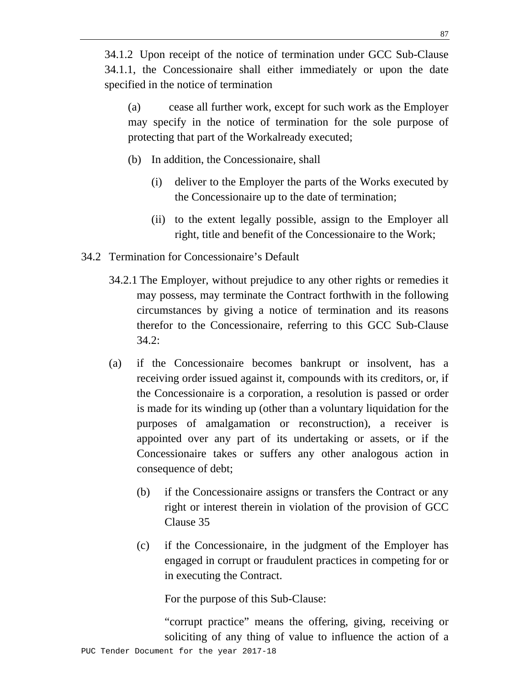34.1.2 Upon receipt of the notice of termination under GCC Sub-Clause 34.1.1, the Concessionaire shall either immediately or upon the date specified in the notice of termination

(a) cease all further work, except for such work as the Employer may specify in the notice of termination for the sole purpose of protecting that part of the Workalready executed;

- (b) In addition, the Concessionaire, shall
	- (i) deliver to the Employer the parts of the Works executed by the Concessionaire up to the date of termination;
	- (ii) to the extent legally possible, assign to the Employer all right, title and benefit of the Concessionaire to the Work;
- 34.2 Termination for Concessionaire's Default
	- 34.2.1 The Employer, without prejudice to any other rights or remedies it may possess, may terminate the Contract forthwith in the following circumstances by giving a notice of termination and its reasons therefor to the Concessionaire, referring to this GCC Sub-Clause 34.2:
	- (a) if the Concessionaire becomes bankrupt or insolvent, has a receiving order issued against it, compounds with its creditors, or, if the Concessionaire is a corporation, a resolution is passed or order is made for its winding up (other than a voluntary liquidation for the purposes of amalgamation or reconstruction), a receiver is appointed over any part of its undertaking or assets, or if the Concessionaire takes or suffers any other analogous action in consequence of debt;
		- (b) if the Concessionaire assigns or transfers the Contract or any right or interest therein in violation of the provision of GCC Clause 35
		- (c) if the Concessionaire, in the judgment of the Employer has engaged in corrupt or fraudulent practices in competing for or in executing the Contract.

For the purpose of this Sub-Clause:

PUC Tender Document for the year 2017-18 "corrupt practice" means the offering, giving, receiving or soliciting of any thing of value to influence the action of a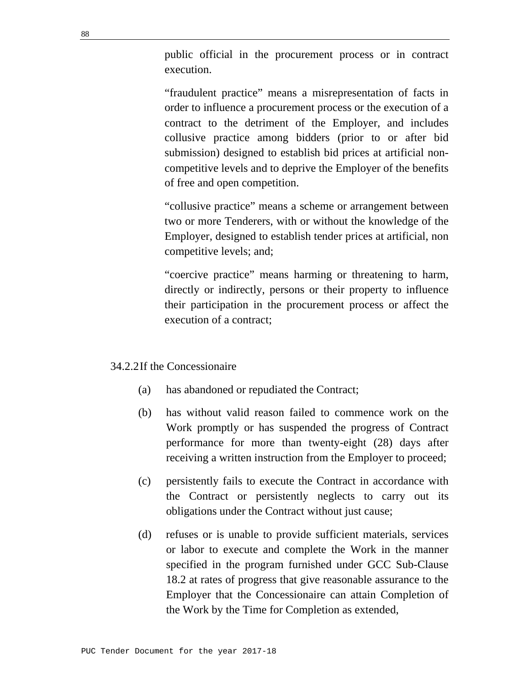public official in the procurement process or in contract execution.

 "fraudulent practice" means a misrepresentation of facts in order to influence a procurement process or the execution of a contract to the detriment of the Employer, and includes collusive practice among bidders (prior to or after bid submission) designed to establish bid prices at artificial noncompetitive levels and to deprive the Employer of the benefits of free and open competition.

 "collusive practice" means a scheme or arrangement between two or more Tenderers, with or without the knowledge of the Employer, designed to establish tender prices at artificial, non competitive levels; and;

 "coercive practice" means harming or threatening to harm, directly or indirectly, persons or their property to influence their participation in the procurement process or affect the execution of a contract;

## 34.2.2 If the Concessionaire

- (a) has abandoned or repudiated the Contract;
- (b) has without valid reason failed to commence work on the Work promptly or has suspended the progress of Contract performance for more than twenty-eight (28) days after receiving a written instruction from the Employer to proceed;
- (c) persistently fails to execute the Contract in accordance with the Contract or persistently neglects to carry out its obligations under the Contract without just cause;
- (d) refuses or is unable to provide sufficient materials, services or labor to execute and complete the Work in the manner specified in the program furnished under GCC Sub-Clause 18.2 at rates of progress that give reasonable assurance to the Employer that the Concessionaire can attain Completion of the Work by the Time for Completion as extended,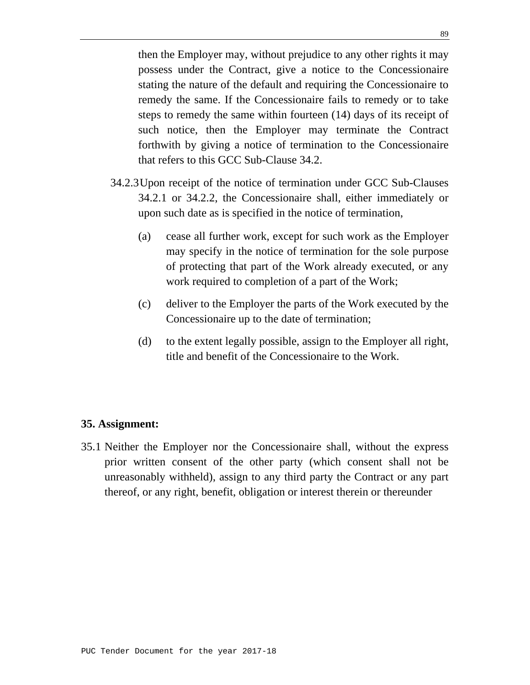then the Employer may, without prejudice to any other rights it may possess under the Contract, give a notice to the Concessionaire stating the nature of the default and requiring the Concessionaire to remedy the same. If the Concessionaire fails to remedy or to take steps to remedy the same within fourteen (14) days of its receipt of such notice, then the Employer may terminate the Contract forthwith by giving a notice of termination to the Concessionaire that refers to this GCC Sub-Clause 34.2.

- 34.2.3 Upon receipt of the notice of termination under GCC Sub-Clauses 34.2.1 or 34.2.2, the Concessionaire shall, either immediately or upon such date as is specified in the notice of termination,
	- (a) cease all further work, except for such work as the Employer may specify in the notice of termination for the sole purpose of protecting that part of the Work already executed, or any work required to completion of a part of the Work;
	- (c) deliver to the Employer the parts of the Work executed by the Concessionaire up to the date of termination;
	- (d) to the extent legally possible, assign to the Employer all right, title and benefit of the Concessionaire to the Work.

### **35. Assignment:**

35.1 Neither the Employer nor the Concessionaire shall, without the express prior written consent of the other party (which consent shall not be unreasonably withheld), assign to any third party the Contract or any part thereof, or any right, benefit, obligation or interest therein or thereunder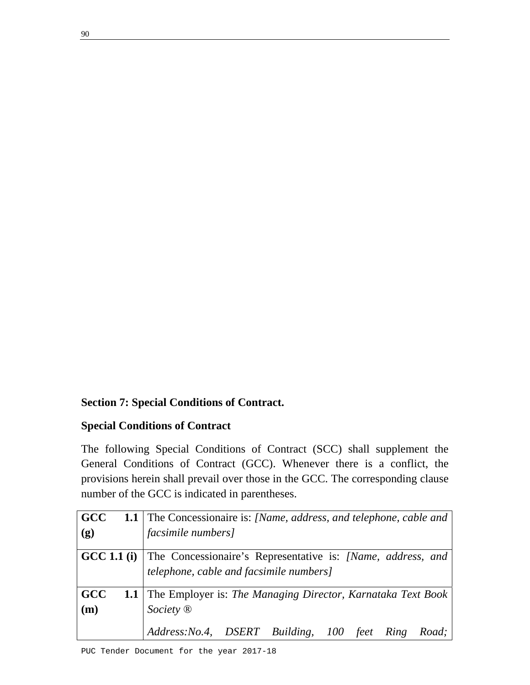# **Section 7: Special Conditions of Contract.**

## **Special Conditions of Contract**

The following Special Conditions of Contract (SCC) shall supplement the General Conditions of Contract (GCC). Whenever there is a conflict, the provisions herein shall prevail over those in the GCC. The corresponding clause number of the GCC is indicated in parentheses.

| <b>GCC</b> | <b>1.1</b> The Concessionaire is: [Name, address, and telephone, cable and     |
|------------|--------------------------------------------------------------------------------|
| (g)        | <i>facsimile numbers]</i>                                                      |
|            | <b>GCC 1.1 (i)</b> The Concessionaire's Representative is: [Name, address, and |
|            | telephone, cable and facsimile numbers]                                        |
| <b>GCC</b> | <b>1.1</b> The Employer is: The Managing Director, Karnataka Text Book         |
| (m)        | Society <sup>®</sup>                                                           |
|            | Address: No.4, DSERT Building, 100 feet Ring Road;                             |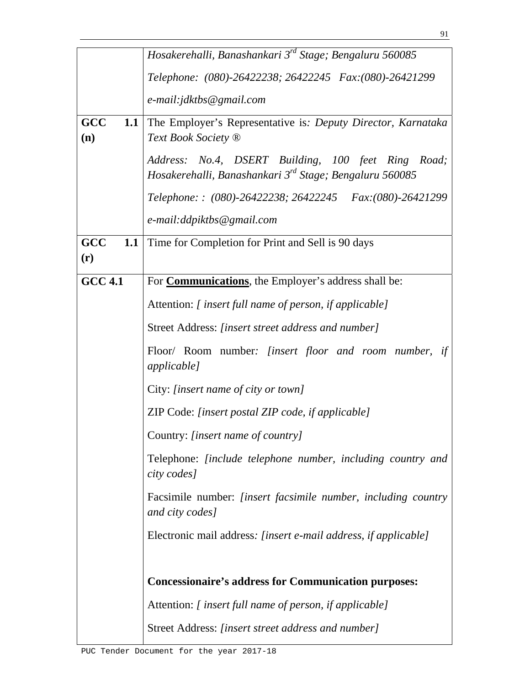|                   | Hosakerehalli, Banashankari 3 <sup>rd</sup> Stage; Bengaluru 560085                                                       |  |  |  |
|-------------------|---------------------------------------------------------------------------------------------------------------------------|--|--|--|
|                   | Telephone: (080)-26422238; 26422245 Fax:(080)-26421299                                                                    |  |  |  |
|                   | e-mail: jdktbs@gmail.com                                                                                                  |  |  |  |
| GCC<br>1.1<br>(n) | The Employer's Representative is: Deputy Director, Karnataka<br>Text Book Society ®                                       |  |  |  |
|                   | Address: No.4, DSERT Building, 100 feet Ring Road;<br>Hosakerehalli, Banashankari 3 <sup>rd</sup> Stage; Bengaluru 560085 |  |  |  |
|                   | Telephone:: (080)-26422238; 26422245 Fax: (080)-26421299                                                                  |  |  |  |
|                   | e-mail:ddpiktbs@gmail.com                                                                                                 |  |  |  |
| GCC<br>(r)        | <b>1.1</b> Time for Completion for Print and Sell is 90 days                                                              |  |  |  |
| <b>GCC 4.1</b>    | For <b>Communications</b> , the Employer's address shall be:                                                              |  |  |  |
|                   | Attention: [insert full name of person, if applicable]                                                                    |  |  |  |
|                   | Street Address: [insert street address and number]                                                                        |  |  |  |
|                   | Floor/ Room number: [insert floor and room number,<br>if<br><i>applicable]</i>                                            |  |  |  |
|                   | City: [insert name of city or town]                                                                                       |  |  |  |
|                   | ZIP Code: [insert postal ZIP code, if applicable]                                                                         |  |  |  |
|                   | Country: [insert name of country]                                                                                         |  |  |  |
|                   | Telephone: <i>[include telephone number, including country and</i><br>city codes]                                         |  |  |  |
|                   | Facsimile number: <i>[insert facsimile number, including country</i><br>and city codes]                                   |  |  |  |
|                   | Electronic mail address: [insert e-mail address, if applicable]                                                           |  |  |  |
|                   |                                                                                                                           |  |  |  |
|                   | <b>Concessionaire's address for Communication purposes:</b>                                                               |  |  |  |
|                   | Attention: [insert full name of person, if applicable]                                                                    |  |  |  |
|                   | Street Address: <i>[insert street address and number]</i>                                                                 |  |  |  |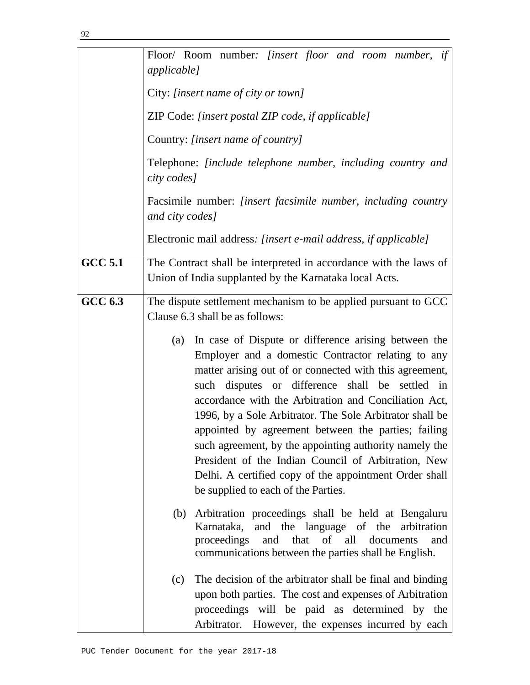|                | Floor/ Room number: [insert floor and room number, if<br><i>applicable]</i>                                                                                                                                                                                                                                                                                                                                                                                                                                                                                                                                                   |  |  |  |  |  |
|----------------|-------------------------------------------------------------------------------------------------------------------------------------------------------------------------------------------------------------------------------------------------------------------------------------------------------------------------------------------------------------------------------------------------------------------------------------------------------------------------------------------------------------------------------------------------------------------------------------------------------------------------------|--|--|--|--|--|
|                | City: [insert name of city or town]                                                                                                                                                                                                                                                                                                                                                                                                                                                                                                                                                                                           |  |  |  |  |  |
|                |                                                                                                                                                                                                                                                                                                                                                                                                                                                                                                                                                                                                                               |  |  |  |  |  |
|                | ZIP Code: [insert postal ZIP code, if applicable]                                                                                                                                                                                                                                                                                                                                                                                                                                                                                                                                                                             |  |  |  |  |  |
|                | Country: [insert name of country]                                                                                                                                                                                                                                                                                                                                                                                                                                                                                                                                                                                             |  |  |  |  |  |
|                | Telephone: <i>[include telephone number, including country and</i><br>city codes]                                                                                                                                                                                                                                                                                                                                                                                                                                                                                                                                             |  |  |  |  |  |
|                | Facsimile number: [insert facsimile number, including country<br>and city codes]                                                                                                                                                                                                                                                                                                                                                                                                                                                                                                                                              |  |  |  |  |  |
|                | Electronic mail address: [insert e-mail address, if applicable]                                                                                                                                                                                                                                                                                                                                                                                                                                                                                                                                                               |  |  |  |  |  |
| <b>GCC 5.1</b> | The Contract shall be interpreted in accordance with the laws of                                                                                                                                                                                                                                                                                                                                                                                                                                                                                                                                                              |  |  |  |  |  |
|                | Union of India supplanted by the Karnataka local Acts.                                                                                                                                                                                                                                                                                                                                                                                                                                                                                                                                                                        |  |  |  |  |  |
| <b>GCC 6.3</b> | The dispute settlement mechanism to be applied pursuant to GCC<br>Clause 6.3 shall be as follows:                                                                                                                                                                                                                                                                                                                                                                                                                                                                                                                             |  |  |  |  |  |
|                | In case of Dispute or difference arising between the<br>(a)<br>Employer and a domestic Contractor relating to any<br>matter arising out of or connected with this agreement,<br>such disputes or difference shall be settled in<br>accordance with the Arbitration and Conciliation Act,<br>1996, by a Sole Arbitrator. The Sole Arbitrator shall be<br>appointed by agreement between the parties; failing<br>such agreement, by the appointing authority namely the<br>President of the Indian Council of Arbitration, New<br>Delhi. A certified copy of the appointment Order shall<br>be supplied to each of the Parties. |  |  |  |  |  |
|                | Arbitration proceedings shall be held at Bengaluru<br>(b)<br>Karnataka, and the language of the arbitration<br>and that of all<br>proceedings<br>documents<br>and<br>communications between the parties shall be English.                                                                                                                                                                                                                                                                                                                                                                                                     |  |  |  |  |  |
|                | The decision of the arbitrator shall be final and binding<br>(c)<br>upon both parties. The cost and expenses of Arbitration<br>proceedings will be paid as determined by the<br>Arbitrator. However, the expenses incurred by each                                                                                                                                                                                                                                                                                                                                                                                            |  |  |  |  |  |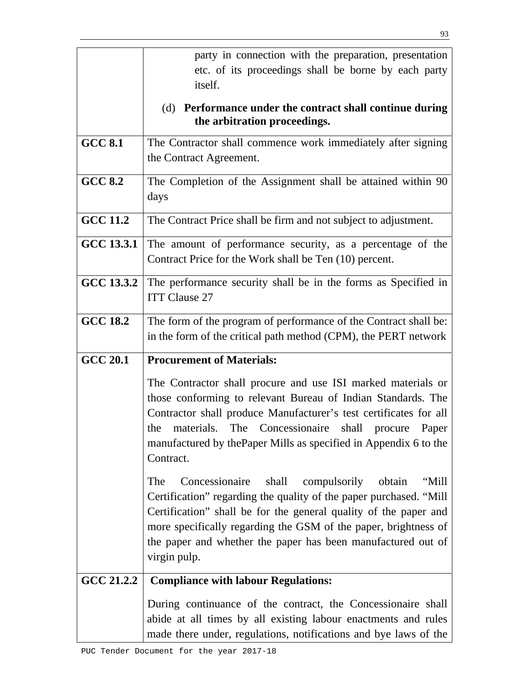|                 | party in connection with the preparation, presentation                                                                                                                                                                                                                                                                                                      |  |  |
|-----------------|-------------------------------------------------------------------------------------------------------------------------------------------------------------------------------------------------------------------------------------------------------------------------------------------------------------------------------------------------------------|--|--|
|                 | etc. of its proceedings shall be borne by each party<br>itself.                                                                                                                                                                                                                                                                                             |  |  |
|                 | (d) Performance under the contract shall continue during<br>the arbitration proceedings.                                                                                                                                                                                                                                                                    |  |  |
| <b>GCC 8.1</b>  | The Contractor shall commence work immediately after signing<br>the Contract Agreement.                                                                                                                                                                                                                                                                     |  |  |
| <b>GCC 8.2</b>  | The Completion of the Assignment shall be attained within 90<br>days                                                                                                                                                                                                                                                                                        |  |  |
| <b>GCC 11.2</b> | The Contract Price shall be firm and not subject to adjustment.                                                                                                                                                                                                                                                                                             |  |  |
| GCC 13.3.1      | The amount of performance security, as a percentage of the<br>Contract Price for the Work shall be Ten (10) percent.                                                                                                                                                                                                                                        |  |  |
| GCC 13.3.2      | The performance security shall be in the forms as Specified in<br><b>ITT Clause 27</b>                                                                                                                                                                                                                                                                      |  |  |
| <b>GCC 18.2</b> | The form of the program of performance of the Contract shall be:<br>in the form of the critical path method (CPM), the PERT network                                                                                                                                                                                                                         |  |  |
| <b>GCC 20.1</b> | <b>Procurement of Materials:</b>                                                                                                                                                                                                                                                                                                                            |  |  |
|                 | The Contractor shall procure and use ISI marked materials or<br>those conforming to relevant Bureau of Indian Standards. The<br>Contractor shall produce Manufacturer's test certificates for all<br>materials. The Concessionaire shall<br>the<br>procure<br>Paper<br>manufactured by the Paper Mills as specified in Appendix 6 to the<br>Contract.       |  |  |
|                 | Concessionaire<br>shall compulsorily<br>obtain<br>"Mill<br>The<br>Certification" regarding the quality of the paper purchased. "Mill<br>Certification" shall be for the general quality of the paper and<br>more specifically regarding the GSM of the paper, brightness of<br>the paper and whether the paper has been manufactured out of<br>virgin pulp. |  |  |
| GCC 21.2.2      | <b>Compliance with labour Regulations:</b>                                                                                                                                                                                                                                                                                                                  |  |  |
|                 | During continuance of the contract, the Concessionaire shall<br>abide at all times by all existing labour enactments and rules                                                                                                                                                                                                                              |  |  |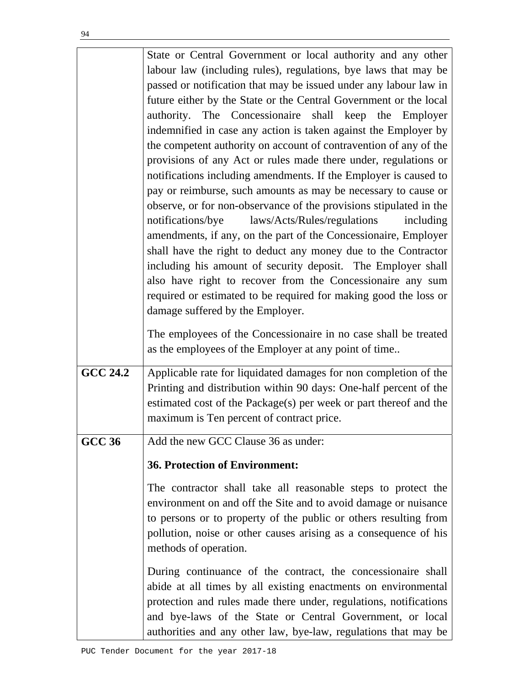|                 | State or Central Government or local authority and any other<br>labour law (including rules), regulations, bye laws that may be<br>passed or notification that may be issued under any labour law in<br>future either by the State or the Central Government or the local<br>authority. The Concessionaire shall keep the Employer<br>indemnified in case any action is taken against the Employer by<br>the competent authority on account of contravention of any of the<br>provisions of any Act or rules made there under, regulations or<br>notifications including amendments. If the Employer is caused to<br>pay or reimburse, such amounts as may be necessary to cause or<br>observe, or for non-observance of the provisions stipulated in the<br>notifications/bye<br>laws/Acts/Rules/regulations<br>including<br>amendments, if any, on the part of the Concessionaire, Employer |
|-----------------|-----------------------------------------------------------------------------------------------------------------------------------------------------------------------------------------------------------------------------------------------------------------------------------------------------------------------------------------------------------------------------------------------------------------------------------------------------------------------------------------------------------------------------------------------------------------------------------------------------------------------------------------------------------------------------------------------------------------------------------------------------------------------------------------------------------------------------------------------------------------------------------------------|
|                 | shall have the right to deduct any money due to the Contractor<br>including his amount of security deposit. The Employer shall<br>also have right to recover from the Concessionaire any sum<br>required or estimated to be required for making good the loss or<br>damage suffered by the Employer.<br>The employees of the Concessionaire in no case shall be treated<br>as the employees of the Employer at any point of time                                                                                                                                                                                                                                                                                                                                                                                                                                                              |
| <b>GCC 24.2</b> | Applicable rate for liquidated damages for non completion of the<br>Printing and distribution within 90 days: One-half percent of the<br>estimated cost of the Package(s) per week or part thereof and the<br>maximum is Ten percent of contract price.                                                                                                                                                                                                                                                                                                                                                                                                                                                                                                                                                                                                                                       |
| <b>GCC 36</b>   | Add the new GCC Clause 36 as under:<br><b>36. Protection of Environment:</b><br>The contractor shall take all reasonable steps to protect the<br>environment on and off the Site and to avoid damage or nuisance<br>to persons or to property of the public or others resulting from<br>pollution, noise or other causes arising as a consequence of his<br>methods of operation.<br>During continuance of the contract, the concessionaire shall<br>abide at all times by all existing enactments on environmental<br>protection and rules made there under, regulations, notifications                                                                                                                                                                                                                                                                                                      |

and bye-laws of the State or Central Government, or local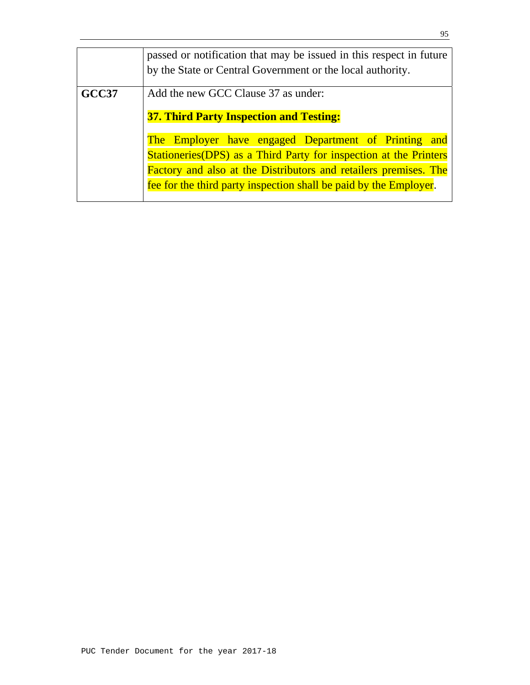|       | passed or notification that may be issued in this respect in future                                                                   |  |  |  |  |
|-------|---------------------------------------------------------------------------------------------------------------------------------------|--|--|--|--|
|       | by the State or Central Government or the local authority.                                                                            |  |  |  |  |
| GCC37 | Add the new GCC Clause 37 as under:                                                                                                   |  |  |  |  |
|       | <b>37. Third Party Inspection and Testing:</b>                                                                                        |  |  |  |  |
|       | The Employer have engaged Department of Printing and                                                                                  |  |  |  |  |
|       | Stationeries(DPS) as a Third Party for inspection at the Printers<br>Factory and also at the Distributors and retailers premises. The |  |  |  |  |
|       |                                                                                                                                       |  |  |  |  |
|       | fee for the third party inspection shall be paid by the Employer.                                                                     |  |  |  |  |
|       |                                                                                                                                       |  |  |  |  |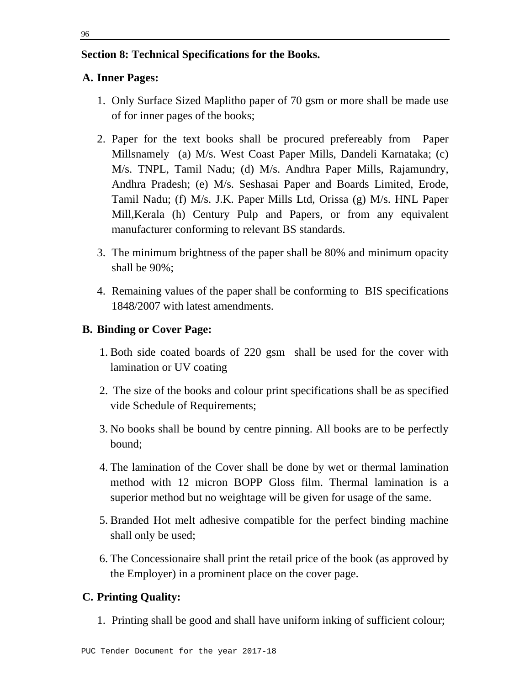## **Section 8: Technical Specifications for the Books.**

# **A. Inner Pages:**

- 1. Only Surface Sized Maplitho paper of 70 gsm or more shall be made use of for inner pages of the books;
- 2. Paper for the text books shall be procured prefereably from Paper Millsnamely (a) M/s. West Coast Paper Mills, Dandeli Karnataka; (c) M/s. TNPL, Tamil Nadu; (d) M/s. Andhra Paper Mills, Rajamundry, Andhra Pradesh; (e) M/s. Seshasai Paper and Boards Limited, Erode, Tamil Nadu; (f) M/s. J.K. Paper Mills Ltd, Orissa (g) M/s. HNL Paper Mill,Kerala (h) Century Pulp and Papers, or from any equivalent manufacturer conforming to relevant BS standards.
- 3. The minimum brightness of the paper shall be 80% and minimum opacity shall be 90%;
- 4. Remaining values of the paper shall be conforming to BIS specifications 1848/2007 with latest amendments.

# **B. Binding or Cover Page:**

- 1. Both side coated boards of 220 gsm shall be used for the cover with lamination or UV coating
- 2. The size of the books and colour print specifications shall be as specified vide Schedule of Requirements;
- 3. No books shall be bound by centre pinning. All books are to be perfectly bound;
- 4. The lamination of the Cover shall be done by wet or thermal lamination method with 12 micron BOPP Gloss film. Thermal lamination is a superior method but no weightage will be given for usage of the same.
- 5. Branded Hot melt adhesive compatible for the perfect binding machine shall only be used;
- 6. The Concessionaire shall print the retail price of the book (as approved by the Employer) in a prominent place on the cover page.

# **C. Printing Quality:**

1. Printing shall be good and shall have uniform inking of sufficient colour;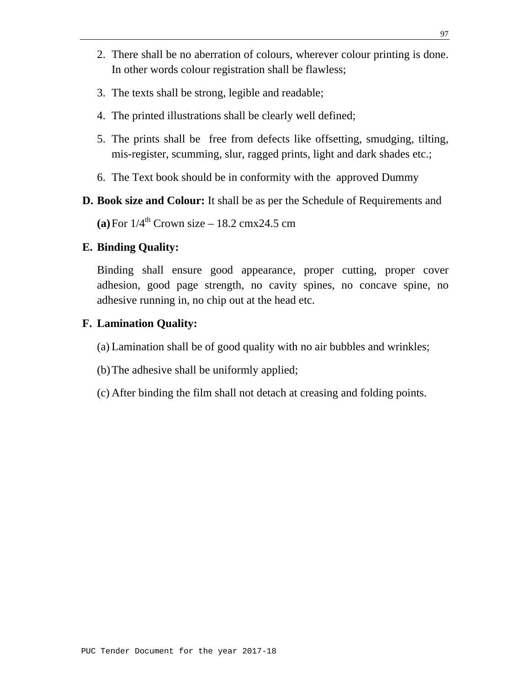- 2. There shall be no aberration of colours, wherever colour printing is done. In other words colour registration shall be flawless;
- 3. The texts shall be strong, legible and readable;
- 4. The printed illustrations shall be clearly well defined;
- 5. The prints shall be free from defects like offsetting, smudging, tilting, mis-register, scumming, slur, ragged prints, light and dark shades etc.;
- 6. The Text book should be in conformity with the approved Dummy
- **D. Book size and Colour:** It shall be as per the Schedule of Requirements and

**(a)** For  $1/4^{\text{th}}$  Crown size – 18.2 cmx24.5 cm

### **E. Binding Quality:**

Binding shall ensure good appearance, proper cutting, proper cover adhesion, good page strength, no cavity spines, no concave spine, no adhesive running in, no chip out at the head etc.

### **F. Lamination Quality:**

- (a) Lamination shall be of good quality with no air bubbles and wrinkles;
- (b)The adhesive shall be uniformly applied;
- (c) After binding the film shall not detach at creasing and folding points.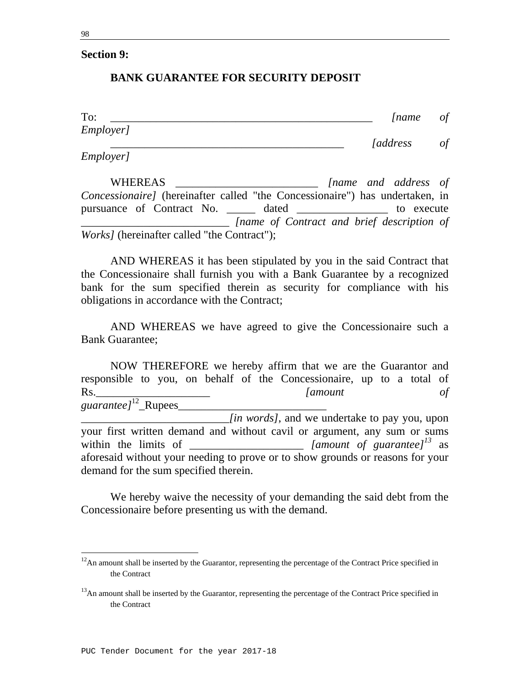## **BANK GUARANTEE FOR SECURITY DEPOSIT**

| To:       | <i>Iname</i>                   | $\sigma f$ |
|-----------|--------------------------------|------------|
| Employer] |                                |            |
| Employer] | <i><u><b>[address]</b></u></i> | $\sigma f$ |

 WHEREAS \_\_\_\_\_\_\_\_\_\_\_\_\_\_\_\_\_\_\_\_\_\_\_\_\_ *[name and address of Concessionaire]* (hereinafter called "the Concessionaire") has undertaken, in pursuance of Contract No. \_\_\_\_\_ dated \_\_\_\_\_\_\_\_\_\_\_\_\_\_\_ to execute \_\_\_\_\_\_\_\_\_\_\_\_\_\_\_\_\_\_\_\_\_\_\_\_\_\_ *[name of Contract and brief description of Works]* (hereinafter called "the Contract");

 AND WHEREAS it has been stipulated by you in the said Contract that the Concessionaire shall furnish you with a Bank Guarantee by a recognized bank for the sum specified therein as security for compliance with his obligations in accordance with the Contract;

 AND WHEREAS we have agreed to give the Concessionaire such a Bank Guarantee;

 NOW THEREFORE we hereby affirm that we are the Guarantor and responsible to you, on behalf of the Concessionaire, up to a total of Rs.\_\_\_\_\_\_\_\_\_\_\_\_\_\_\_\_\_\_\_\_ *[amount of guarantee]*12\_Rupees\_\_\_\_\_\_\_\_\_\_\_\_\_\_\_\_\_\_\_\_\_\_\_\_\_\_ \_\_\_\_\_\_\_\_\_\_\_\_\_\_\_\_\_\_\_\_\_\_\_\_\_\_*[in words]*, and we undertake to pay you, upon your first written demand and without cavil or argument, any sum or sums within the limits of \_\_\_\_\_\_\_\_\_\_\_\_\_\_\_\_\_\_\_\_\_\_ *[amount of guarantee]*<sup>13</sup> as aforesaid without your needing to prove or to show grounds or reasons for your demand for the sum specified therein.

 We hereby waive the necessity of your demanding the said debt from the Concessionaire before presenting us with the demand.

 $12$ An amount shall be inserted by the Guarantor, representing the percentage of the Contract Price specified in the Contract

<sup>&</sup>lt;sup>13</sup>An amount shall be inserted by the Guarantor, representing the percentage of the Contract Price specified in the Contract